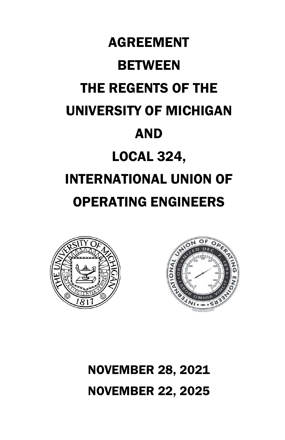





NOVEMBER 28, 2021 NOVEMBER 22, 2025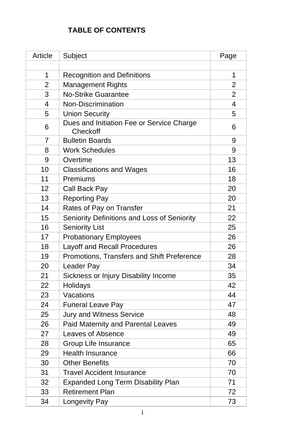# **TABLE OF CONTENTS**

| Article        | Subject                                               | Page           |
|----------------|-------------------------------------------------------|----------------|
|                |                                                       |                |
| 1              | <b>Recognition and Definitions</b>                    | 1              |
| $\overline{2}$ | Management Rights                                     | $\overline{2}$ |
| 3              | <b>No-Strike Guarantee</b>                            | $\overline{2}$ |
| 4              | Non-Discrimination                                    | 4              |
| 5              | <b>Union Security</b>                                 | 5              |
| 6              | Dues and Initiation Fee or Service Charge<br>Checkoff | 6              |
| $\overline{7}$ | <b>Bulletin Boards</b>                                | 9              |
| 8              | <b>Work Schedules</b>                                 | 9              |
| 9              | Overtime                                              | 13             |
| 10             | <b>Classifications and Wages</b>                      | 16             |
| 11             | Premiums                                              | 18             |
| 12             | Call Back Pay                                         | 20             |
| 13             | <b>Reporting Pay</b>                                  | 20             |
| 14             | Rates of Pay on Transfer                              | 21             |
| 15             | Seniority Definitions and Loss of Seniority           | 22             |
| 16             | <b>Seniority List</b>                                 | 25             |
| 17             | <b>Probationary Employees</b>                         | 26             |
| 18             | Layoff and Recall Procedures                          | 26             |
| 19             | Promotions, Transfers and Shift Preference            | 28             |
| 20             | Leader Pay                                            | 34             |
| 21             | Sickness or Injury Disability Income                  | 35             |
| 22             | Holidays                                              | 42             |
| 23             | Vacations                                             | 44             |
| 24             | <b>Funeral Leave Pay</b>                              | 47             |
| 25             | Jury and Witness Service                              | 48             |
| 26             | Paid Maternity and Parental Leaves                    | 49             |
| 27             | Leaves of Absence                                     | 49             |
| 28             | Group Life Insurance                                  | 65             |
| 29             | Health Insurance                                      | 66             |
| 30             | <b>Other Benefits</b>                                 | 70             |
| 31             | <b>Travel Accident Insurance</b>                      | 70             |
| 32             | <b>Expanded Long Term Disability Plan</b>             | 71             |
| 33             | <b>Retirement Plan</b>                                | 72             |
| 34             | Longevity Pay                                         | 73             |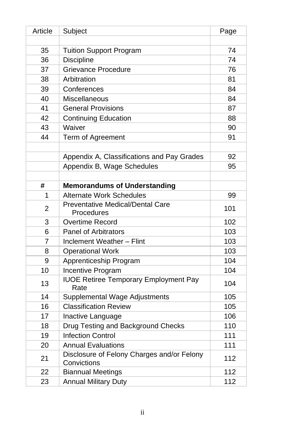| Article        | Subject                                                   | Page |
|----------------|-----------------------------------------------------------|------|
|                |                                                           |      |
| 35             | <b>Tuition Support Program</b>                            | 74   |
| 36             | <b>Discipline</b>                                         | 74   |
| 37             | <b>Grievance Procedure</b>                                | 76   |
| 38             | Arbitration                                               | 81   |
| 39             | Conferences                                               | 84   |
| 40             | Miscellaneous                                             | 84   |
| 41             | <b>General Provisions</b>                                 | 87   |
| 42             | <b>Continuing Education</b>                               | 88   |
| 43             | Waiver                                                    | 90   |
| 44             | Term of Agreement                                         | 91   |
|                |                                                           |      |
|                | Appendix A, Classifications and Pay Grades                | 92   |
|                | Appendix B, Wage Schedules                                | 95   |
|                |                                                           |      |
| #              | <b>Memorandums of Understanding</b>                       |      |
| 1              | Alternate Work Schedules                                  | 99   |
| 2              | <b>Preventative Medical/Dental Care</b><br>Procedures     | 101  |
| 3              | Overtime Record                                           | 102  |
| 6              | <b>Panel of Arbitrators</b>                               | 103  |
| $\overline{7}$ | Inclement Weather - Flint                                 | 103  |
| 8              | <b>Operational Work</b>                                   | 103  |
| 9              | Apprenticeship Program                                    | 104  |
| 10             | Incentive Program                                         | 104  |
| 13             | <b>IUOE Retiree Temporary Employment Pay</b><br>Rate      | 104  |
| 14             | Supplemental Wage Adjustments                             | 105  |
| 16             | <b>Classification Review</b>                              | 105  |
| 17             | Inactive Language                                         | 106  |
| 18             | Drug Testing and Background Checks                        | 110  |
| 19             | <b>Infection Control</b>                                  | 111  |
| 20             | <b>Annual Evaluations</b>                                 | 111  |
| 21             | Disclosure of Felony Charges and/or Felony<br>Convictions | 112  |
| 22             | <b>Biannual Meetings</b>                                  | 112  |
| 23             | <b>Annual Military Duty</b>                               | 112  |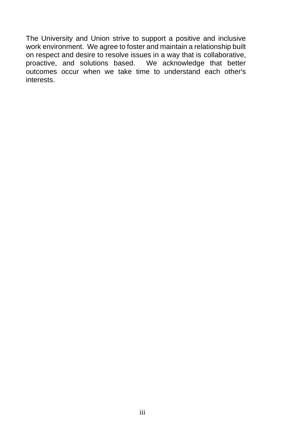The University and Union strive to support a positive and inclusive work environment. We agree to foster and maintain a relationship built on respect and desire to resolve issues in a way that is collaborative, proactive, and solutions based. We acknowledge that better outcomes occur when we take time to understand each other's interests.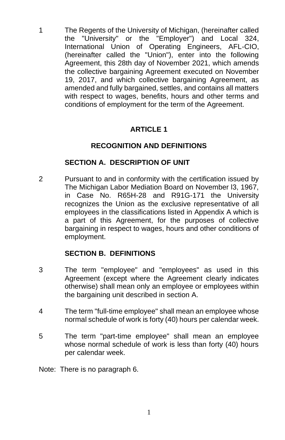1 The Regents of the University of Michigan, (hereinafter called the "University" or the "Employer") and Local 324, International Union of Operating Engineers, AFL-CIO, (hereinafter called the "Union"), enter into the following Agreement, this 28th day of November 2021, which amends the collective bargaining Agreement executed on November 19, 2017, and which collective bargaining Agreement, as amended and fully bargained, settles, and contains all matters with respect to wages, benefits, hours and other terms and conditions of employment for the term of the Agreement.

## **ARTICLE 1**

### **RECOGNITION AND DEFINITIONS**

#### **SECTION A. DESCRIPTION OF UNIT**

2 Pursuant to and in conformity with the certification issued by The Michigan Labor Mediation Board on November l3, 1967, in Case No. R65H-28 and R91G-171 the University recognizes the Union as the exclusive representative of all employees in the classifications listed in Appendix A which is a part of this Agreement, for the purposes of collective bargaining in respect to wages, hours and other conditions of employment.

### **SECTION B. DEFINITIONS**

- 3 The term "employee" and "employees" as used in this Agreement (except where the Agreement clearly indicates otherwise) shall mean only an employee or employees within the bargaining unit described in section A.
- 4 The term "full-time employee" shall mean an employee whose normal schedule of work is forty (40) hours per calendar week.
- 5 The term "part-time employee" shall mean an employee whose normal schedule of work is less than forty (40) hours per calendar week.
- Note: There is no paragraph 6.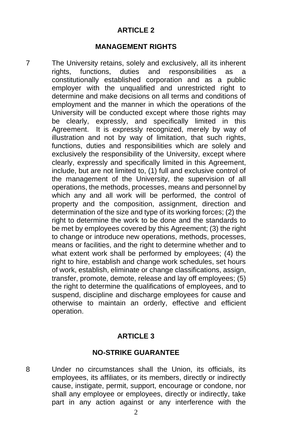#### **ARTICLE 2**

#### **MANAGEMENT RIGHTS**

7 The University retains, solely and exclusively, all its inherent rights, functions, duties and responsibilities as a constitutionally established corporation and as a public employer with the unqualified and unrestricted right to determine and make decisions on all terms and conditions of employment and the manner in which the operations of the University will be conducted except where those rights may be clearly, expressly, and specifically limited in this Agreement. It is expressly recognized, merely by way of illustration and not by way of limitation, that such rights, functions, duties and responsibilities which are solely and exclusively the responsibility of the University, except where clearly, expressly and specifically limited in this Agreement, include, but are not limited to, (1) full and exclusive control of the management of the University, the supervision of all operations, the methods, processes, means and personnel by which any and all work will be performed, the control of property and the composition, assignment, direction and determination of the size and type of its working forces; (2) the right to determine the work to be done and the standards to be met by employees covered by this Agreement; (3) the right to change or introduce new operations, methods, processes, means or facilities, and the right to determine whether and to what extent work shall be performed by employees; (4) the right to hire, establish and change work schedules, set hours of work, establish, eliminate or change classifications, assign, transfer, promote, demote, release and lay off employees; (5) the right to determine the qualifications of employees, and to suspend, discipline and discharge employees for cause and otherwise to maintain an orderly, effective and efficient operation.

#### **ARTICLE 3**

#### **NO-STRIKE GUARANTEE**

8 Under no circumstances shall the Union, its officials, its employees, its affiliates, or its members, directly or indirectly cause, instigate, permit, support, encourage or condone, nor shall any employee or employees, directly or indirectly, take part in any action against or any interference with the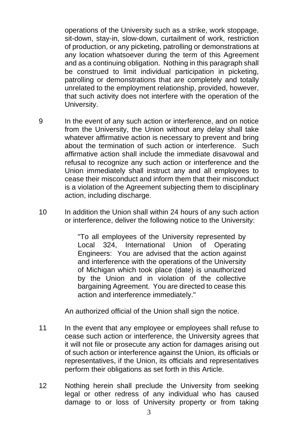operations of the University such as a strike, work stoppage, sit-down, stay-in, slow-down, curtailment of work, restriction of production, or any picketing, patrolling or demonstrations at any location whatsoever during the term of this Agreement and as a continuing obligation. Nothing in this paragraph shall be construed to limit individual participation in picketing, patrolling or demonstrations that are completely and totally unrelated to the employment relationship, provided, however, that such activity does not interfere with the operation of the University.

- 9 In the event of any such action or interference, and on notice from the University, the Union without any delay shall take whatever affirmative action is necessary to prevent and bring about the termination of such action or interference. Such affirmative action shall include the immediate disavowal and refusal to recognize any such action or interference and the Union immediately shall instruct any and all employees to cease their misconduct and inform them that their misconduct is a violation of the Agreement subjecting them to disciplinary action, including discharge.
- 10 In addition the Union shall within 24 hours of any such action or interference, deliver the following notice to the University:

"To all employees of the University represented by Local 324, International Union of Operating Engineers: You are advised that the action against and interference with the operations of the University of Michigan which took place (date) is unauthorized by the Union and in violation of the collective bargaining Agreement. You are directed to cease this action and interference immediately."

An authorized official of the Union shall sign the notice.

- 11 In the event that any employee or employees shall refuse to cease such action or interference, the University agrees that it will not file or prosecute any action for damages arising out of such action or interference against the Union, its officials or representatives, if the Union, its officials and representatives perform their obligations as set forth in this Article.
- 12 Nothing herein shall preclude the University from seeking legal or other redress of any individual who has caused damage to or loss of University property or from taking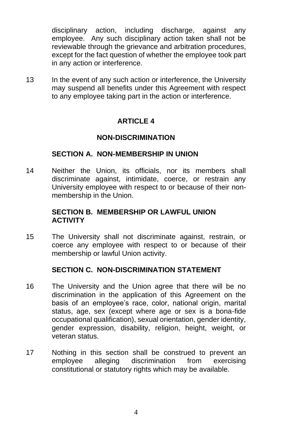disciplinary action, including discharge, against any employee. Any such disciplinary action taken shall not be reviewable through the grievance and arbitration procedures, except for the fact question of whether the employee took part in any action or interference.

13 In the event of any such action or interference, the University may suspend all benefits under this Agreement with respect to any employee taking part in the action or interference.

## **ARTICLE 4**

### **NON-DISCRIMINATION**

#### **SECTION A. NON-MEMBERSHIP IN UNION**

14 Neither the Union, its officials, nor its members shall discriminate against, intimidate, coerce, or restrain any University employee with respect to or because of their nonmembership in the Union.

#### **SECTION B. MEMBERSHIP OR LAWFUL UNION ACTIVITY**

15 The University shall not discriminate against, restrain, or coerce any employee with respect to or because of their membership or lawful Union activity.

#### **SECTION C. NON-DISCRIMINATION STATEMENT**

- 16 The University and the Union agree that there will be no discrimination in the application of this Agreement on the basis of an employee's race, color, national origin, marital status, age, sex (except where age or sex is a bona-fide occupational qualification), sexual orientation, gender identity, gender expression, disability, religion, height, weight, or veteran status.
- 17 Nothing in this section shall be construed to prevent an employee alleging discrimination from exercising constitutional or statutory rights which may be available.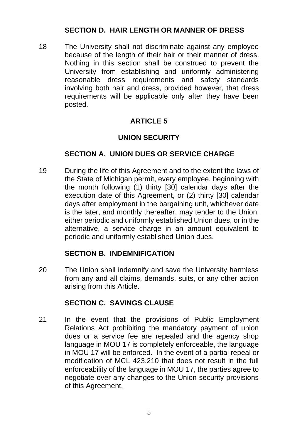### **SECTION D. HAIR LENGTH OR MANNER OF DRESS**

18 The University shall not discriminate against any employee because of the length of their hair or their manner of dress. Nothing in this section shall be construed to prevent the University from establishing and uniformly administering reasonable dress requirements and safety standards involving both hair and dress, provided however, that dress requirements will be applicable only after they have been posted.

### **ARTICLE 5**

#### **UNION SECURITY**

#### **SECTION A. UNION DUES OR SERVICE CHARGE**

19 During the life of this Agreement and to the extent the laws of the State of Michigan permit, every employee, beginning with the month following (1) thirty [30] calendar days after the execution date of this Agreement, or (2) thirty [30] calendar days after employment in the bargaining unit, whichever date is the later, and monthly thereafter, may tender to the Union, either periodic and uniformly established Union dues, or in the alternative, a service charge in an amount equivalent to periodic and uniformly established Union dues.

#### **SECTION B. INDEMNIFICATION**

20 The Union shall indemnify and save the University harmless from any and all claims, demands, suits, or any other action arising from this Article.

#### **SECTION C. SAVINGS CLAUSE**

21 In the event that the provisions of Public Employment Relations Act prohibiting the mandatory payment of union dues or a service fee are repealed and the agency shop language in MOU 17 is completely enforceable, the language in MOU 17 will be enforced. In the event of a partial repeal or modification of MCL 423.210 that does not result in the full enforceability of the language in MOU 17, the parties agree to negotiate over any changes to the Union security provisions of this Agreement.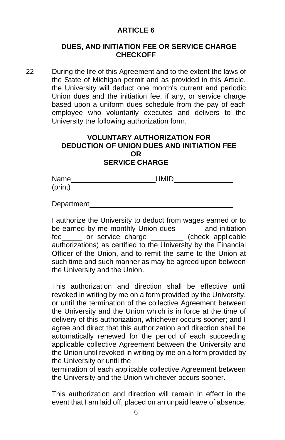#### **ARTICLE 6**

#### **DUES, AND INITIATION FEE OR SERVICE CHARGE CHECKOFF**

22 During the life of this Agreement and to the extent the laws of the State of Michigan permit and as provided in this Article, the University will deduct one month's current and periodic Union dues and the initiation fee, if any, or service charge based upon a uniform dues schedule from the pay of each employee who voluntarily executes and delivers to the University the following authorization form.

#### **VOLUNTARY AUTHORIZATION FOR DEDUCTION OF UNION DUES AND INITIATION FEE OR SERVICE CHARGE**

| Name    | <b>UMID</b> |  |
|---------|-------------|--|
| (print) |             |  |

Department

I authorize the University to deduct from wages earned or to be earned by me monthly Union dues \_\_\_\_\_\_ and initiation fee\_\_\_\_\_ or service charge \_\_\_\_\_\_\_\_ (check applicable authorizations) as certified to the University by the Financial Officer of the Union, and to remit the same to the Union at such time and such manner as may be agreed upon between the University and the Union.

This authorization and direction shall be effective until revoked in writing by me on a form provided by the University, or until the termination of the collective Agreement between the University and the Union which is in force at the time of delivery of this authorization, whichever occurs sooner; and I agree and direct that this authorization and direction shall be automatically renewed for the period of each succeeding applicable collective Agreement between the University and the Union until revoked in writing by me on a form provided by the University or until the

termination of each applicable collective Agreement between the University and the Union whichever occurs sooner.

This authorization and direction will remain in effect in the event that I am laid off, placed on an unpaid leave of absence,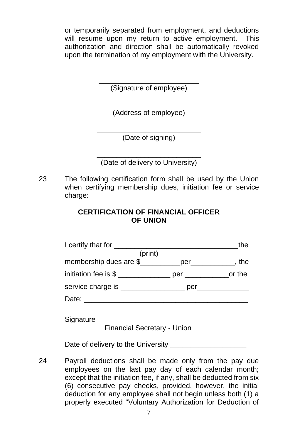or temporarily separated from employment, and deductions will resume upon my return to active employment. This authorization and direction shall be automatically revoked upon the termination of my employment with the University.

> \_\_\_\_\_\_\_\_\_\_\_\_\_\_\_\_\_\_\_\_\_\_\_\_\_ (Signature of employee)

\_\_\_\_\_\_\_\_\_\_\_\_\_\_\_\_\_\_\_\_\_\_\_\_\_\_ (Address of employee)

\_\_\_\_\_\_\_\_\_\_\_\_\_\_\_\_\_\_\_\_\_\_\_\_\_\_ (Date of signing)

\_\_\_\_\_\_\_\_\_\_\_\_\_\_\_\_\_\_\_\_\_\_\_\_\_\_ (Date of delivery to University)

23 The following certification form shall be used by the Union when certifying membership dues, initiation fee or service charge:

## **CERTIFICATION OF FINANCIAL OFFICER OF UNION**

|                                                        | the |  |
|--------------------------------------------------------|-----|--|
| (print)                                                |     |  |
| membership dues are \$____________per____________, the |     |  |
|                                                        |     |  |
|                                                        |     |  |
|                                                        |     |  |
|                                                        |     |  |
| Signature Signature Signature Communications           |     |  |
| Financial Secretary - Union                            |     |  |

Financial Secretary - Union

Date of delivery to the University

24 Payroll deductions shall be made only from the pay due employees on the last pay day of each calendar month; except that the initiation fee, if any, shall be deducted from six (6) consecutive pay checks, provided, however, the initial deduction for any employee shall not begin unless both (1) a properly executed "Voluntary Authorization for Deduction of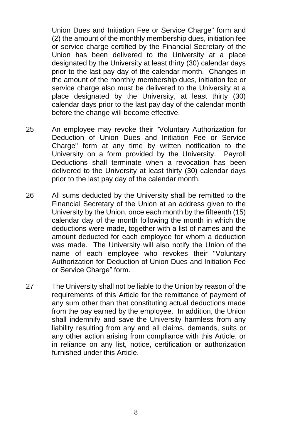Union Dues and Initiation Fee or Service Charge" form and (2) the amount of the monthly membership dues, initiation fee or service charge certified by the Financial Secretary of the Union has been delivered to the University at a place designated by the University at least thirty (30) calendar days prior to the last pay day of the calendar month. Changes in the amount of the monthly membership dues, initiation fee or service charge also must be delivered to the University at a place designated by the University, at least thirty (30) calendar days prior to the last pay day of the calendar month before the change will become effective.

- 25 An employee may revoke their "Voluntary Authorization for Deduction of Union Dues and Initiation Fee or Service Charge" form at any time by written notification to the University on a form provided by the University. Payroll Deductions shall terminate when a revocation has been delivered to the University at least thirty (30) calendar days prior to the last pay day of the calendar month.
- 26 All sums deducted by the University shall be remitted to the Financial Secretary of the Union at an address given to the University by the Union, once each month by the fifteenth (15) calendar day of the month following the month in which the deductions were made, together with a list of names and the amount deducted for each employee for whom a deduction was made. The University will also notify the Union of the name of each employee who revokes their "Voluntary Authorization for Deduction of Union Dues and Initiation Fee or Service Charge" form.
- 27 The University shall not be liable to the Union by reason of the requirements of this Article for the remittance of payment of any sum other than that constituting actual deductions made from the pay earned by the employee. In addition, the Union shall indemnify and save the University harmless from any liability resulting from any and all claims, demands, suits or any other action arising from compliance with this Article, or in reliance on any list, notice, certification or authorization furnished under this Article.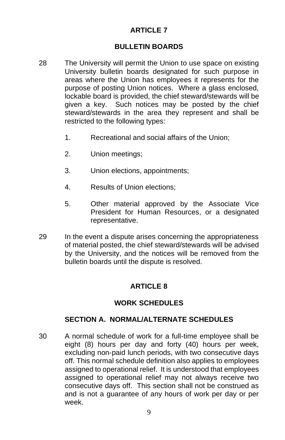## **ARTICLE 7**

#### **BULLETIN BOARDS**

- 28 The University will permit the Union to use space on existing University bulletin boards designated for such purpose in areas where the Union has employees it represents for the purpose of posting Union notices. Where a glass enclosed, lockable board is provided, the chief steward/stewards will be given a key. Such notices may be posted by the chief steward/stewards in the area they represent and shall be restricted to the following types:
	- 1. Recreational and social affairs of the Union;
	- 2. Union meetings;
	- 3. Union elections, appointments;
	- 4. Results of Union elections;
	- 5. Other material approved by the Associate Vice President for Human Resources, or a designated representative.
- 29 In the event a dispute arises concerning the appropriateness of material posted, the chief steward/stewards will be advised by the University, and the notices will be removed from the bulletin boards until the dispute is resolved.

#### **ARTICLE 8**

#### **WORK SCHEDULES**

#### **SECTION A. NORMAL/ALTERNATE SCHEDULES**

30 A normal schedule of work for a full-time employee shall be eight (8) hours per day and forty (40) hours per week, excluding non-paid lunch periods, with two consecutive days off. This normal schedule definition also applies to employees assigned to operational relief. It is understood that employees assigned to operational relief may not always receive two consecutive days off. This section shall not be construed as and is not a guarantee of any hours of work per day or per week.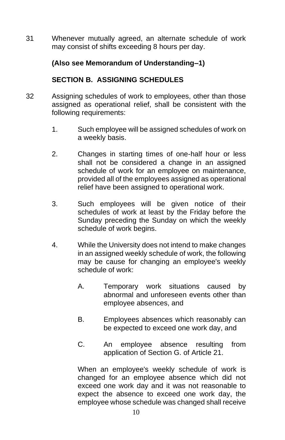31 Whenever mutually agreed, an alternate schedule of work may consist of shifts exceeding 8 hours per day.

## **(Also see Memorandum of Understanding–1)**

## **SECTION B. ASSIGNING SCHEDULES**

- 32 Assigning schedules of work to employees, other than those assigned as operational relief, shall be consistent with the following requirements:
	- 1. Such employee will be assigned schedules of work on a weekly basis.
	- 2. Changes in starting times of one-half hour or less shall not be considered a change in an assigned schedule of work for an employee on maintenance, provided all of the employees assigned as operational relief have been assigned to operational work.
	- 3. Such employees will be given notice of their schedules of work at least by the Friday before the Sunday preceding the Sunday on which the weekly schedule of work begins.
	- 4. While the University does not intend to make changes in an assigned weekly schedule of work, the following may be cause for changing an employee's weekly schedule of work:
		- A. Temporary work situations caused by abnormal and unforeseen events other than employee absences, and
		- B. Employees absences which reasonably can be expected to exceed one work day, and
		- C. An employee absence resulting from application of Section G. of Article 21.

When an employee's weekly schedule of work is changed for an employee absence which did not exceed one work day and it was not reasonable to expect the absence to exceed one work day, the employee whose schedule was changed shall receive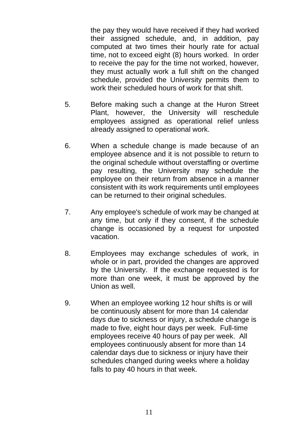the pay they would have received if they had worked their assigned schedule, and, in addition, pay computed at two times their hourly rate for actual time, not to exceed eight (8) hours worked. In order to receive the pay for the time not worked, however, they must actually work a full shift on the changed schedule, provided the University permits them to work their scheduled hours of work for that shift.

- 5. Before making such a change at the Huron Street Plant, however, the University will reschedule employees assigned as operational relief unless already assigned to operational work.
- 6. When a schedule change is made because of an employee absence and it is not possible to return to the original schedule without overstaffing or overtime pay resulting, the University may schedule the employee on their return from absence in a manner consistent with its work requirements until employees can be returned to their original schedules.
- 7. Any employee's schedule of work may be changed at any time, but only if they consent, if the schedule change is occasioned by a request for unposted vacation.
- 8. Employees may exchange schedules of work, in whole or in part, provided the changes are approved by the University. If the exchange requested is for more than one week, it must be approved by the Union as well.
- 9. When an employee working 12 hour shifts is or will be continuously absent for more than 14 calendar days due to sickness or injury, a schedule change is made to five, eight hour days per week. Full-time employees receive 40 hours of pay per week. All employees continuously absent for more than 14 calendar days due to sickness or injury have their schedules changed during weeks where a holiday falls to pay 40 hours in that week.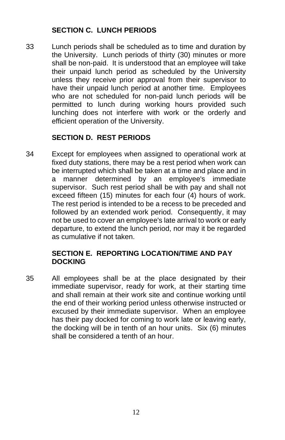## **SECTION C. LUNCH PERIODS**

33 Lunch periods shall be scheduled as to time and duration by the University. Lunch periods of thirty (30) minutes or more shall be non-paid. It is understood that an employee will take their unpaid lunch period as scheduled by the University unless they receive prior approval from their supervisor to have their unpaid lunch period at another time. Employees who are not scheduled for non-paid lunch periods will be permitted to lunch during working hours provided such lunching does not interfere with work or the orderly and efficient operation of the University.

## **SECTION D. REST PERIODS**

34 Except for employees when assigned to operational work at fixed duty stations, there may be a rest period when work can be interrupted which shall be taken at a time and place and in a manner determined by an employee's immediate supervisor. Such rest period shall be with pay and shall not exceed fifteen (15) minutes for each four (4) hours of work. The rest period is intended to be a recess to be preceded and followed by an extended work period. Consequently, it may not be used to cover an employee's late arrival to work or early departure, to extend the lunch period, nor may it be regarded as cumulative if not taken.

## **SECTION E. REPORTING LOCATION/TIME AND PAY DOCKING**

35 All employees shall be at the place designated by their immediate supervisor, ready for work, at their starting time and shall remain at their work site and continue working until the end of their working period unless otherwise instructed or excused by their immediate supervisor. When an employee has their pay docked for coming to work late or leaving early, the docking will be in tenth of an hour units. Six (6) minutes shall be considered a tenth of an hour.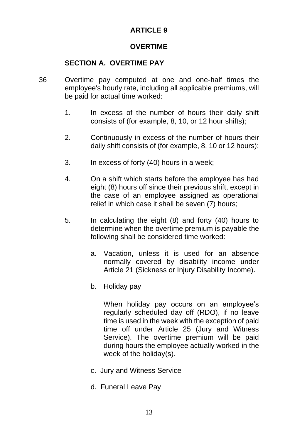## **ARTICLE 9**

#### **OVERTIME**

## **SECTION A. OVERTIME PAY**

- 36 Overtime pay computed at one and one-half times the employee's hourly rate, including all applicable premiums, will be paid for actual time worked:
	- 1. In excess of the number of hours their daily shift consists of (for example, 8, 10, or 12 hour shifts);
	- 2. Continuously in excess of the number of hours their daily shift consists of (for example, 8, 10 or 12 hours);
	- 3. In excess of forty (40) hours in a week;
	- 4. On a shift which starts before the employee has had eight (8) hours off since their previous shift, except in the case of an employee assigned as operational relief in which case it shall be seven (7) hours;
	- 5. In calculating the eight (8) and forty (40) hours to determine when the overtime premium is payable the following shall be considered time worked:
		- a. Vacation, unless it is used for an absence normally covered by disability income under Article 21 (Sickness or Injury Disability Income).
		- b. Holiday pay

When holiday pay occurs on an employee's regularly scheduled day off (RDO), if no leave time is used in the week with the exception of paid time off under Article 25 (Jury and Witness Service). The overtime premium will be paid during hours the employee actually worked in the week of the holiday(s).

- c. Jury and Witness Service
- d. Funeral Leave Pay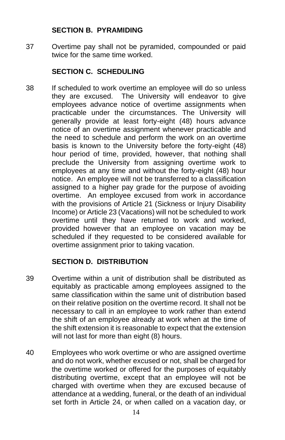#### **SECTION B. PYRAMIDING**

37 Overtime pay shall not be pyramided, compounded or paid twice for the same time worked.

## **SECTION C. SCHEDULING**

38 If scheduled to work overtime an employee will do so unless they are excused. The University will endeavor to give employees advance notice of overtime assignments when practicable under the circumstances. The University will generally provide at least forty-eight (48) hours advance notice of an overtime assignment whenever practicable and the need to schedule and perform the work on an overtime basis is known to the University before the forty-eight (48) hour period of time, provided, however, that nothing shall preclude the University from assigning overtime work to employees at any time and without the forty-eight (48) hour notice. An employee will not be transferred to a classification assigned to a higher pay grade for the purpose of avoiding overtime. An employee excused from work in accordance with the provisions of Article 21 (Sickness or Injury Disability Income) or Article 23 (Vacations) will not be scheduled to work overtime until they have returned to work and worked, provided however that an employee on vacation may be scheduled if they requested to be considered available for overtime assignment prior to taking vacation.

### **SECTION D. DISTRIBUTION**

- 39 Overtime within a unit of distribution shall be distributed as equitably as practicable among employees assigned to the same classification within the same unit of distribution based on their relative position on the overtime record. It shall not be necessary to call in an employee to work rather than extend the shift of an employee already at work when at the time of the shift extension it is reasonable to expect that the extension will not last for more than eight (8) hours.
- 40 Employees who work overtime or who are assigned overtime and do not work, whether excused or not, shall be charged for the overtime worked or offered for the purposes of equitably distributing overtime, except that an employee will not be charged with overtime when they are excused because of attendance at a wedding, funeral, or the death of an individual set forth in Article 24, or when called on a vacation day, or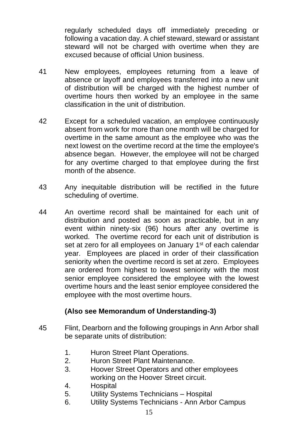regularly scheduled days off immediately preceding or following a vacation day. A chief steward, steward or assistant steward will not be charged with overtime when they are excused because of official Union business.

- 41 New employees, employees returning from a leave of absence or layoff and employees transferred into a new unit of distribution will be charged with the highest number of overtime hours then worked by an employee in the same classification in the unit of distribution.
- 42 Except for a scheduled vacation, an employee continuously absent from work for more than one month will be charged for overtime in the same amount as the employee who was the next lowest on the overtime record at the time the employee's absence began. However, the employee will not be charged for any overtime charged to that employee during the first month of the absence.
- 43 Any inequitable distribution will be rectified in the future scheduling of overtime.
- 44 An overtime record shall be maintained for each unit of distribution and posted as soon as practicable, but in any event within ninety-six (96) hours after any overtime is worked. The overtime record for each unit of distribution is set at zero for all employees on January 1<sup>st</sup> of each calendar year. Employees are placed in order of their classification seniority when the overtime record is set at zero. Employees are ordered from highest to lowest seniority with the most senior employee considered the employee with the lowest overtime hours and the least senior employee considered the employee with the most overtime hours.

### **(Also see Memorandum of Understanding-3)**

- 45 Flint, Dearborn and the following groupings in Ann Arbor shall be separate units of distribution:
	- 1. Huron Street Plant Operations.
	- 2. Huron Street Plant Maintenance.
	- 3. Hoover Street Operators and other employees working on the Hoover Street circuit.
	- 4. Hospital
	- 5. Utility Systems Technicians Hospital
	- 6. Utility Systems Technicians Ann Arbor Campus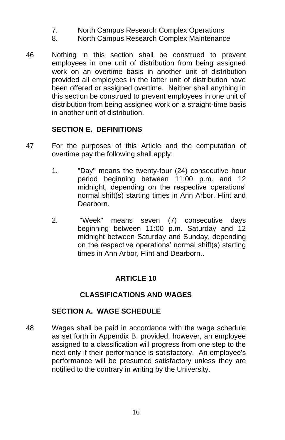- 7. North Campus Research Complex Operations
- 8. North Campus Research Complex Maintenance
- 46 Nothing in this section shall be construed to prevent employees in one unit of distribution from being assigned work on an overtime basis in another unit of distribution provided all employees in the latter unit of distribution have been offered or assigned overtime. Neither shall anything in this section be construed to prevent employees in one unit of distribution from being assigned work on a straight-time basis in another unit of distribution.

## **SECTION E. DEFINITIONS**

- 47 For the purposes of this Article and the computation of overtime pay the following shall apply:
	- 1. "Day" means the twenty-four (24) consecutive hour period beginning between 11:00 p.m. and 12 midnight, depending on the respective operations' normal shift(s) starting times in Ann Arbor, Flint and Dearborn.
	- 2. "Week" means seven (7) consecutive days beginning between 11:00 p.m. Saturday and 12 midnight between Saturday and Sunday, depending on the respective operations' normal shift(s) starting times in Ann Arbor, Flint and Dearborn..

# **ARTICLE 10**

## **CLASSIFICATIONS AND WAGES**

## **SECTION A. WAGE SCHEDULE**

48 Wages shall be paid in accordance with the wage schedule as set forth in Appendix B, provided, however, an employee assigned to a classification will progress from one step to the next only if their performance is satisfactory. An employee's performance will be presumed satisfactory unless they are notified to the contrary in writing by the University.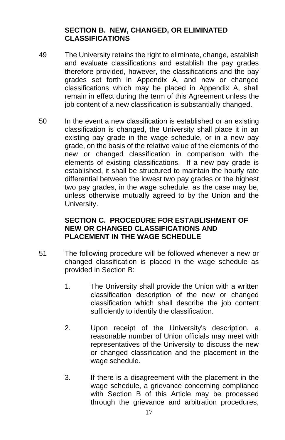### **SECTION B. NEW, CHANGED, OR ELIMINATED CLASSIFICATIONS**

- 49 The University retains the right to eliminate, change, establish and evaluate classifications and establish the pay grades therefore provided, however, the classifications and the pay grades set forth in Appendix A, and new or changed classifications which may be placed in Appendix A, shall remain in effect during the term of this Agreement unless the job content of a new classification is substantially changed.
- 50 In the event a new classification is established or an existing classification is changed, the University shall place it in an existing pay grade in the wage schedule, or in a new pay grade, on the basis of the relative value of the elements of the new or changed classification in comparison with the elements of existing classifications. If a new pay grade is established, it shall be structured to maintain the hourly rate differential between the lowest two pay grades or the highest two pay grades, in the wage schedule, as the case may be, unless otherwise mutually agreed to by the Union and the University.

#### **SECTION C. PROCEDURE FOR ESTABLISHMENT OF NEW OR CHANGED CLASSIFICATIONS AND PLACEMENT IN THE WAGE SCHEDULE**

- 51 The following procedure will be followed whenever a new or changed classification is placed in the wage schedule as provided in Section B:
	- 1. The University shall provide the Union with a written classification description of the new or changed classification which shall describe the job content sufficiently to identify the classification.
	- 2. Upon receipt of the University's description, a reasonable number of Union officials may meet with representatives of the University to discuss the new or changed classification and the placement in the wage schedule.
	- 3. If there is a disagreement with the placement in the wage schedule, a grievance concerning compliance with Section B of this Article may be processed through the grievance and arbitration procedures,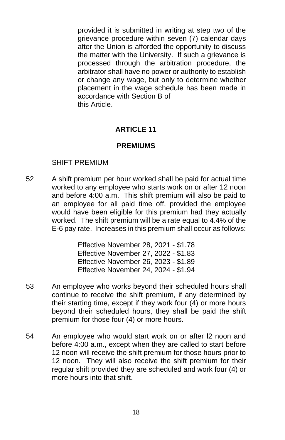provided it is submitted in writing at step two of the grievance procedure within seven (7) calendar days after the Union is afforded the opportunity to discuss the matter with the University. If such a grievance is processed through the arbitration procedure, the arbitrator shall have no power or authority to establish or change any wage, but only to determine whether placement in the wage schedule has been made in accordance with Section B of this Article.

## **ARTICLE 11**

### **PREMIUMS**

### SHIFT PREMIUM

52 A shift premium per hour worked shall be paid for actual time worked to any employee who starts work on or after 12 noon and before 4:00 a.m. This shift premium will also be paid to an employee for all paid time off, provided the employee would have been eligible for this premium had they actually worked. The shift premium will be a rate equal to 4.4% of the E-6 pay rate. Increases in this premium shall occur as follows:

> Effective November 28, 2021 - \$1.78 Effective November 27, 2022 - \$1.83 Effective November 26, 2023 - \$1.89 Effective November 24, 2024 - \$1.94

- 53 An employee who works beyond their scheduled hours shall continue to receive the shift premium, if any determined by their starting time, except if they work four (4) or more hours beyond their scheduled hours, they shall be paid the shift premium for those four (4) or more hours.
- 54 An employee who would start work on or after l2 noon and before 4:00 a.m., except when they are called to start before 12 noon will receive the shift premium for those hours prior to 12 noon. They will also receive the shift premium for their regular shift provided they are scheduled and work four (4) or more hours into that shift.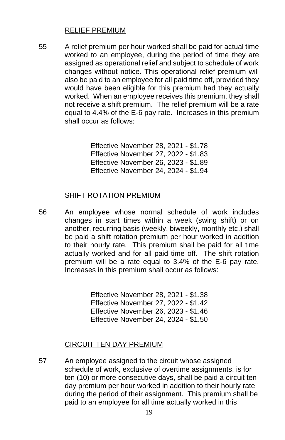### RELIEF PREMIUM

55 A relief premium per hour worked shall be paid for actual time worked to an employee, during the period of time they are assigned as operational relief and subject to schedule of work changes without notice. This operational relief premium will also be paid to an employee for all paid time off, provided they would have been eligible for this premium had they actually worked. When an employee receives this premium, they shall not receive a shift premium. The relief premium will be a rate equal to 4.4% of the E-6 pay rate. Increases in this premium shall occur as follows:

> Effective November 28, 2021 - \$1.78 Effective November 27, 2022 - \$1.83 Effective November 26, 2023 - \$1.89 Effective November 24, 2024 - \$1.94

#### SHIFT ROTATION PREMIUM

56 An employee whose normal schedule of work includes changes in start times within a week (swing shift) or on another, recurring basis (weekly, biweekly, monthly etc.) shall be paid a shift rotation premium per hour worked in addition to their hourly rate. This premium shall be paid for all time actually worked and for all paid time off. The shift rotation premium will be a rate equal to 3.4% of the E-6 pay rate. Increases in this premium shall occur as follows:

> Effective November 28, 2021 - \$1.38 Effective November 27, 2022 - \$1.42 Effective November 26, 2023 - \$1.46 Effective November 24, 2024 - \$1.50

### CIRCUIT TEN DAY PREMIUM

57 An employee assigned to the circuit whose assigned schedule of work, exclusive of overtime assignments, is for ten (10) or more consecutive days, shall be paid a circuit ten day premium per hour worked in addition to their hourly rate during the period of their assignment. This premium shall be paid to an employee for all time actually worked in this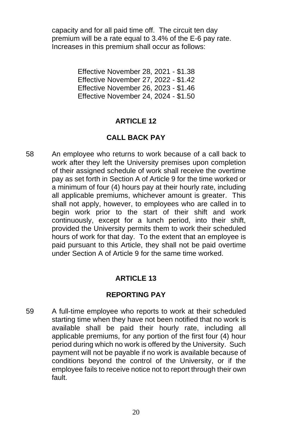capacity and for all paid time off. The circuit ten day premium will be a rate equal to 3.4% of the E-6 pay rate. Increases in this premium shall occur as follows:

> Effective November 28, 2021 - \$1.38 Effective November 27, 2022 - \$1.42 Effective November 26, 2023 - \$1.46 Effective November 24, 2024 - \$1.50

#### **ARTICLE 12**

### **CALL BACK PAY**

58 An employee who returns to work because of a call back to work after they left the University premises upon completion of their assigned schedule of work shall receive the overtime pay as set forth in Section A of Article 9 for the time worked or a minimum of four (4) hours pay at their hourly rate, including all applicable premiums, whichever amount is greater. This shall not apply, however, to employees who are called in to begin work prior to the start of their shift and work continuously, except for a lunch period, into their shift, provided the University permits them to work their scheduled hours of work for that day. To the extent that an employee is paid pursuant to this Article, they shall not be paid overtime under Section A of Article 9 for the same time worked.

### **ARTICLE 13**

#### **REPORTING PAY**

59 A full-time employee who reports to work at their scheduled starting time when they have not been notified that no work is available shall be paid their hourly rate, including all applicable premiums, for any portion of the first four (4) hour period during which no work is offered by the University. Such payment will not be payable if no work is available because of conditions beyond the control of the University, or if the employee fails to receive notice not to report through their own fault.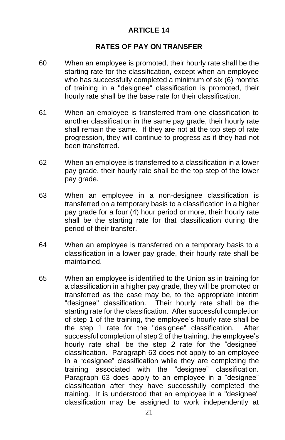## **ARTICLE 14**

#### **RATES OF PAY ON TRANSFER**

- 60 When an employee is promoted, their hourly rate shall be the starting rate for the classification, except when an employee who has successfully completed a minimum of six (6) months of training in a "designee" classification is promoted, their hourly rate shall be the base rate for their classification.
- 61 When an employee is transferred from one classification to another classification in the same pay grade, their hourly rate shall remain the same. If they are not at the top step of rate progression, they will continue to progress as if they had not been transferred.
- 62 When an employee is transferred to a classification in a lower pay grade, their hourly rate shall be the top step of the lower pay grade.
- 63 When an employee in a non-designee classification is transferred on a temporary basis to a classification in a higher pay grade for a four (4) hour period or more, their hourly rate shall be the starting rate for that classification during the period of their transfer.
- 64 When an employee is transferred on a temporary basis to a classification in a lower pay grade, their hourly rate shall be maintained.
- 65 When an employee is identified to the Union as in training for a classification in a higher pay grade, they will be promoted or transferred as the case may be, to the appropriate interim "designee" classification. Their hourly rate shall be the starting rate for the classification. After successful completion of step 1 of the training, the employee's hourly rate shall be the step 1 rate for the "designee" classification. After successful completion of step 2 of the training, the employee's hourly rate shall be the step 2 rate for the "designee" classification. Paragraph 63 does not apply to an employee in a "designee" classification while they are completing the training associated with the "designee" classification. Paragraph 63 does apply to an employee in a "designee" classification after they have successfully completed the training. It is understood that an employee in a "designee" classification may be assigned to work independently at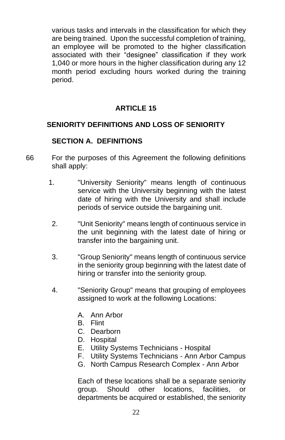various tasks and intervals in the classification for which they are being trained. Upon the successful completion of training, an employee will be promoted to the higher classification associated with their "designee" classification if they work 1,040 or more hours in the higher classification during any 12 month period excluding hours worked during the training period.

## **ARTICLE 15**

## **SENIORITY DEFINITIONS AND LOSS OF SENIORITY**

## **SECTION A. DEFINITIONS**

- 66 For the purposes of this Agreement the following definitions shall apply:
	- 1. "University Seniority" means length of continuous service with the University beginning with the latest date of hiring with the University and shall include periods of service outside the bargaining unit.
	- 2. "Unit Seniority" means length of continuous service in the unit beginning with the latest date of hiring or transfer into the bargaining unit.
	- 3. "Group Seniority" means length of continuous service in the seniority group beginning with the latest date of hiring or transfer into the seniority group.
	- 4. "Seniority Group" means that grouping of employees assigned to work at the following Locations:
		- A. Ann Arbor
		- B. Flint
		- C. Dearborn
		- D. Hospital
		- E. Utility Systems Technicians Hospital
		- F. Utility Systems Technicians Ann Arbor Campus
		- G. North Campus Research Complex Ann Arbor

Each of these locations shall be a separate seniority group. Should other locations, facilities, or departments be acquired or established, the seniority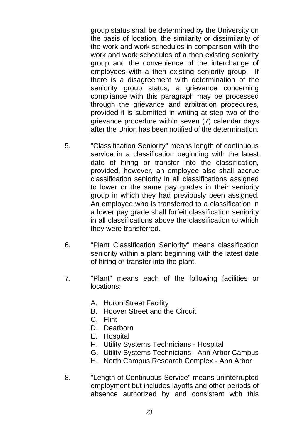group status shall be determined by the University on the basis of location, the similarity or dissimilarity of the work and work schedules in comparison with the work and work schedules of a then existing seniority group and the convenience of the interchange of employees with a then existing seniority group. there is a disagreement with determination of the seniority group status, a grievance concerning compliance with this paragraph may be processed through the grievance and arbitration procedures, provided it is submitted in writing at step two of the grievance procedure within seven (7) calendar days after the Union has been notified of the determination.

- 5. "Classification Seniority" means length of continuous service in a classification beginning with the latest date of hiring or transfer into the classification, provided, however, an employee also shall accrue classification seniority in all classifications assigned to lower or the same pay grades in their seniority group in which they had previously been assigned. An employee who is transferred to a classification in a lower pay grade shall forfeit classification seniority in all classifications above the classification to which they were transferred.
- 6. "Plant Classification Seniority" means classification seniority within a plant beginning with the latest date of hiring or transfer into the plant.
- 7. "Plant" means each of the following facilities or locations:
	- A. Huron Street Facility
	- B. Hoover Street and the Circuit
	- C. Flint
	- D. Dearborn
	- E. Hospital
	- F. Utility Systems Technicians Hospital
	- G. Utility Systems Technicians Ann Arbor Campus
	- H. North Campus Research Complex Ann Arbor
- 8. "Length of Continuous Service" means uninterrupted employment but includes layoffs and other periods of absence authorized by and consistent with this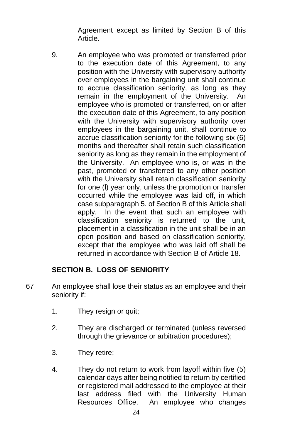Agreement except as limited by Section B of this Article.

9. An employee who was promoted or transferred prior to the execution date of this Agreement, to any position with the University with supervisory authority over employees in the bargaining unit shall continue to accrue classification seniority, as long as they remain in the employment of the University. An employee who is promoted or transferred, on or after the execution date of this Agreement, to any position with the University with supervisory authority over employees in the bargaining unit, shall continue to accrue classification seniority for the following six (6) months and thereafter shall retain such classification seniority as long as they remain in the employment of the University. An employee who is, or was in the past, promoted or transferred to any other position with the University shall retain classification seniority for one (l) year only, unless the promotion or transfer occurred while the employee was laid off, in which case subparagraph 5. of Section B of this Article shall apply. In the event that such an employee with classification seniority is returned to the unit, placement in a classification in the unit shall be in an open position and based on classification seniority, except that the employee who was laid off shall be returned in accordance with Section B of Article 18.

### **SECTION B. LOSS OF SENIORITY**

- 67 An employee shall lose their status as an employee and their seniority if:
	- 1. They resign or quit;
	- 2. They are discharged or terminated (unless reversed through the grievance or arbitration procedures);
	- 3. They retire;
	- 4. They do not return to work from layoff within five (5) calendar days after being notified to return by certified or registered mail addressed to the employee at their last address filed with the University Human Resources Office. An employee who changes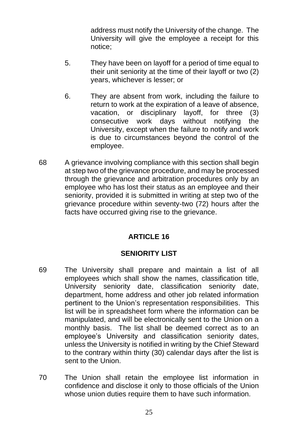address must notify the University of the change. The University will give the employee a receipt for this notice;

- 5. They have been on layoff for a period of time equal to their unit seniority at the time of their layoff or two (2) years, whichever is lesser; or
- 6. They are absent from work, including the failure to return to work at the expiration of a leave of absence, vacation, or disciplinary layoff, for three (3) consecutive work days without notifying the University, except when the failure to notify and work is due to circumstances beyond the control of the employee.
- 68 A grievance involving compliance with this section shall begin at step two of the grievance procedure, and may be processed through the grievance and arbitration procedures only by an employee who has lost their status as an employee and their seniority, provided it is submitted in writing at step two of the grievance procedure within seventy-two (72) hours after the facts have occurred giving rise to the grievance.

## **ARTICLE 16**

## **SENIORITY LIST**

- 69 The University shall prepare and maintain a list of all employees which shall show the names, classification title, University seniority date, classification seniority date, department, home address and other job related information pertinent to the Union's representation responsibilities. This list will be in spreadsheet form where the information can be manipulated, and will be electronically sent to the Union on a monthly basis. The list shall be deemed correct as to an employee's University and classification seniority dates, unless the University is notified in writing by the Chief Steward to the contrary within thirty (30) calendar days after the list is sent to the Union.
- 70 The Union shall retain the employee list information in confidence and disclose it only to those officials of the Union whose union duties require them to have such information.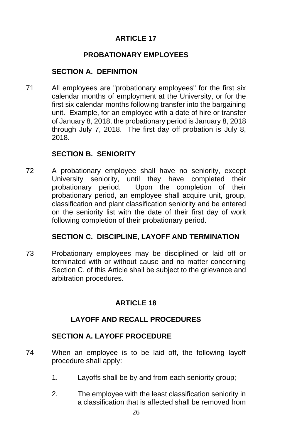# **ARTICLE 17**

## **PROBATIONARY EMPLOYEES**

### **SECTION A. DEFINITION**

71 All employees are "probationary employees" for the first six calendar months of employment at the University, or for the first six calendar months following transfer into the bargaining unit. Example, for an employee with a date of hire or transfer of January 8, 2018, the probationary period is January 8, 2018 through July 7, 2018. The first day off probation is July 8, 2018.

## **SECTION B. SENIORITY**

72 A probationary employee shall have no seniority, except University seniority, until they have completed their probationary period. Upon the completion of their probationary period, an employee shall acquire unit, group, classification and plant classification seniority and be entered on the seniority list with the date of their first day of work following completion of their probationary period.

### **SECTION C. DISCIPLINE, LAYOFF AND TERMINATION**

73 Probationary employees may be disciplined or laid off or terminated with or without cause and no matter concerning Section C, of this Article shall be subiect to the grievance and arbitration procedures.

## **ARTICLE 18**

## **LAYOFF AND RECALL PROCEDURES**

### **SECTION A. LAYOFF PROCEDURE**

- 74 When an employee is to be laid off, the following layoff procedure shall apply:
	- 1. Layoffs shall be by and from each seniority group;
	- 2. The employee with the least classification seniority in a classification that is affected shall be removed from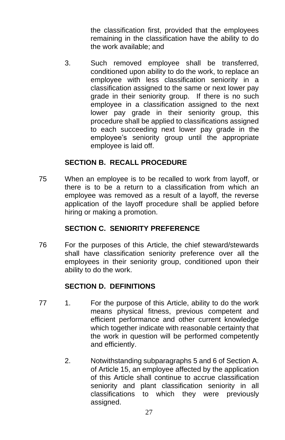the classification first, provided that the employees remaining in the classification have the ability to do the work available; and

3. Such removed employee shall be transferred, conditioned upon ability to do the work, to replace an employee with less classification seniority in a classification assigned to the same or next lower pay grade in their seniority group. If there is no such employee in a classification assigned to the next lower pay grade in their seniority group, this procedure shall be applied to classifications assigned to each succeeding next lower pay grade in the employee's seniority group until the appropriate employee is laid off.

## **SECTION B. RECALL PROCEDURE**

75 When an employee is to be recalled to work from layoff, or there is to be a return to a classification from which an employee was removed as a result of a layoff, the reverse application of the layoff procedure shall be applied before hiring or making a promotion.

## **SECTION C. SENIORITY PREFERENCE**

76 For the purposes of this Article, the chief steward/stewards shall have classification seniority preference over all the employees in their seniority group, conditioned upon their ability to do the work.

## **SECTION D. DEFINITIONS**

- 77 1. For the purpose of this Article, ability to do the work means physical fitness, previous competent and efficient performance and other current knowledge which together indicate with reasonable certainty that the work in question will be performed competently and efficiently.
	- 2. Notwithstanding subparagraphs 5 and 6 of Section A. of Article 15, an employee affected by the application of this Article shall continue to accrue classification seniority and plant classification seniority in all classifications to which they were previously assigned.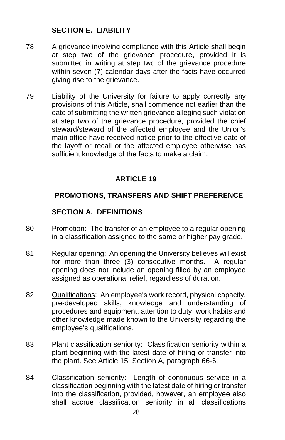## **SECTION E. LIABILITY**

- 78 A grievance involving compliance with this Article shall begin at step two of the grievance procedure, provided it is submitted in writing at step two of the grievance procedure within seven (7) calendar days after the facts have occurred giving rise to the grievance.
- 79 Liability of the University for failure to apply correctly any provisions of this Article, shall commence not earlier than the date of submitting the written grievance alleging such violation at step two of the grievance procedure, provided the chief steward/steward of the affected employee and the Union's main office have received notice prior to the effective date of the layoff or recall or the affected employee otherwise has sufficient knowledge of the facts to make a claim.

## **ARTICLE 19**

### **PROMOTIONS, TRANSFERS AND SHIFT PREFERENCE**

#### **SECTION A. DEFINITIONS**

- 80 Promotion: The transfer of an employee to a regular opening in a classification assigned to the same or higher pay grade.
- 81 Regular opening: An opening the University believes will exist for more than three (3) consecutive months. A regular opening does not include an opening filled by an employee assigned as operational relief, regardless of duration.
- 82 Qualifications: An employee's work record, physical capacity, pre-developed skills, knowledge and understanding of procedures and equipment, attention to duty, work habits and other knowledge made known to the University regarding the employee's qualifications.
- 83 Plant classification seniority: Classification seniority within a plant beginning with the latest date of hiring or transfer into the plant. See Article 15, Section A, paragraph 66-6.
- 84 Classification seniority: Length of continuous service in a classification beginning with the latest date of hiring or transfer into the classification, provided, however, an employee also shall accrue classification seniority in all classifications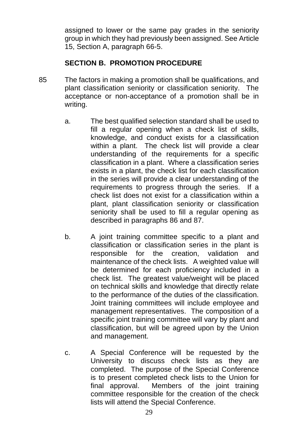assigned to lower or the same pay grades in the seniority group in which they had previously been assigned. See Article 15, Section A, paragraph 66-5.

## **SECTION B. PROMOTION PROCEDURE**

- 85 The factors in making a promotion shall be qualifications, and plant classification seniority or classification seniority. The acceptance or non-acceptance of a promotion shall be in writing.
	- a. The best qualified selection standard shall be used to fill a regular opening when a check list of skills, knowledge, and conduct exists for a classification within a plant. The check list will provide a clear understanding of the requirements for a specific classification in a plant. Where a classification series exists in a plant, the check list for each classification in the series will provide a clear understanding of the requirements to progress through the series. If a check list does not exist for a classification within a plant, plant classification seniority or classification seniority shall be used to fill a regular opening as described in paragraphs 86 and 87.
	- b. A joint training committee specific to a plant and classification or classification series in the plant is responsible for the creation, validation and maintenance of the check lists. A weighted value will be determined for each proficiency included in a check list. The greatest value/weight will be placed on technical skills and knowledge that directly relate to the performance of the duties of the classification. Joint training committees will include employee and management representatives. The composition of a specific joint training committee will vary by plant and classification, but will be agreed upon by the Union and management.
	- c. A Special Conference will be requested by the University to discuss check lists as they are completed. The purpose of the Special Conference is to present completed check lists to the Union for final approval. Members of the joint training committee responsible for the creation of the check lists will attend the Special Conference.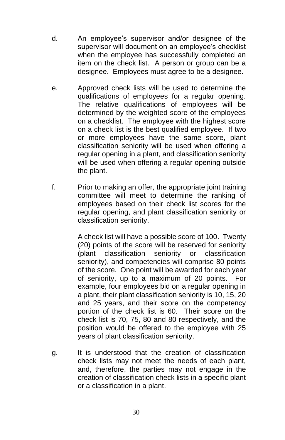- d. An employee's supervisor and/or designee of the supervisor will document on an employee's checklist when the employee has successfully completed an item on the check list. A person or group can be a designee. Employees must agree to be a designee.
- e. Approved check lists will be used to determine the qualifications of employees for a regular opening. The relative qualifications of employees will be determined by the weighted score of the employees on a checklist. The employee with the highest score on a check list is the best qualified employee. If two or more employees have the same score, plant classification seniority will be used when offering a regular opening in a plant, and classification seniority will be used when offering a regular opening outside the plant.
- f. Prior to making an offer, the appropriate joint training committee will meet to determine the ranking of employees based on their check list scores for the regular opening, and plant classification seniority or classification seniority.

A check list will have a possible score of 100. Twenty (20) points of the score will be reserved for seniority (plant classification seniority or classification seniority), and competencies will comprise 80 points of the score. One point will be awarded for each year of seniority, up to a maximum of 20 points. For example, four employees bid on a regular opening in a plant, their plant classification seniority is 10, 15, 20 and 25 years, and their score on the competency portion of the check list is 60. Their score on the check list is 70, 75, 80 and 80 respectively, and the position would be offered to the employee with 25 years of plant classification seniority.

g. It is understood that the creation of classification check lists may not meet the needs of each plant, and, therefore, the parties may not engage in the creation of classification check lists in a specific plant or a classification in a plant.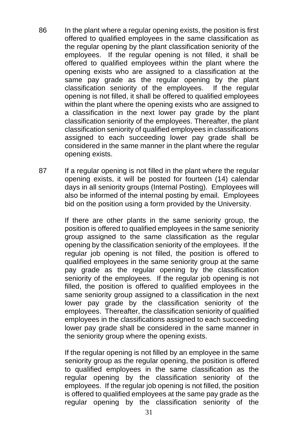- 86 In the plant where a regular opening exists, the position is first offered to qualified employees in the same classification as the regular opening by the plant classification seniority of the employees. If the regular opening is not filled, it shall be offered to qualified employees within the plant where the opening exists who are assigned to a classification at the same pay grade as the regular opening by the plant classification seniority of the employees. If the regular opening is not filled, it shall be offered to qualified employees within the plant where the opening exists who are assigned to a classification in the next lower pay grade by the plant classification seniority of the employees. Thereafter, the plant classification seniority of qualified employees in classifications assigned to each succeeding lower pay grade shall be considered in the same manner in the plant where the regular opening exists.
- 87 If a regular opening is not filled in the plant where the regular opening exists, it will be posted for fourteen (14) calendar days in all seniority groups (Internal Posting). Employees will also be informed of the internal posting by email. Employees bid on the position using a form provided by the University.

If there are other plants in the same seniority group, the position is offered to qualified employees in the same seniority group assigned to the same classification as the regular opening by the classification seniority of the employees. If the regular job opening is not filled, the position is offered to qualified employees in the same seniority group at the same pay grade as the regular opening by the classification seniority of the employees. If the regular job opening is not filled, the position is offered to qualified employees in the same seniority group assigned to a classification in the next lower pay grade by the classification seniority of the employees. Thereafter, the classification seniority of qualified employees in the classifications assigned to each succeeding lower pay grade shall be considered in the same manner in the seniority group where the opening exists.

If the regular opening is not filled by an employee in the same seniority group as the regular opening, the position is offered to qualified employees in the same classification as the regular opening by the classification seniority of the employees. If the regular job opening is not filled, the position is offered to qualified employees at the same pay grade as the regular opening by the classification seniority of the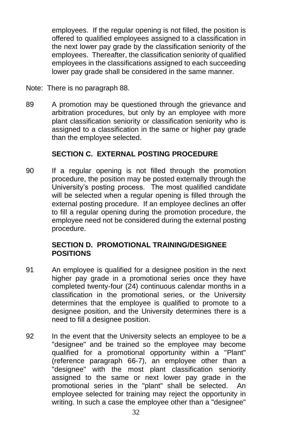employees. If the regular opening is not filled, the position is offered to qualified employees assigned to a classification in the next lower pay grade by the classification seniority of the employees. Thereafter, the classification seniority of qualified employees in the classifications assigned to each succeeding lower pay grade shall be considered in the same manner.

- Note: There is no paragraph 88.
- 89 A promotion may be questioned through the grievance and arbitration procedures, but only by an employee with more plant classification seniority or classification seniority who is assigned to a classification in the same or higher pay grade than the employee selected.

# **SECTION C. EXTERNAL POSTING PROCEDURE**

90 If a regular opening is not filled through the promotion procedure, the position may be posted externally through the University's posting process. The most qualified candidate will be selected when a regular opening is filled through the external posting procedure. If an employee declines an offer to fill a regular opening during the promotion procedure, the employee need not be considered during the external posting procedure.

## **SECTION D. PROMOTIONAL TRAINING/DESIGNEE POSITIONS**

- 91 An employee is qualified for a designee position in the next higher pay grade in a promotional series once they have completed twenty-four (24) continuous calendar months in a classification in the promotional series, or the University determines that the employee is qualified to promote to a designee position, and the University determines there is a need to fill a designee position.
- 92 In the event that the University selects an employee to be a "designee" and be trained so the employee may become qualified for a promotional opportunity within a "Plant" (reference paragraph 66-7), an employee other than a "designee" with the most plant classification seniority assigned to the same or next lower pay grade in the promotional series in the "plant" shall be selected. An employee selected for training may reject the opportunity in writing. In such a case the employee other than a "designee"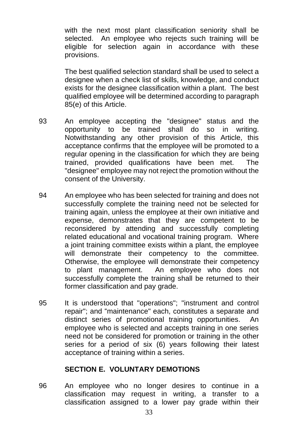with the next most plant classification seniority shall be selected. An employee who rejects such training will be eligible for selection again in accordance with these provisions.

The best qualified selection standard shall be used to select a designee when a check list of skills, knowledge, and conduct exists for the designee classification within a plant. The best qualified employee will be determined according to paragraph 85(e) of this Article.

- 93 An employee accepting the "designee" status and the opportunity to be trained shall do so in writing. Notwithstanding any other provision of this Article, this acceptance confirms that the employee will be promoted to a regular opening in the classification for which they are being trained, provided qualifications have been met. The "designee" employee may not reject the promotion without the consent of the University.
- 94 An employee who has been selected for training and does not successfully complete the training need not be selected for training again, unless the employee at their own initiative and expense, demonstrates that they are competent to be reconsidered by attending and successfully completing related educational and vocational training program. Where a joint training committee exists within a plant, the employee will demonstrate their competency to the committee. Otherwise, the employee will demonstrate their competency to plant management. An employee who does not successfully complete the training shall be returned to their former classification and pay grade.
- 95 It is understood that "operations"; "instrument and control repair"; and "maintenance" each, constitutes a separate and distinct series of promotional training opportunities. An employee who is selected and accepts training in one series need not be considered for promotion or training in the other series for a period of six (6) years following their latest acceptance of training within a series.

## **SECTION E. VOLUNTARY DEMOTIONS**

96 An employee who no longer desires to continue in a classification may request in writing, a transfer to a classification assigned to a lower pay grade within their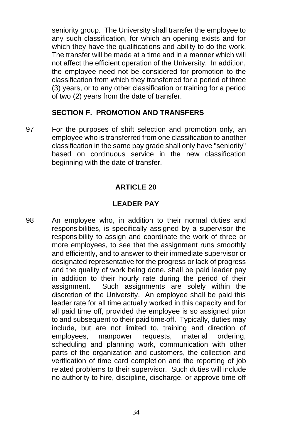seniority group. The University shall transfer the employee to any such classification, for which an opening exists and for which they have the qualifications and ability to do the work. The transfer will be made at a time and in a manner which will not affect the efficient operation of the University. In addition, the employee need not be considered for promotion to the classification from which they transferred for a period of three (3) years, or to any other classification or training for a period of two (2) years from the date of transfer.

## **SECTION F. PROMOTION AND TRANSFERS**

97 For the purposes of shift selection and promotion only, an employee who is transferred from one classification to another classification in the same pay grade shall only have "seniority" based on continuous service in the new classification beginning with the date of transfer.

#### **ARTICLE 20**

# **LEADER PAY**

98 An employee who, in addition to their normal duties and responsibilities, is specifically assigned by a supervisor the responsibility to assign and coordinate the work of three or more employees, to see that the assignment runs smoothly and efficiently, and to answer to their immediate supervisor or designated representative for the progress or lack of progress and the quality of work being done, shall be paid leader pay in addition to their hourly rate during the period of their assignment. Such assignments are solely within the discretion of the University. An employee shall be paid this leader rate for all time actually worked in this capacity and for all paid time off, provided the employee is so assigned prior to and subsequent to their paid time off. Typically, duties may include, but are not limited to, training and direction of employees, manpower requests, material ordering, scheduling and planning work, communication with other parts of the organization and customers, the collection and verification of time card completion and the reporting of job related problems to their supervisor. Such duties will include no authority to hire, discipline, discharge, or approve time off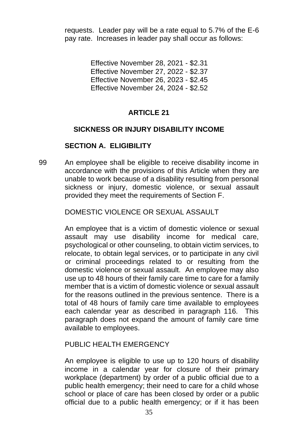requests. Leader pay will be a rate equal to 5.7% of the E-6 pay rate. Increases in leader pay shall occur as follows:

> Effective November 28, 2021 - \$2.31 Effective November 27, 2022 - \$2.37 Effective November 26, 2023 - \$2.45 Effective November 24, 2024 - \$2.52

# **ARTICLE 21**

## **SICKNESS OR INJURY DISABILITY INCOME**

# **SECTION A. ELIGIBILITY**

99 An employee shall be eligible to receive disability income in accordance with the provisions of this Article when they are unable to work because of a disability resulting from personal sickness or injury, domestic violence, or sexual assault provided they meet the requirements of Section F.

## DOMESTIC VIOLENCE OR SEXUAL ASSAULT

An employee that is a victim of domestic violence or sexual assault may use disability income for medical care, psychological or other counseling, to obtain victim services, to relocate, to obtain legal services, or to participate in any civil or criminal proceedings related to or resulting from the domestic violence or sexual assault. An employee may also use up to 48 hours of their family care time to care for a family member that is a victim of domestic violence or sexual assault for the reasons outlined in the previous sentence. There is a total of 48 hours of family care time available to employees each calendar year as described in paragraph 116. This paragraph does not expand the amount of family care time available to employees.

## PUBLIC HEALTH EMERGENCY

An employee is eligible to use up to 120 hours of disability income in a calendar year for closure of their primary workplace (department) by order of a public official due to a public health emergency; their need to care for a child whose school or place of care has been closed by order or a public official due to a public health emergency; or if it has been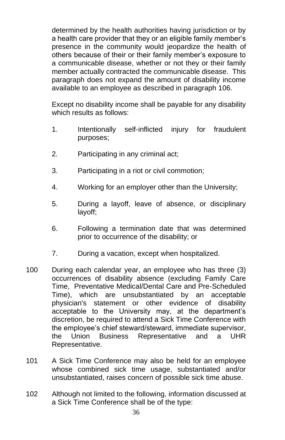determined by the health authorities having jurisdiction or by a health care provider that they or an eligible family member's presence in the community would jeopardize the health of others because of their or their family member's exposure to a communicable disease, whether or not they or their family member actually contracted the communicable disease. This paragraph does not expand the amount of disability income available to an employee as described in paragraph 106.

Except no disability income shall be payable for any disability which results as follows:

- 1. Intentionally self-inflicted injury for fraudulent purposes;
- 2. Participating in any criminal act;
- 3. Participating in a riot or civil commotion;
- 4. Working for an employer other than the University;
- 5. During a layoff, leave of absence, or disciplinary layoff;
- 6. Following a termination date that was determined prior to occurrence of the disability; or
- 7. During a vacation, except when hospitalized.
- 100 During each calendar year, an employee who has three (3) occurrences of disability absence (excluding Family Care Time, Preventative Medical/Dental Care and Pre-Scheduled Time), which are unsubstantiated by an acceptable physician's statement or other evidence of disability acceptable to the University may, at the department's discretion, be required to attend a Sick Time Conference with the employee's chief steward/steward, immediate supervisor, the Union Business Representative and a UHR Representative.
- 101 A Sick Time Conference may also be held for an employee whose combined sick time usage, substantiated and/or unsubstantiated, raises concern of possible sick time abuse.
- 102 Although not limited to the following, information discussed at a Sick Time Conference shall be of the type: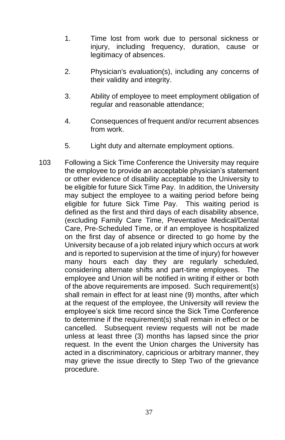- 1. Time lost from work due to personal sickness or injury, including frequency, duration, cause or legitimacy of absences.
- 2. Physician's evaluation(s), including any concerns of their validity and integrity.
- 3. Ability of employee to meet employment obligation of regular and reasonable attendance;
- 4. Consequences of frequent and/or recurrent absences from work.
- 5. Light duty and alternate employment options.
- 103 Following a Sick Time Conference the University may require the employee to provide an acceptable physician's statement or other evidence of disability acceptable to the University to be eligible for future Sick Time Pay. In addition, the University may subject the employee to a waiting period before being eligible for future Sick Time Pay. This waiting period is defined as the first and third days of each disability absence, (excluding Family Care Time, Preventative Medical/Dental Care, Pre-Scheduled Time, or if an employee is hospitalized on the first day of absence or directed to go home by the University because of a job related injury which occurs at work and is reported to supervision at the time of injury) for however many hours each day they are regularly scheduled, considering alternate shifts and part-time employees. The employee and Union will be notified in writing if either or both of the above requirements are imposed. Such requirement(s) shall remain in effect for at least nine (9) months, after which at the request of the employee, the University will review the employee's sick time record since the Sick Time Conference to determine if the requirement(s) shall remain in effect or be cancelled. Subsequent review requests will not be made unless at least three (3) months has lapsed since the prior request. In the event the Union charges the University has acted in a discriminatory, capricious or arbitrary manner, they may grieve the issue directly to Step Two of the grievance procedure.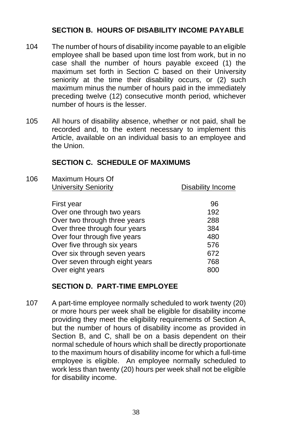# **SECTION B. HOURS OF DISABILITY INCOME PAYABLE**

- 104 The number of hours of disability income payable to an eligible employee shall be based upon time lost from work, but in no case shall the number of hours payable exceed (1) the maximum set forth in Section C based on their University seniority at the time their disability occurs, or (2) such maximum minus the number of hours paid in the immediately preceding twelve (12) consecutive month period, whichever number of hours is the lesser.
- 105 All hours of disability absence, whether or not paid, shall be recorded and, to the extent necessary to implement this Article, available on an individual basis to an employee and the Union.

# **SECTION C. SCHEDULE OF MAXIMUMS**

106 Maximum Hours Of University Seniority **Disability Income** 

| First year                     | 96  |
|--------------------------------|-----|
| Over one through two years     | 192 |
| Over two through three years   | 288 |
| Over three through four years  | 384 |
| Over four through five years   | 480 |
| Over five through six years    | 576 |
| Over six through seven years   | 672 |
| Over seven through eight years | 768 |
| Over eight years               | 800 |

# **SECTION D. PART-TIME EMPLOYEE**

107 A part-time employee normally scheduled to work twenty (20) or more hours per week shall be eligible for disability income providing they meet the eligibility requirements of Section A, but the number of hours of disability income as provided in Section B, and C, shall be on a basis dependent on their normal schedule of hours which shall be directly proportionate to the maximum hours of disability income for which a full-time employee is eligible. An employee normally scheduled to work less than twenty (20) hours per week shall not be eligible for disability income.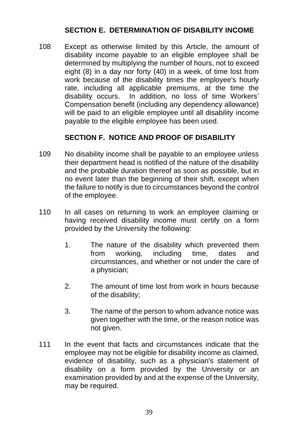## **SECTION E. DETERMINATION OF DISABILITY INCOME**

108 Except as otherwise limited by this Article, the amount of disability income payable to an eligible employee shall be determined by multiplying the number of hours, not to exceed eight (8) in a day nor forty (40) in a week, of time lost from work because of the disability times the employee's hourly rate, including all applicable premiums, at the time the disability occurs. In addition, no loss of time Workers' Compensation benefit (including any dependency allowance) will be paid to an eligible employee until all disability income payable to the eligible employee has been used.

# **SECTION F. NOTICE AND PROOF OF DISABILITY**

- 109 No disability income shall be payable to an employee unless their department head is notified of the nature of the disability and the probable duration thereof as soon as possible, but in no event later than the beginning of their shift, except when the failure to notify is due to circumstances beyond the control of the employee.
- 110 In all cases on returning to work an employee claiming or having received disability income must certify on a form provided by the University the following:
	- 1. The nature of the disability which prevented them from working, including time, dates and circumstances, and whether or not under the care of a physician;
	- 2. The amount of time lost from work in hours because of the disability;
	- 3. The name of the person to whom advance notice was given together with the time, or the reason notice was not given.
- 111 In the event that facts and circumstances indicate that the employee may not be eligible for disability income as claimed, evidence of disability, such as a physician's statement of disability on a form provided by the University or an examination provided by and at the expense of the University, may be required.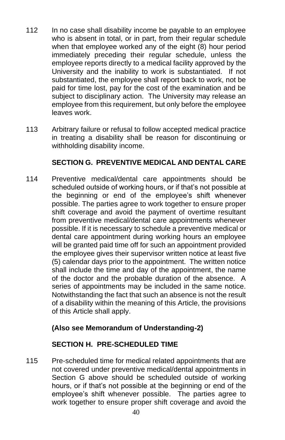- 112 In no case shall disability income be payable to an employee who is absent in total, or in part, from their regular schedule when that employee worked any of the eight (8) hour period immediately preceding their regular schedule, unless the employee reports directly to a medical facility approved by the University and the inability to work is substantiated. If not substantiated, the employee shall report back to work, not be paid for time lost, pay for the cost of the examination and be subiect to disciplinary action. The University may release an employee from this requirement, but only before the employee leaves work.
- 113 Arbitrary failure or refusal to follow accepted medical practice in treating a disability shall be reason for discontinuing or withholding disability income.

# **SECTION G. PREVENTIVE MEDICAL AND DENTAL CARE**

114 Preventive medical/dental care appointments should be scheduled outside of working hours, or if that's not possible at the beginning or end of the employee's shift whenever possible. The parties agree to work together to ensure proper shift coverage and avoid the payment of overtime resultant from preventive medical/dental care appointments whenever possible. If it is necessary to schedule a preventive medical or dental care appointment during working hours an employee will be granted paid time off for such an appointment provided the employee gives their supervisor written notice at least five (5) calendar days prior to the appointment. The written notice shall include the time and day of the appointment, the name of the doctor and the probable duration of the absence. A series of appointments may be included in the same notice. Notwithstanding the fact that such an absence is not the result of a disability within the meaning of this Article, the provisions of this Article shall apply.

# **(Also see Memorandum of Understanding-2)**

# **SECTION H. PRE-SCHEDULED TIME**

115 Pre-scheduled time for medical related appointments that are not covered under preventive medical/dental appointments in Section G above should be scheduled outside of working hours, or if that's not possible at the beginning or end of the employee's shift whenever possible. The parties agree to work together to ensure proper shift coverage and avoid the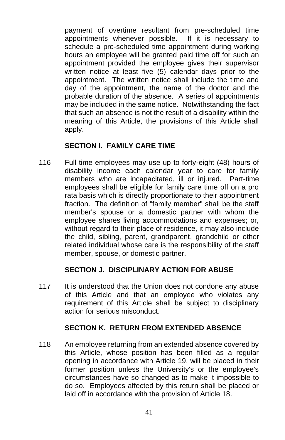payment of overtime resultant from pre-scheduled time appointments whenever possible. If it is necessary to schedule a pre-scheduled time appointment during working hours an employee will be granted paid time off for such an appointment provided the employee gives their supervisor written notice at least five (5) calendar days prior to the appointment. The written notice shall include the time and day of the appointment, the name of the doctor and the probable duration of the absence. A series of appointments may be included in the same notice. Notwithstanding the fact that such an absence is not the result of a disability within the meaning of this Article, the provisions of this Article shall apply.

# **SECTION I. FAMILY CARE TIME**

116 Full time employees may use up to forty-eight (48) hours of disability income each calendar year to care for family members who are incapacitated, ill or injured. Part-time employees shall be eligible for family care time off on a pro rata basis which is directly proportionate to their appointment fraction. The definition of "family member" shall be the staff member's spouse or a domestic partner with whom the employee shares living accommodations and expenses; or, without regard to their place of residence, it may also include the child, sibling, parent, grandparent, grandchild or other related individual whose care is the responsibility of the staff member, spouse, or domestic partner.

## **SECTION J. DISCIPLINARY ACTION FOR ABUSE**

117 It is understood that the Union does not condone any abuse of this Article and that an employee who violates any requirement of this Article shall be subject to disciplinary action for serious misconduct.

## **SECTION K. RETURN FROM EXTENDED ABSENCE**

118 An employee returning from an extended absence covered by this Article, whose position has been filled as a regular opening in accordance with Article 19, will be placed in their former position unless the University's or the employee's circumstances have so changed as to make it impossible to do so. Employees affected by this return shall be placed or laid off in accordance with the provision of Article 18.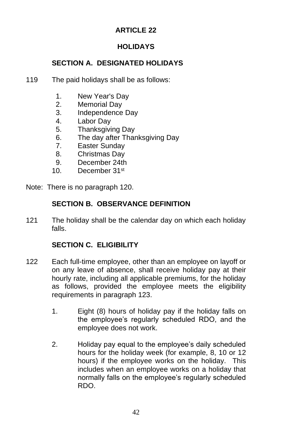# **ARTICLE 22**

# **HOLIDAYS**

# **SECTION A. DESIGNATED HOLIDAYS**

- 119 The paid holidays shall be as follows:
	- 1. New Year's Day
	- 2. Memorial Day
	- 3. Independence Day
	- 4. Labor Day
	- 5. Thanksgiving Day
	- 6. The day after Thanksgiving Day
	- 7. Easter Sunday
	- 8. Christmas Day
	- 9. December 24th
	- 10. December 31st

Note: There is no paragraph 120.

## **SECTION B. OBSERVANCE DEFINITION**

121 The holiday shall be the calendar day on which each holiday falls.

# **SECTION C. ELIGIBILITY**

- 122 Each full-time employee, other than an employee on layoff or on any leave of absence, shall receive holiday pay at their hourly rate, including all applicable premiums, for the holiday as follows, provided the employee meets the eligibility requirements in paragraph 123.
	- 1. Eight (8) hours of holiday pay if the holiday falls on the employee's regularly scheduled RDO, and the employee does not work.
	- 2. Holiday pay equal to the employee's daily scheduled hours for the holiday week (for example, 8, 10 or 12 hours) if the employee works on the holiday. This includes when an employee works on a holiday that normally falls on the employee's regularly scheduled RDO.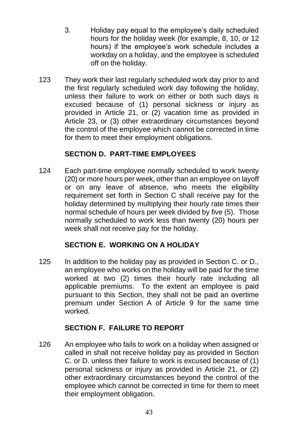- 3. Holiday pay equal to the employee's daily scheduled hours for the holiday week (for example, 8, 10, or 12 hours) if the employee's work schedule includes a workday on a holiday, and the employee is scheduled off on the holiday.
- 123 They work their last regularly scheduled work day prior to and the first regularly scheduled work day following the holiday, unless their failure to work on either or both such days is excused because of (1) personal sickness or injury as provided in Article 21, or (2) vacation time as provided in Article 23, or (3) other extraordinary circumstances beyond the control of the employee which cannot be corrected in time for them to meet their employment obligations.

# **SECTION D. PART-TIME EMPLOYEES**

124 Each part-time employee normally scheduled to work twenty (20) or more hours per week, other than an employee on layoff or on any leave of absence, who meets the eligibility requirement set forth in Section C shall receive pay for the holiday determined by multiplying their hourly rate times their normal schedule of hours per week divided by five (5). Those normally scheduled to work less than twenty (20) hours per week shall not receive pay for the holiday.

# **SECTION E. WORKING ON A HOLIDAY**

125 In addition to the holiday pay as provided in Section C. or D., an employee who works on the holiday will be paid for the time worked at two (2) times their hourly rate including all applicable premiums. To the extent an employee is paid pursuant to this Section, they shall not be paid an overtime premium under Section A of Article 9 for the same time worked.

# **SECTION F. FAILURE TO REPORT**

126 An employee who fails to work on a holiday when assigned or called in shall not receive holiday pay as provided in Section C. or D. unless their failure to work is excused because of (1) personal sickness or injury as provided in Article 21, or (2) other extraordinary circumstances beyond the control of the employee which cannot be corrected in time for them to meet their employment obligation.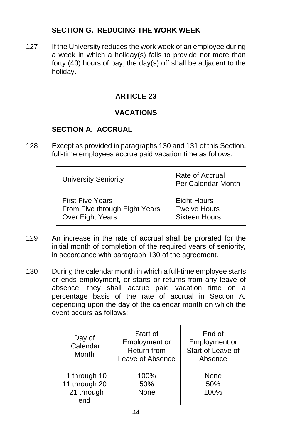# **SECTION G. REDUCING THE WORK WEEK**

127 If the University reduces the work week of an employee during a week in which a holiday(s) falls to provide not more than forty (40) hours of pay, the day(s) off shall be adjacent to the holiday.

# **ARTICLE 23**

# **VACATIONS**

# **SECTION A. ACCRUAL**

128 Except as provided in paragraphs 130 and 131 of this Section, full-time employees accrue paid vacation time as follows:

| <b>University Seniority</b>   | Rate of Accrual<br>Per Calendar Month |
|-------------------------------|---------------------------------------|
| <b>First Five Years</b>       | <b>Eight Hours</b>                    |
| From Five through Eight Years | <b>Twelve Hours</b>                   |
| Over Eight Years              | <b>Sixteen Hours</b>                  |

- 129 An increase in the rate of accrual shall be prorated for the initial month of completion of the required years of seniority, in accordance with paragraph 130 of the agreement.
- 130 During the calendar month in which a full-time employee starts or ends employment, or starts or returns from any leave of absence, they shall accrue paid vacation time on a percentage basis of the rate of accrual in Section A. depending upon the day of the calendar month on which the event occurs as follows:

| Day of<br>Calendar<br>Month                        | Start of<br>Employment or<br><b>Return from</b><br>Leave of Absence | End of<br>Employment or<br>Start of Leave of<br>Absence |
|----------------------------------------------------|---------------------------------------------------------------------|---------------------------------------------------------|
| 1 through 10<br>11 through 20<br>21 through<br>end | 100%<br>50%<br>None                                                 | None<br>50%<br>100%                                     |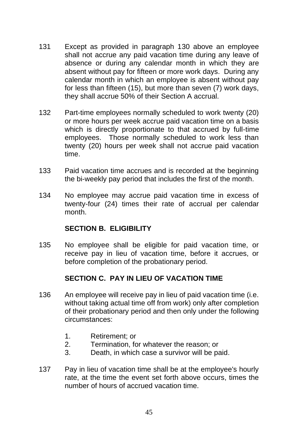- 131 Except as provided in paragraph 130 above an employee shall not accrue any paid vacation time during any leave of absence or during any calendar month in which they are absent without pay for fifteen or more work days. During any calendar month in which an employee is absent without pay for less than fifteen (15), but more than seven (7) work days, they shall accrue 50% of their Section A accrual.
- 132 Part-time employees normally scheduled to work twenty (20) or more hours per week accrue paid vacation time on a basis which is directly proportionate to that accrued by full-time employees. Those normally scheduled to work less than twenty (20) hours per week shall not accrue paid vacation time.
- 133 Paid vacation time accrues and is recorded at the beginning the bi-weekly pay period that includes the first of the month.
- 134 No employee may accrue paid vacation time in excess of twenty-four (24) times their rate of accrual per calendar month.

#### **SECTION B. ELIGIBILITY**

135 No employee shall be eligible for paid vacation time, or receive pay in lieu of vacation time, before it accrues, or before completion of the probationary period.

# **SECTION C. PAY IN LIEU OF VACATION TIME**

- 136 An employee will receive pay in lieu of paid vacation time (i.e. without taking actual time off from work) only after completion of their probationary period and then only under the following circumstances:
	- 1. Retirement; or
	- 2. Termination, for whatever the reason; or
	- 3. Death, in which case a survivor will be paid.
- 137 Pay in lieu of vacation time shall be at the employee's hourly rate, at the time the event set forth above occurs, times the number of hours of accrued vacation time.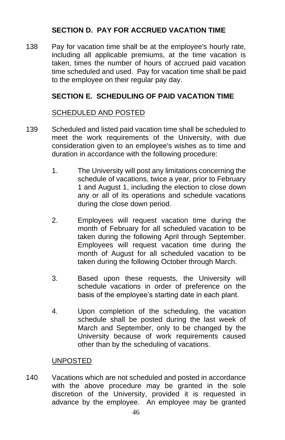# **SECTION D. PAY FOR ACCRUED VACATION TIME**

138 Pay for vacation time shall be at the employee's hourly rate, including all applicable premiums, at the time vacation is taken, times the number of hours of accrued paid vacation time scheduled and used. Pay for vacation time shall be paid to the employee on their regular pay day.

# **SECTION E. SCHEDULING OF PAID VACATION TIME**

## SCHEDULED AND POSTED

- 139 Scheduled and listed paid vacation time shall be scheduled to meet the work requirements of the University, with due consideration given to an employee's wishes as to time and duration in accordance with the following procedure:
	- 1. The University will post any limitations concerning the schedule of vacations, twice a year, prior to February 1 and August 1, including the election to close down any or all of its operations and schedule vacations during the close down period.
	- 2. Employees will request vacation time during the month of February for all scheduled vacation to be taken during the following April through September. Employees will request vacation time during the month of August for all scheduled vacation to be taken during the following October through March.
	- 3. Based upon these requests, the University will schedule vacations in order of preference on the basis of the employee's starting date in each plant.
	- 4. Upon completion of the scheduling, the vacation schedule shall be posted during the last week of March and September, only to be changed by the University because of work requirements caused other than by the scheduling of vacations.

#### UNPOSTED

140 Vacations which are not scheduled and posted in accordance with the above procedure may be granted in the sole discretion of the University, provided it is requested in advance by the employee. An employee may be granted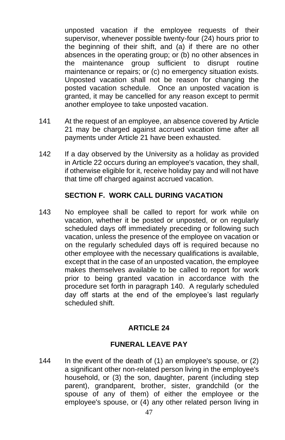unposted vacation if the employee requests of their supervisor, whenever possible twenty-four (24) hours prior to the beginning of their shift, and (a) if there are no other absences in the operating group; or (b) no other absences in the maintenance group sufficient to disrupt routine maintenance or repairs; or (c) no emergency situation exists. Unposted vacation shall not be reason for changing the posted vacation schedule. Once an unposted vacation is granted, it may be cancelled for any reason except to permit another employee to take unposted vacation.

- 141 At the request of an employee, an absence covered by Article 21 may be charged against accrued vacation time after all payments under Article 21 have been exhausted.
- 142 If a day observed by the University as a holiday as provided in Article 22 occurs during an employee's vacation, they shall, if otherwise eligible for it, receive holiday pay and will not have that time off charged against accrued vacation.

## **SECTION F. WORK CALL DURING VACATION**

143 No employee shall be called to report for work while on vacation, whether it be posted or unposted, or on regularly scheduled days off immediately preceding or following such vacation, unless the presence of the employee on vacation or on the regularly scheduled days off is required because no other employee with the necessary qualifications is available, except that in the case of an unposted vacation, the employee makes themselves available to be called to report for work prior to being granted vacation in accordance with the procedure set forth in paragraph 140. A regularly scheduled day off starts at the end of the employee's last regularly scheduled shift.

## **ARTICLE 24**

## **FUNERAL LEAVE PAY**

144 In the event of the death of (1) an employee's spouse, or (2) a significant other non-related person living in the employee's household, or (3) the son, daughter, parent (including step parent), grandparent, brother, sister, grandchild (or the spouse of any of them) of either the employee or the employee's spouse, or (4) any other related person living in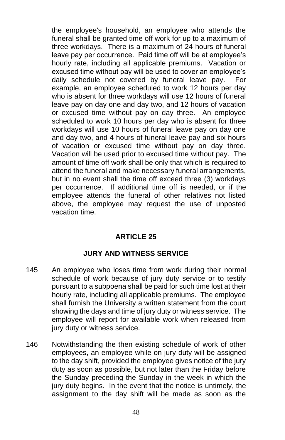the employee's household, an employee who attends the funeral shall be granted time off work for up to a maximum of three workdays. There is a maximum of 24 hours of funeral leave pay per occurrence. Paid time off will be at employee's hourly rate, including all applicable premiums. Vacation or excused time without pay will be used to cover an employee's daily schedule not covered by funeral leave pay. For example, an employee scheduled to work 12 hours per day who is absent for three workdays will use 12 hours of funeral leave pay on day one and day two, and 12 hours of vacation or excused time without pay on day three. An employee scheduled to work 10 hours per day who is absent for three workdays will use 10 hours of funeral leave pay on day one and day two, and 4 hours of funeral leave pay and six hours of vacation or excused time without pay on day three. Vacation will be used prior to excused time without pay. The amount of time off work shall be only that which is required to attend the funeral and make necessary funeral arrangements, but in no event shall the time off exceed three (3) workdays per occurrence. If additional time off is needed, or if the employee attends the funeral of other relatives not listed above, the employee may request the use of unposted vacation time.

## **ARTICLE 25**

## **JURY AND WITNESS SERVICE**

- 145 An employee who loses time from work during their normal schedule of work because of jury duty service or to testify pursuant to a subpoena shall be paid for such time lost at their hourly rate, including all applicable premiums. The employee shall furnish the University a written statement from the court showing the days and time of jury duty or witness service. The employee will report for available work when released from jury duty or witness service.
- 146 Notwithstanding the then existing schedule of work of other employees, an employee while on jury duty will be assigned to the day shift, provided the employee gives notice of the jury duty as soon as possible, but not later than the Friday before the Sunday preceding the Sunday in the week in which the jury duty begins. In the event that the notice is untimely, the assignment to the day shift will be made as soon as the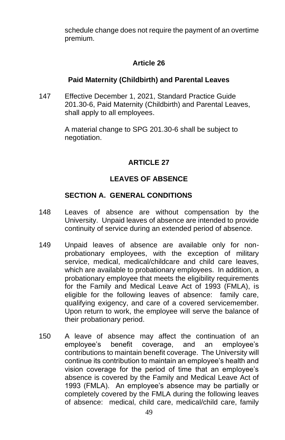schedule change does not require the payment of an overtime premium.

# **Article 26**

## **Paid Maternity (Childbirth) and Parental Leaves**

147 Effective December 1, 2021, Standard Practice Guide 201.30-6, Paid Maternity (Childbirth) and Parental Leaves, shall apply to all employees.

> A material change to SPG 201.30-6 shall be subject to negotiation.

# **ARTICLE 27**

# **LEAVES OF ABSENCE**

## **SECTION A. GENERAL CONDITIONS**

- 148 Leaves of absence are without compensation by the University. Unpaid leaves of absence are intended to provide continuity of service during an extended period of absence.
- 149 Unpaid leaves of absence are available only for nonprobationary employees, with the exception of military service, medical, medical/childcare and child care leaves, which are available to probationary employees. In addition, a probationary employee that meets the eligibility requirements for the Family and Medical Leave Act of 1993 (FMLA), is eligible for the following leaves of absence: family care, qualifying exigency, and care of a covered servicemember. Upon return to work, the employee will serve the balance of their probationary period.
- 150 A leave of absence may affect the continuation of an employee's benefit coverage, and an employee's contributions to maintain benefit coverage. The University will continue its contribution to maintain an employee's health and vision coverage for the period of time that an employee's absence is covered by the Family and Medical Leave Act of 1993 (FMLA). An employee's absence may be partially or completely covered by the FMLA during the following leaves of absence: medical, child care, medical/child care, family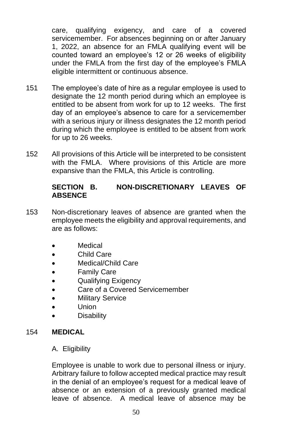care, qualifying exigency, and care of a covered servicemember. For absences beginning on or after January 1, 2022, an absence for an FMLA qualifying event will be counted toward an employee's 12 or 26 weeks of eligibility under the FMLA from the first day of the employee's FMLA eligible intermittent or continuous absence.

- 151 The employee's date of hire as a regular employee is used to designate the 12 month period during which an employee is entitled to be absent from work for up to 12 weeks. The first day of an employee's absence to care for a servicemember with a serious injury or illness designates the 12 month period during which the employee is entitled to be absent from work for up to 26 weeks.
- 152 All provisions of this Article will be interpreted to be consistent with the FMLA. Where provisions of this Article are more expansive than the FMLA, this Article is controlling.

## **SECTION B. NON-DISCRETIONARY LEAVES OF ABSENCE**

- 153 Non-discretionary leaves of absence are granted when the employee meets the eligibility and approval requirements, and are as follows:
	- **Medical**
	- Child Care
	- Medical/Child Care
	- Family Care
	- Qualifying Exigency
	- Care of a Covered Servicemember
	- Military Service
	- Union
	- **Disability**

## 154 **MEDICAL**

#### A. Eligibility

Employee is unable to work due to personal illness or injury. Arbitrary failure to follow accepted medical practice may result in the denial of an employee's request for a medical leave of absence or an extension of a previously granted medical leave of absence. A medical leave of absence may be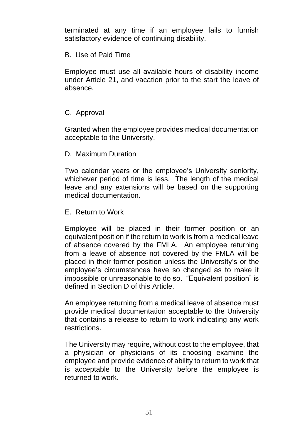terminated at any time if an employee fails to furnish satisfactory evidence of continuing disability.

#### B. Use of Paid Time

Employee must use all available hours of disability income under Article 21, and vacation prior to the start the leave of absence.

### C. Approval

Granted when the employee provides medical documentation acceptable to the University.

#### D. Maximum Duration

Two calendar years or the employee's University seniority, whichever period of time is less. The length of the medical leave and any extensions will be based on the supporting medical documentation.

### E. Return to Work

Employee will be placed in their former position or an equivalent position if the return to work is from a medical leave of absence covered by the FMLA. An employee returning from a leave of absence not covered by the FMLA will be placed in their former position unless the University's or the employee's circumstances have so changed as to make it impossible or unreasonable to do so. "Equivalent position" is defined in Section D of this Article.

An employee returning from a medical leave of absence must provide medical documentation acceptable to the University that contains a release to return to work indicating any work restrictions.

The University may require, without cost to the employee, that a physician or physicians of its choosing examine the employee and provide evidence of ability to return to work that is acceptable to the University before the employee is returned to work.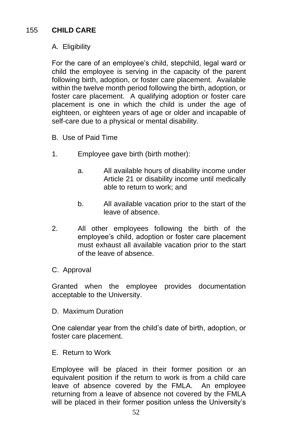# A. Eligibility

For the care of an employee's child, stepchild, legal ward or child the employee is serving in the capacity of the parent following birth, adoption, or foster care placement. Available within the twelve month period following the birth, adoption, or foster care placement. A qualifying adoption or foster care placement is one in which the child is under the age of eighteen, or eighteen years of age or older and incapable of self-care due to a physical or mental disability.

- B. Use of Paid Time
- 1. Employee gave birth (birth mother):
	- a. All available hours of disability income under Article 21 or disability income until medically able to return to work; and
	- b. All available vacation prior to the start of the leave of absence.
- 2. All other employees following the birth of the employee's child, adoption or foster care placement must exhaust all available vacation prior to the start of the leave of absence.
- C. Approval

Granted when the employee provides documentation acceptable to the University.

D. Maximum Duration

One calendar year from the child's date of birth, adoption, or foster care placement.

E. Return to Work

Employee will be placed in their former position or an equivalent position if the return to work is from a child care leave of absence covered by the FMLA. An employee returning from a leave of absence not covered by the FMLA will be placed in their former position unless the University's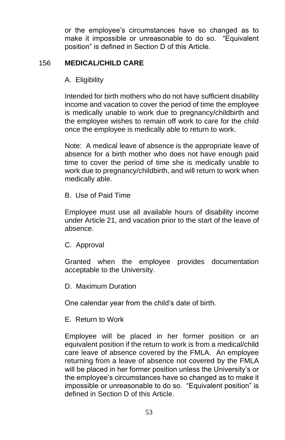or the employee's circumstances have so changed as to make it impossible or unreasonable to do so. "Equivalent position" is defined in Section D of this Article.

### 156 **MEDICAL/CHILD CARE**

### A. Eligibility

Intended for birth mothers who do not have sufficient disability income and vacation to cover the period of time the employee is medically unable to work due to pregnancy/childbirth and the employee wishes to remain off work to care for the child once the employee is medically able to return to work.

Note: A medical leave of absence is the appropriate leave of absence for a birth mother who does not have enough paid time to cover the period of time she is medically unable to work due to pregnancy/childbirth, and will return to work when medically able.

B. Use of Paid Time

Employee must use all available hours of disability income under Article 21, and vacation prior to the start of the leave of absence.

C. Approval

Granted when the employee provides documentation acceptable to the University.

D. Maximum Duration

One calendar year from the child's date of birth.

#### E. Return to Work

Employee will be placed in her former position or an equivalent position if the return to work is from a medical/child care leave of absence covered by the FMLA. An employee returning from a leave of absence not covered by the FMLA will be placed in her former position unless the University's or the employee's circumstances have so changed as to make it impossible or unreasonable to do so. "Equivalent position" is defined in Section D of this Article.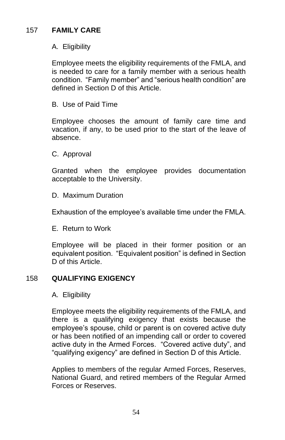# 157 **FAMILY CARE**

## A. Eligibility

Employee meets the eligibility requirements of the FMLA, and is needed to care for a family member with a serious health condition. "Family member" and "serious health condition" are defined in Section D of this Article.

B. Use of Paid Time

Employee chooses the amount of family care time and vacation, if any, to be used prior to the start of the leave of absence.

C. Approval

Granted when the employee provides documentation acceptable to the University.

D. Maximum Duration

Exhaustion of the employee's available time under the FMLA.

E. Return to Work

Employee will be placed in their former position or an equivalent position. "Equivalent position" is defined in Section D of this Article.

# 158 **QUALIFYING EXIGENCY**

#### A. Eligibility

Employee meets the eligibility requirements of the FMLA, and there is a qualifying exigency that exists because the employee's spouse, child or parent is on covered active duty or has been notified of an impending call or order to covered active duty in the Armed Forces. "Covered active duty", and "qualifying exigency" are defined in Section D of this Article.

Applies to members of the regular Armed Forces, Reserves, National Guard, and retired members of the Regular Armed Forces or Reserves.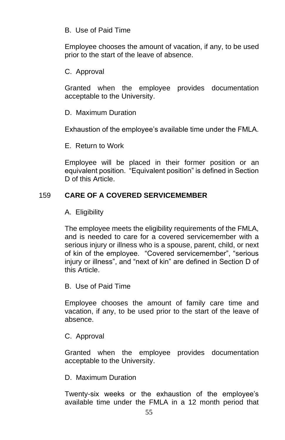#### B. Use of Paid Time

Employee chooses the amount of vacation, if any, to be used prior to the start of the leave of absence.

### C. Approval

Granted when the employee provides documentation acceptable to the University.

#### D. Maximum Duration

Exhaustion of the employee's available time under the FMLA.

E. Return to Work

Employee will be placed in their former position or an equivalent position. "Equivalent position" is defined in Section D of this Article.

## 159 **CARE OF A COVERED SERVICEMEMBER**

### A. Eligibility

The employee meets the eligibility requirements of the FMLA, and is needed to care for a covered servicemember with a serious injury or illness who is a spouse, parent, child, or next of kin of the employee. "Covered servicemember", "serious injury or illness", and "next of kin" are defined in Section D of this Article.

#### B. Use of Paid Time

Employee chooses the amount of family care time and vacation, if any, to be used prior to the start of the leave of absence.

#### C. Approval

Granted when the employee provides documentation acceptable to the University.

#### D. Maximum Duration

Twenty-six weeks or the exhaustion of the employee's available time under the FMLA in a 12 month period that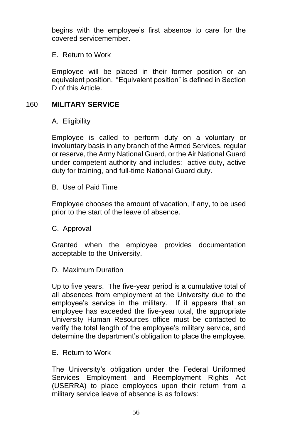begins with the employee's first absence to care for the covered servicemember.

E. Return to Work

Employee will be placed in their former position or an equivalent position. "Equivalent position" is defined in Section D of this Article.

# 160 **MILITARY SERVICE**

A. Eligibility

Employee is called to perform duty on a voluntary or involuntary basis in any branch of the Armed Services, regular or reserve, the Army National Guard, or the Air National Guard under competent authority and includes: active duty, active duty for training, and full-time National Guard duty.

B. Use of Paid Time

Employee chooses the amount of vacation, if any, to be used prior to the start of the leave of absence.

C. Approval

Granted when the employee provides documentation acceptable to the University.

D. Maximum Duration

Up to five years. The five-year period is a cumulative total of all absences from employment at the University due to the employee's service in the military. If it appears that an employee has exceeded the five-year total, the appropriate University Human Resources office must be contacted to verify the total length of the employee's military service, and determine the department's obligation to place the employee.

E. Return to Work

The University's obligation under the Federal Uniformed Services Employment and Reemployment Rights Act (USERRA) to place employees upon their return from a military service leave of absence is as follows: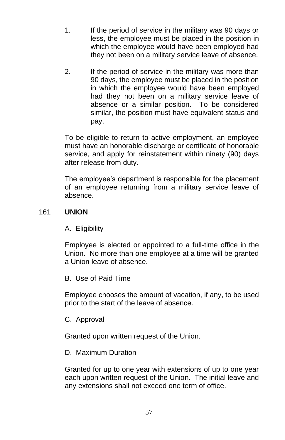- 1. If the period of service in the military was 90 days or less, the employee must be placed in the position in which the employee would have been employed had they not been on a military service leave of absence.
- 2. If the period of service in the military was more than 90 days, the employee must be placed in the position in which the employee would have been employed had they not been on a military service leave of absence or a similar position. To be considered similar, the position must have equivalent status and pay.

To be eligible to return to active employment, an employee must have an honorable discharge or certificate of honorable service, and apply for reinstatement within ninety (90) days after release from duty.

The employee's department is responsible for the placement of an employee returning from a military service leave of absence.

## 161 **UNION**

A. Eligibility

Employee is elected or appointed to a full-time office in the Union. No more than one employee at a time will be granted a Union leave of absence.

B. Use of Paid Time

Employee chooses the amount of vacation, if any, to be used prior to the start of the leave of absence.

C. Approval

Granted upon written request of the Union.

#### D. Maximum Duration

Granted for up to one year with extensions of up to one year each upon written request of the Union. The initial leave and any extensions shall not exceed one term of office.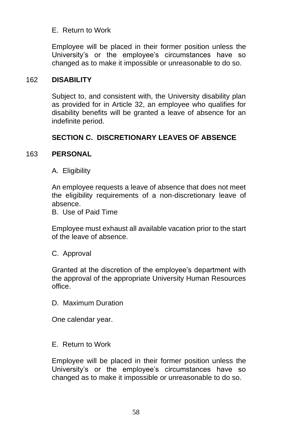## E. Return to Work

Employee will be placed in their former position unless the University's or the employee's circumstances have so changed as to make it impossible or unreasonable to do so.

## 162 **DISABILITY**

Subject to, and consistent with, the University disability plan as provided for in Article 32, an employee who qualifies for disability benefits will be granted a leave of absence for an indefinite period.

## **SECTION C. DISCRETIONARY LEAVES OF ABSENCE**

### 163 **PERSONAL**

A. Eligibility

An employee requests a leave of absence that does not meet the eligibility requirements of a non-discretionary leave of absence.

B. Use of Paid Time

Employee must exhaust all available vacation prior to the start of the leave of absence.

#### C. Approval

Granted at the discretion of the employee's department with the approval of the appropriate University Human Resources office.

D. Maximum Duration

One calendar year.

#### E. Return to Work

Employee will be placed in their former position unless the University's or the employee's circumstances have so changed as to make it impossible or unreasonable to do so.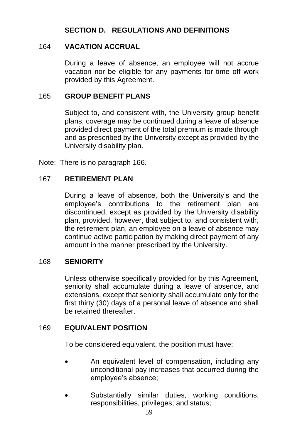# **SECTION D. REGULATIONS AND DEFINITIONS**

### 164 **VACATION ACCRUAL**

During a leave of absence, an employee will not accrue vacation nor be eligible for any payments for time off work provided by this Agreement.

### 165 **GROUP BENEFIT PLANS**

Subject to, and consistent with, the University group benefit plans, coverage may be continued during a leave of absence provided direct payment of the total premium is made through and as prescribed by the University except as provided by the University disability plan.

Note: There is no paragraph 166.

#### 167 **RETIREMENT PLAN**

During a leave of absence, both the University's and the employee's contributions to the retirement plan are discontinued, except as provided by the University disability plan, provided, however, that subject to, and consistent with, the retirement plan, an employee on a leave of absence may continue active participation by making direct payment of any amount in the manner prescribed by the University.

#### 168 **SENIORITY**

Unless otherwise specifically provided for by this Agreement, seniority shall accumulate during a leave of absence, and extensions, except that seniority shall accumulate only for the first thirty (30) days of a personal leave of absence and shall be retained thereafter.

#### 169 **EQUIVALENT POSITION**

To be considered equivalent, the position must have:

- An equivalent level of compensation, including any unconditional pay increases that occurred during the employee's absence;
- Substantially similar duties, working conditions, responsibilities, privileges, and status;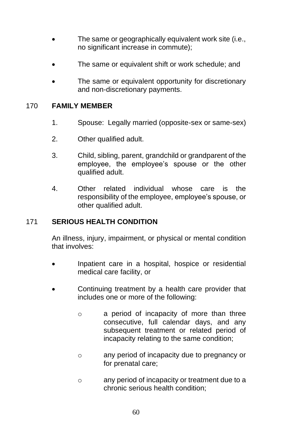- The same or geographically equivalent work site (i.e., no significant increase in commute);
- The same or equivalent shift or work schedule; and
- The same or equivalent opportunity for discretionary and non-discretionary payments.

#### 170 **FAMILY MEMBER**

- 1. Spouse: Legally married (opposite-sex or same-sex)
- 2. Other qualified adult.
- 3. Child, sibling, parent, grandchild or grandparent of the employee, the employee's spouse or the other qualified adult.
- 4. Other related individual whose care is the responsibility of the employee, employee's spouse, or other qualified adult.

## 171 **SERIOUS HEALTH CONDITION**

An illness, injury, impairment, or physical or mental condition that involves:

- Inpatient care in a hospital, hospice or residential medical care facility, or
- Continuing treatment by a health care provider that includes one or more of the following:
	- o a period of incapacity of more than three consecutive, full calendar days, and any subsequent treatment or related period of incapacity relating to the same condition;
	- o any period of incapacity due to pregnancy or for prenatal care;
	- o any period of incapacity or treatment due to a chronic serious health condition;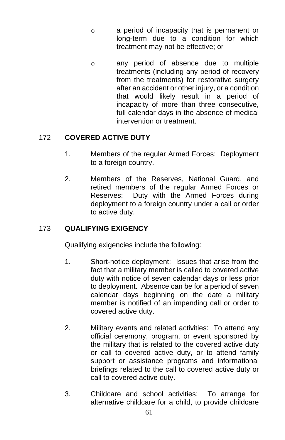- o a period of incapacity that is permanent or long-term due to a condition for which treatment may not be effective; or
- o any period of absence due to multiple treatments (including any period of recovery from the treatments) for restorative surgery after an accident or other injury, or a condition that would likely result in a period of incapacity of more than three consecutive, full calendar days in the absence of medical intervention or treatment.

# 172 **COVERED ACTIVE DUTY**

- 1. Members of the regular Armed Forces: Deployment to a foreign country.
- 2. Members of the Reserves, National Guard, and retired members of the regular Armed Forces or Reserves: Duty with the Armed Forces during deployment to a foreign country under a call or order to active duty.

# 173 **QUALIFYING EXIGENCY**

Qualifying exigencies include the following:

- 1. Short-notice deployment: Issues that arise from the fact that a military member is called to covered active duty with notice of seven calendar days or less prior to deployment. Absence can be for a period of seven calendar days beginning on the date a military member is notified of an impending call or order to covered active duty.
- 2. Military events and related activities: To attend any official ceremony, program, or event sponsored by the military that is related to the covered active duty or call to covered active duty, or to attend family support or assistance programs and informational briefings related to the call to covered active duty or call to covered active duty.
- 3. Childcare and school activities: To arrange for alternative childcare for a child, to provide childcare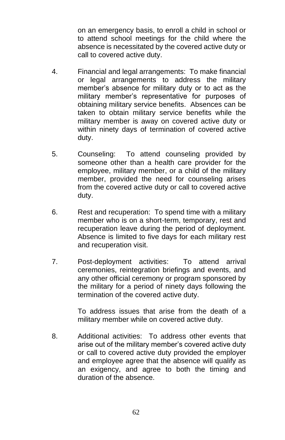on an emergency basis, to enroll a child in school or to attend school meetings for the child where the absence is necessitated by the covered active duty or call to covered active duty.

- 4. Financial and legal arrangements: To make financial or legal arrangements to address the military member's absence for military duty or to act as the military member's representative for purposes of obtaining military service benefits. Absences can be taken to obtain military service benefits while the military member is away on covered active duty or within ninety days of termination of covered active duty.
- 5. Counseling: To attend counseling provided by someone other than a health care provider for the employee, military member, or a child of the military member, provided the need for counseling arises from the covered active duty or call to covered active duty.
- 6. Rest and recuperation: To spend time with a military member who is on a short-term, temporary, rest and recuperation leave during the period of deployment. Absence is limited to five days for each military rest and recuperation visit.
- 7. Post-deployment activities: To attend arrival ceremonies, reintegration briefings and events, and any other official ceremony or program sponsored by the military for a period of ninety days following the termination of the covered active duty.

To address issues that arise from the death of a military member while on covered active duty.

8. Additional activities: To address other events that arise out of the military member's covered active duty or call to covered active duty provided the employer and employee agree that the absence will qualify as an exigency, and agree to both the timing and duration of the absence.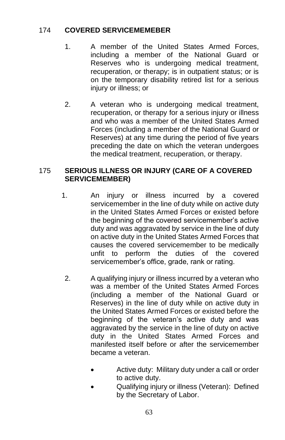## 174 **COVERED SERVICEMEMEBER**

- 1. A member of the United States Armed Forces, including a member of the National Guard or Reserves who is undergoing medical treatment, recuperation, or therapy; is in outpatient status; or is on the temporary disability retired list for a serious iniury or illness; or
- 2. A veteran who is undergoing medical treatment, recuperation, or therapy for a serious injury or illness and who was a member of the United States Armed Forces (including a member of the National Guard or Reserves) at any time during the period of five years preceding the date on which the veteran undergoes the medical treatment, recuperation, or therapy.

# 175 **SERIOUS ILLNESS OR INJURY (CARE OF A COVERED SERVICEMEMBER)**

- 1. An injury or illness incurred by a covered servicemember in the line of duty while on active duty in the United States Armed Forces or existed before the beginning of the covered servicemember's active duty and was aggravated by service in the line of duty on active duty in the United States Armed Forces that causes the covered servicemember to be medically unfit to perform the duties of the covered servicemember's office, grade, rank or rating.
	- 2. A qualifying injury or illness incurred by a veteran who was a member of the United States Armed Forces (including a member of the National Guard or Reserves) in the line of duty while on active duty in the United States Armed Forces or existed before the beginning of the veteran's active duty and was aggravated by the service in the line of duty on active duty in the United States Armed Forces and manifested itself before or after the servicemember became a veteran.
		- Active duty: Military duty under a call or order to active duty.
		- Qualifying injury or illness (Veteran): Defined by the Secretary of Labor.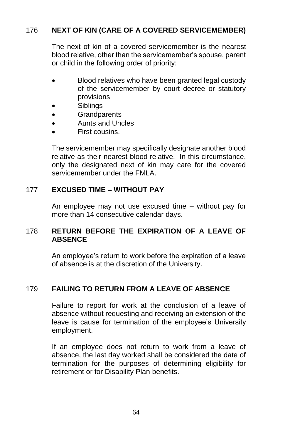# 176 **NEXT OF KIN (CARE OF A COVERED SERVICEMEMBER)**

The next of kin of a covered servicemember is the nearest blood relative, other than the servicemember's spouse, parent or child in the following order of priority:

- Blood relatives who have been granted legal custody of the servicemember by court decree or statutory provisions
- **Siblings**
- Grandparents
- Aunts and Uncles
- First cousins.

The servicemember may specifically designate another blood relative as their nearest blood relative. In this circumstance, only the designated next of kin may care for the covered servicemember under the FMLA.

## 177 **EXCUSED TIME – WITHOUT PAY**

An employee may not use excused time – without pay for more than 14 consecutive calendar days.

### 178 **RETURN BEFORE THE EXPIRATION OF A LEAVE OF ABSENCE**

An employee's return to work before the expiration of a leave of absence is at the discretion of the University.

## 179 **FAILING TO RETURN FROM A LEAVE OF ABSENCE**

Failure to report for work at the conclusion of a leave of absence without requesting and receiving an extension of the leave is cause for termination of the employee's University employment.

If an employee does not return to work from a leave of absence, the last day worked shall be considered the date of termination for the purposes of determining eligibility for retirement or for Disability Plan benefits.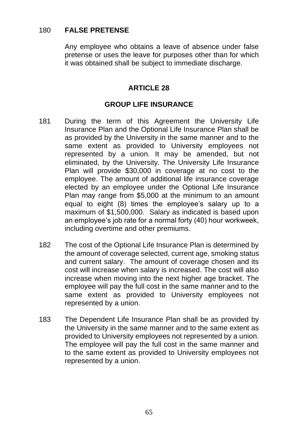# 180 **FALSE PRETENSE**

Any employee who obtains a leave of absence under false pretense or uses the leave for purposes other than for which it was obtained shall be subject to immediate discharge.

# **ARTICLE 28**

## **GROUP LIFE INSURANCE**

- 181 During the term of this Agreement the University Life Insurance Plan and the Optional Life Insurance Plan shall be as provided by the University in the same manner and to the same extent as provided to University employees not represented by a union. It may be amended, but not eliminated, by the University. The University Life Insurance Plan will provide \$30,000 in coverage at no cost to the employee. The amount of additional life insurance coverage elected by an employee under the Optional Life Insurance Plan may range from \$5,000 at the minimum to an amount equal to eight (8) times the employee's salary up to a maximum of \$1,500,000. Salary as indicated is based upon an employee's job rate for a normal forty (40) hour workweek, including overtime and other premiums.
- 182 The cost of the Optional Life Insurance Plan is determined by the amount of coverage selected, current age, smoking status and current salary. The amount of coverage chosen and its cost will increase when salary is increased. The cost will also increase when moving into the next higher age bracket. The employee will pay the full cost in the same manner and to the same extent as provided to University employees not represented by a union.
- 183 The Dependent Life Insurance Plan shall be as provided by the University in the same manner and to the same extent as provided to University employees not represented by a union. The employee will pay the full cost in the same manner and to the same extent as provided to University employees not represented by a union.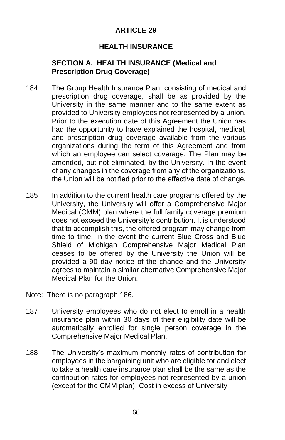# **ARTICLE 29**

## **HEALTH INSURANCE**

## **SECTION A. HEALTH INSURANCE (Medical and Prescription Drug Coverage)**

- 184 The Group Health Insurance Plan, consisting of medical and prescription drug coverage, shall be as provided by the University in the same manner and to the same extent as provided to University employees not represented by a union. Prior to the execution date of this Agreement the Union has had the opportunity to have explained the hospital, medical, and prescription drug coverage available from the various organizations during the term of this Agreement and from which an employee can select coverage. The Plan may be amended, but not eliminated, by the University. In the event of any changes in the coverage from any of the organizations, the Union will be notified prior to the effective date of change.
- 185 In addition to the current health care programs offered by the University, the University will offer a Comprehensive Major Medical (CMM) plan where the full family coverage premium does not exceed the University's contribution. It is understood that to accomplish this, the offered program may change from time to time. In the event the current Blue Cross and Blue Shield of Michigan Comprehensive Major Medical Plan ceases to be offered by the University the Union will be provided a 90 day notice of the change and the University agrees to maintain a similar alternative Comprehensive Major Medical Plan for the Union.
- Note: There is no paragraph 186.
- 187 University employees who do not elect to enroll in a health insurance plan within 30 days of their eligibility date will be automatically enrolled for single person coverage in the Comprehensive Major Medical Plan.
- 188 The University's maximum monthly rates of contribution for employees in the bargaining unit who are eligible for and elect to take a health care insurance plan shall be the same as the contribution rates for employees not represented by a union (except for the CMM plan). Cost in excess of University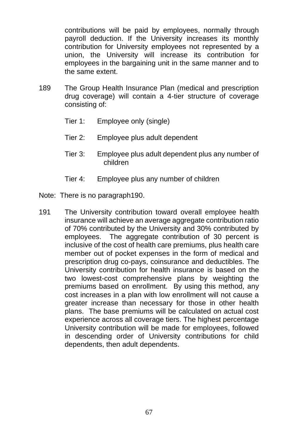contributions will be paid by employees, normally through payroll deduction. If the University increases its monthly contribution for University employees not represented by a union, the University will increase its contribution for employees in the bargaining unit in the same manner and to the same extent.

- 189 The Group Health Insurance Plan (medical and prescription drug coverage) will contain a 4-tier structure of coverage consisting of:
	- Tier 1: Employee only (single)
	- Tier 2: Employee plus adult dependent
	- Tier 3: Employee plus adult dependent plus any number of children
	- Tier 4: Employee plus any number of children
- Note: There is no paragraph190.
- 191 The University contribution toward overall employee health insurance will achieve an average aggregate contribution ratio of 70% contributed by the University and 30% contributed by employees. The aggregate contribution of 30 percent is inclusive of the cost of health care premiums, plus health care member out of pocket expenses in the form of medical and prescription drug co-pays, coinsurance and deductibles. The University contribution for health insurance is based on the two lowest-cost comprehensive plans by weighting the premiums based on enrollment. By using this method, any cost increases in a plan with low enrollment will not cause a greater increase than necessary for those in other health plans. The base premiums will be calculated on actual cost experience across all coverage tiers. The highest percentage University contribution will be made for employees, followed in descending order of University contributions for child dependents, then adult dependents.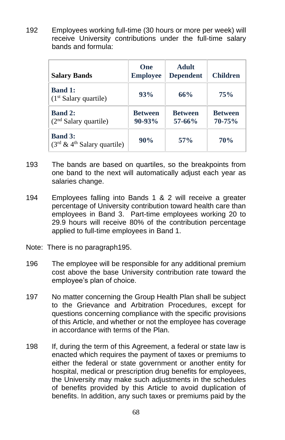192 Employees working full-time (30 hours or more per week) will receive University contributions under the full-time salary bands and formula:

| <b>Salary Bands</b>                              | One<br><b>Employee</b>     | <b>Adult</b><br><b>Dependent</b> | <b>Children</b>              |
|--------------------------------------------------|----------------------------|----------------------------------|------------------------------|
| <b>Band 1:</b><br>$(1st$ Salary quartile)        | 93%                        | 66%                              | 75%                          |
| <b>Band 2:</b><br>$(2nd$ Salary quartile)        | <b>Between</b><br>$90-93%$ | <b>Between</b><br>$57 - 66%$     | <b>Between</b><br>$70 - 75%$ |
| <b>Band 3:</b><br>$(3rd \& 4th$ Salary quartile) | 90%                        | $57\%$                           | <b>70%</b>                   |

- 193 The bands are based on quartiles, so the breakpoints from one band to the next will automatically adjust each year as salaries change.
- 194 Employees falling into Bands 1 & 2 will receive a greater percentage of University contribution toward health care than employees in Band 3. Part-time employees working 20 to 29.9 hours will receive 80% of the contribution percentage applied to full-time employees in Band 1.
- Note: There is no paragraph195.
- 196 The employee will be responsible for any additional premium cost above the base University contribution rate toward the employee's plan of choice.
- 197 No matter concerning the Group Health Plan shall be subject to the Grievance and Arbitration Procedures, except for questions concerning compliance with the specific provisions of this Article, and whether or not the employee has coverage in accordance with terms of the Plan.
- 198 If, during the term of this Agreement, a federal or state law is enacted which requires the payment of taxes or premiums to either the federal or state government or another entity for hospital, medical or prescription drug benefits for employees, the University may make such adjustments in the schedules of benefits provided by this Article to avoid duplication of benefits. In addition, any such taxes or premiums paid by the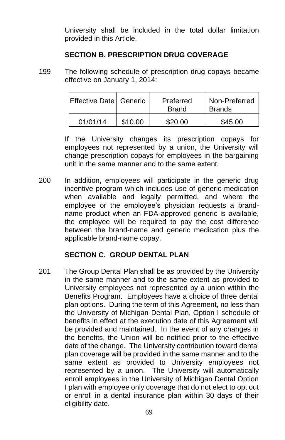University shall be included in the total dollar limitation provided in this Article.

#### **SECTION B. PRESCRIPTION DRUG COVERAGE**

199 The following schedule of prescription drug copays became effective on January 1, 2014:

| Effective Date Generic |         | Preferred<br><b>Brand</b> | Non-Preferred<br><b>Brands</b> |
|------------------------|---------|---------------------------|--------------------------------|
| 01/01/14               | \$10.00 | \$20.00                   | \$45.00                        |

If the University changes its prescription copays for employees not represented by a union, the University will change prescription copays for employees in the bargaining unit in the same manner and to the same extent.

200 In addition, employees will participate in the generic drug incentive program which includes use of generic medication when available and legally permitted, and where the employee or the employee's physician requests a brandname product when an FDA-approved generic is available, the employee will be required to pay the cost difference between the brand-name and generic medication plus the applicable brand-name copay.

## **SECTION C. GROUP DENTAL PLAN**

201 The Group Dental Plan shall be as provided by the University in the same manner and to the same extent as provided to University employees not represented by a union within the Benefits Program. Employees have a choice of three dental plan options. During the term of this Agreement, no less than the University of Michigan Dental Plan, Option I schedule of benefits in effect at the execution date of this Agreement will be provided and maintained. In the event of any changes in the benefits, the Union will be notified prior to the effective date of the change. The University contribution toward dental plan coverage will be provided in the same manner and to the same extent as provided to University employees not represented by a union. The University will automatically enroll employees in the University of Michigan Dental Option I plan with employee only coverage that do not elect to opt out or enroll in a dental insurance plan within 30 days of their eligibility date.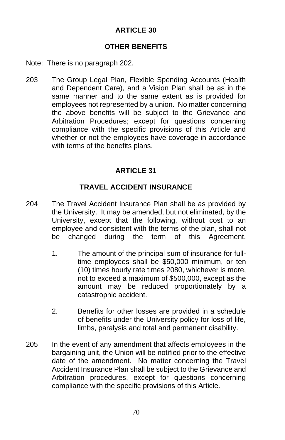## **ARTICLE 30**

### **OTHER BENEFITS**

- Note: There is no paragraph 202.
- 203 The Group Legal Plan, Flexible Spending Accounts (Health and Dependent Care), and a Vision Plan shall be as in the same manner and to the same extent as is provided for employees not represented by a union. No matter concerning the above benefits will be subject to the Grievance and Arbitration Procedures; except for questions concerning compliance with the specific provisions of this Article and whether or not the employees have coverage in accordance with terms of the benefits plans.

## **ARTICLE 31**

## **TRAVEL ACCIDENT INSURANCE**

- 204 The Travel Accident Insurance Plan shall be as provided by the University. It may be amended, but not eliminated, by the University, except that the following, without cost to an employee and consistent with the terms of the plan, shall not be changed during the term of this Agreement.
	- 1. The amount of the principal sum of insurance for fulltime employees shall be \$50,000 minimum, or ten (10) times hourly rate times 2080, whichever is more, not to exceed a maximum of \$500,000, except as the amount may be reduced proportionately by a catastrophic accident.
	- 2. Benefits for other losses are provided in a schedule of benefits under the University policy for loss of life, limbs, paralysis and total and permanent disability.
- 205 In the event of any amendment that affects employees in the bargaining unit, the Union will be notified prior to the effective date of the amendment. No matter concerning the Travel Accident Insurance Plan shall be subject to the Grievance and Arbitration procedures, except for questions concerning compliance with the specific provisions of this Article.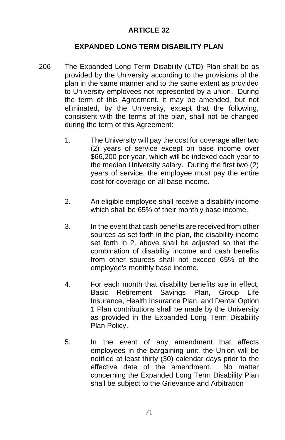### **ARTICLE 32**

#### **EXPANDED LONG TERM DISABILITY PLAN**

- 206 The Expanded Long Term Disability (LTD) Plan shall be as provided by the University according to the provisions of the plan in the same manner and to the same extent as provided to University employees not represented by a union. During the term of this Agreement, it may be amended, but not eliminated, by the University, except that the following, consistent with the terms of the plan, shall not be changed during the term of this Agreement:
	- 1. The University will pay the cost for coverage after two (2) years of service except on base income over \$66,200 per year, which will be indexed each year to the median University salary. During the first two (2) years of service, the employee must pay the entire cost for coverage on all base income.
	- 2. An eligible employee shall receive a disability income which shall be 65% of their monthly base income.
	- 3. In the event that cash benefits are received from other sources as set forth in the plan, the disability income set forth in 2. above shall be adjusted so that the combination of disability income and cash benefits from other sources shall not exceed 65% of the employee's monthly base income.
	- 4. For each month that disability benefits are in effect, Basic Retirement Savings Plan, Group Life Insurance, Health Insurance Plan, and Dental Option 1 Plan contributions shall be made by the University as provided in the Expanded Long Term Disability Plan Policy.
	- 5. In the event of any amendment that affects employees in the bargaining unit, the Union will be notified at least thirty (30) calendar days prior to the effective date of the amendment. No matter concerning the Expanded Long Term Disability Plan shall be subject to the Grievance and Arbitration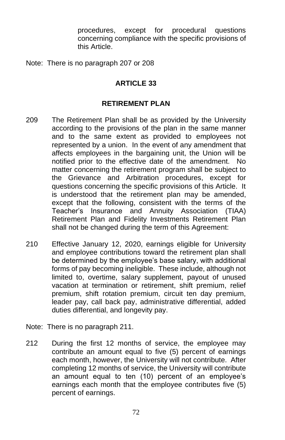procedures, except for procedural questions concerning compliance with the specific provisions of this Article.

Note: There is no paragraph 207 or 208

## **ARTICLE 33**

#### **RETIREMENT PLAN**

- 209 The Retirement Plan shall be as provided by the University according to the provisions of the plan in the same manner and to the same extent as provided to employees not represented by a union. In the event of any amendment that affects employees in the bargaining unit, the Union will be notified prior to the effective date of the amendment. No matter concerning the retirement program shall be subject to the Grievance and Arbitration procedures, except for questions concerning the specific provisions of this Article. It is understood that the retirement plan may be amended, except that the following, consistent with the terms of the Teacher's Insurance and Annuity Association (TIAA) Retirement Plan and Fidelity Investments Retirement Plan shall not be changed during the term of this Agreement:
- 210 Effective January 12, 2020, earnings eligible for University and employee contributions toward the retirement plan shall be determined by the employee's base salary, with additional forms of pay becoming ineligible. These include, although not limited to, overtime, salary supplement, payout of unused vacation at termination or retirement, shift premium, relief premium, shift rotation premium, circuit ten day premium, leader pay, call back pay, administrative differential, added duties differential, and longevity pay.
- Note: There is no paragraph 211.
- 212 During the first 12 months of service, the employee may contribute an amount equal to five (5) percent of earnings each month, however, the University will not contribute. After completing 12 months of service, the University will contribute an amount equal to ten (10) percent of an employee's earnings each month that the employee contributes five (5) percent of earnings.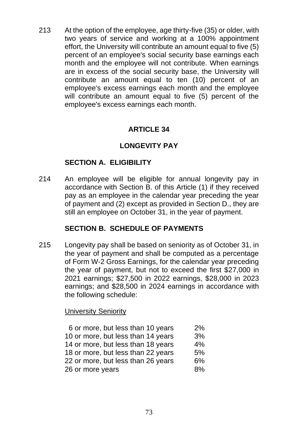213 At the option of the employee, age thirty-five (35) or older, with two years of service and working at a 100% appointment effort, the University will contribute an amount equal to five (5) percent of an employee's social security base earnings each month and the employee will not contribute. When earnings are in excess of the social security base, the University will contribute an amount equal to ten (10) percent of an employee's excess earnings each month and the employee will contribute an amount equal to five (5) percent of the employee's excess earnings each month.

### **ARTICLE 34**

### **LONGEVITY PAY**

### **SECTION A. ELIGIBILITY**

214 An employee will be eligible for annual longevity pay in accordance with Section B. of this Article (1) if they received pay as an employee in the calendar year preceding the year of payment and (2) except as provided in Section D., they are still an employee on October 31, in the year of payment.

#### **SECTION B. SCHEDULE OF PAYMENTS**

215 Longevity pay shall be based on seniority as of October 31, in the year of payment and shall be computed as a percentage of Form W-2 Gross Earnings, for the calendar year preceding the year of payment, but not to exceed the first \$27,000 in 2021 earnings; \$27,500 in 2022 earnings, \$28,000 in 2023 earnings; and \$28,500 in 2024 earnings in accordance with the following schedule:

#### University Seniority

| 6 or more, but less than 10 years  | 2% |
|------------------------------------|----|
| 10 or more, but less than 14 years | 3% |
| 14 or more, but less than 18 years | 4% |
| 18 or more, but less than 22 years | 5% |
| 22 or more, but less than 26 years | 6% |
| 26 or more years                   | 8% |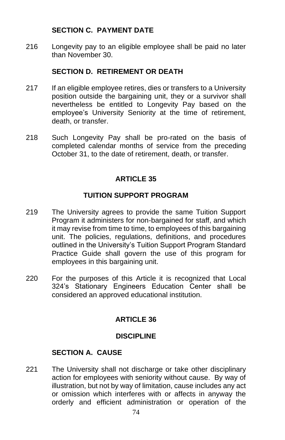#### **SECTION C. PAYMENT DATE**

216 Longevity pay to an eligible employee shall be paid no later than November 30.

### **SECTION D. RETIREMENT OR DEATH**

- 217 If an eligible employee retires, dies or transfers to a University position outside the bargaining unit, they or a survivor shall nevertheless be entitled to Longevity Pay based on the employee's University Seniority at the time of retirement, death, or transfer.
- 218 Such Longevity Pay shall be pro-rated on the basis of completed calendar months of service from the preceding October 31, to the date of retirement, death, or transfer.

## **ARTICLE 35**

### **TUITION SUPPORT PROGRAM**

- 219 The University agrees to provide the same Tuition Support Program it administers for non-bargained for staff, and which it may revise from time to time, to employees of this bargaining unit. The policies, regulations, definitions, and procedures outlined in the University's Tuition Support Program Standard Practice Guide shall govern the use of this program for employees in this bargaining unit.
- 220 For the purposes of this Article it is recognized that Local 324's Stationary Engineers Education Center shall be considered an approved educational institution.

## **ARTICLE 36**

#### **DISCIPLINE**

#### **SECTION A. CAUSE**

221 The University shall not discharge or take other disciplinary action for employees with seniority without cause. By way of illustration, but not by way of limitation, cause includes any act or omission which interferes with or affects in anyway the orderly and efficient administration or operation of the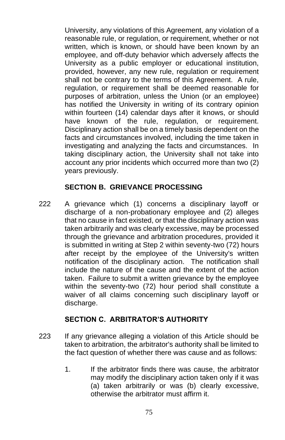University, any violations of this Agreement, any violation of a reasonable rule, or regulation, or requirement, whether or not written, which is known, or should have been known by an employee, and off-duty behavior which adversely affects the University as a public employer or educational institution, provided, however, any new rule, regulation or requirement shall not be contrary to the terms of this Agreement. A rule, regulation, or requirement shall be deemed reasonable for purposes of arbitration, unless the Union (or an employee) has notified the University in writing of its contrary opinion within fourteen (14) calendar days after it knows, or should have known of the rule, regulation, or requirement, Disciplinary action shall be on a timely basis dependent on the facts and circumstances involved, including the time taken in investigating and analyzing the facts and circumstances. In taking disciplinary action, the University shall not take into account any prior incidents which occurred more than two (2) years previously.

#### **SECTION B. GRIEVANCE PROCESSING**

222 A grievance which (1) concerns a disciplinary layoff or discharge of a non-probationary employee and (2) alleges that no cause in fact existed, or that the disciplinary action was taken arbitrarily and was clearly excessive, may be processed through the grievance and arbitration procedures, provided it is submitted in writing at Step 2 within seventy-two (72) hours after receipt by the employee of the University's written notification of the disciplinary action. The notification shall include the nature of the cause and the extent of the action taken. Failure to submit a written grievance by the employee within the seventy-two (72) hour period shall constitute a waiver of all claims concerning such disciplinary layoff or discharge.

#### **SECTION C. ARBITRATOR'S AUTHORITY**

- 223 If any grievance alleging a violation of this Article should be taken to arbitration, the arbitrator's authority shall be limited to the fact question of whether there was cause and as follows:
	- 1. If the arbitrator finds there was cause, the arbitrator may modify the disciplinary action taken only if it was (a) taken arbitrarily or was (b) clearly excessive, otherwise the arbitrator must affirm it.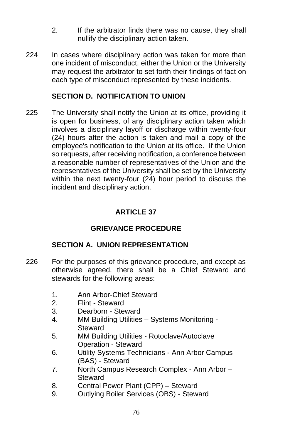- 2. If the arbitrator finds there was no cause, they shall nullify the disciplinary action taken.
- 224 In cases where disciplinary action was taken for more than one incident of misconduct, either the Union or the University may request the arbitrator to set forth their findings of fact on each type of misconduct represented by these incidents.

#### **SECTION D. NOTIFICATION TO UNION**

225 The University shall notify the Union at its office, providing it is open for business, of any disciplinary action taken which involves a disciplinary layoff or discharge within twenty-four (24) hours after the action is taken and mail a copy of the employee's notification to the Union at its office. If the Union so requests, after receiving notification, a conference between a reasonable number of representatives of the Union and the representatives of the University shall be set by the University within the next twenty-four (24) hour period to discuss the incident and disciplinary action.

## **ARTICLE 37**

## **GRIEVANCE PROCEDURE**

#### **SECTION A. UNION REPRESENTATION**

- 226 For the purposes of this grievance procedure, and except as otherwise agreed, there shall be a Chief Steward and stewards for the following areas:
	- 1. Ann Arbor-Chief Steward
	- 2. Flint Steward
	- 3. Dearborn Steward
	- 4. MM Building Utilities Systems Monitoring Steward
	- 5. MM Building Utilities Rotoclave/Autoclave Operation - Steward
	- 6. Utility Systems Technicians Ann Arbor Campus (BAS) - Steward
	- 7. North Campus Research Complex Ann Arbor **Steward**
	- 8. Central Power Plant (CPP) Steward
	- 9. Outlying Boiler Services (OBS) Steward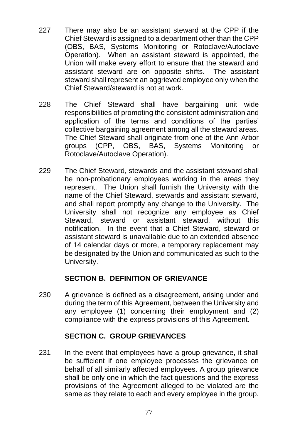- 227 There may also be an assistant steward at the CPP if the Chief Steward is assigned to a department other than the CPP (OBS, BAS, Systems Monitoring or Rotoclave/Autoclave Operation). When an assistant steward is appointed, the Union will make every effort to ensure that the steward and assistant steward are on opposite shifts. The assistant steward shall represent an aggrieved employee only when the Chief Steward/steward is not at work.
- 228 The Chief Steward shall have bargaining unit wide responsibilities of promoting the consistent administration and application of the terms and conditions of the parties' collective bargaining agreement among all the steward areas. The Chief Steward shall originate from one of the Ann Arbor groups (CPP, OBS, BAS, Systems Monitoring or Rotoclave/Autoclave Operation).
- 229 The Chief Steward, stewards and the assistant steward shall be non-probationary employees working in the areas they represent. The Union shall furnish the University with the name of the Chief Steward, stewards and assistant steward, and shall report promptly any change to the University. The University shall not recognize any employee as Chief Steward, steward or assistant steward, without this notification. In the event that a Chief Steward, steward or assistant steward is unavailable due to an extended absence of 14 calendar days or more, a temporary replacement may be designated by the Union and communicated as such to the University.

## **SECTION B. DEFINITION OF GRIEVANCE**

230 A grievance is defined as a disagreement, arising under and during the term of this Agreement, between the University and any employee (1) concerning their employment and (2) compliance with the express provisions of this Agreement.

#### **SECTION C. GROUP GRIEVANCES**

231 In the event that employees have a group grievance, it shall be sufficient if one employee processes the grievance on behalf of all similarly affected employees. A group grievance shall be only one in which the fact questions and the express provisions of the Agreement alleged to be violated are the same as they relate to each and every employee in the group.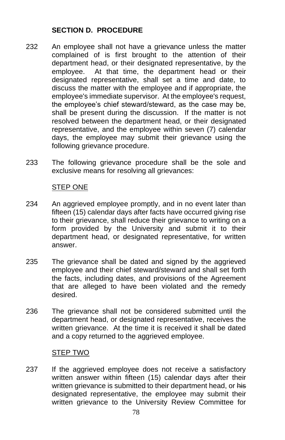### **SECTION D. PROCEDURE**

- 232 An employee shall not have a grievance unless the matter complained of is first brought to the attention of their department head, or their designated representative, by the employee. At that time, the department head or their designated representative, shall set a time and date, to discuss the matter with the employee and if appropriate, the employee's immediate supervisor. At the employee's request, the employee's chief steward/steward, as the case may be, shall be present during the discussion. If the matter is not resolved between the department head, or their designated representative, and the employee within seven (7) calendar days, the employee may submit their grievance using the following grievance procedure.
- 233 The following grievance procedure shall be the sole and exclusive means for resolving all grievances:

#### STEP ONE

- 234 An aggrieved employee promptly, and in no event later than fifteen (15) calendar days after facts have occurred giving rise to their grievance, shall reduce their grievance to writing on a form provided by the University and submit it to their department head, or designated representative, for written answer.
- 235 The grievance shall be dated and signed by the aggrieved employee and their chief steward/steward and shall set forth the facts, including dates, and provisions of the Agreement that are alleged to have been violated and the remedy desired.
- 236 The grievance shall not be considered submitted until the department head, or designated representative, receives the written grievance. At the time it is received it shall be dated and a copy returned to the aggrieved employee.

#### STEP TWO

237 If the aggrieved employee does not receive a satisfactory written answer within fifteen (15) calendar days after their written grievance is submitted to their department head, or his designated representative, the employee may submit their written grievance to the University Review Committee for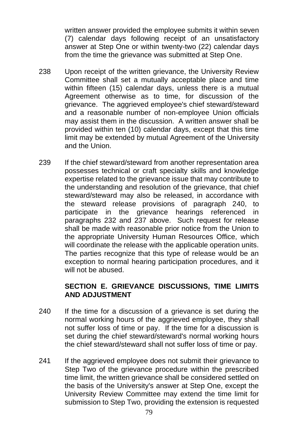written answer provided the employee submits it within seven (7) calendar days following receipt of an unsatisfactory answer at Step One or within twenty-two (22) calendar days from the time the grievance was submitted at Step One.

- 238 Upon receipt of the written grievance, the University Review Committee shall set a mutually acceptable place and time within fifteen (15) calendar days, unless there is a mutual Agreement otherwise as to time, for discussion of the grievance. The aggrieved employee's chief steward/steward and a reasonable number of non-employee Union officials may assist them in the discussion. A written answer shall be provided within ten (10) calendar days, except that this time limit may be extended by mutual Agreement of the University and the Union.
- 239 If the chief steward/steward from another representation area possesses technical or craft specialty skills and knowledge expertise related to the grievance issue that may contribute to the understanding and resolution of the grievance, that chief steward/steward may also be released, in accordance with the steward release provisions of paragraph 240, to participate in the grievance hearings referenced in paragraphs 232 and 237 above. Such request for release shall be made with reasonable prior notice from the Union to the appropriate University Human Resources Office, which will coordinate the release with the applicable operation units. The parties recognize that this type of release would be an exception to normal hearing participation procedures, and it will not be abused.

#### **SECTION E. GRIEVANCE DISCUSSIONS, TIME LIMITS AND ADJUSTMENT**

- 240 If the time for a discussion of a grievance is set during the normal working hours of the aggrieved employee, they shall not suffer loss of time or pay. If the time for a discussion is set during the chief steward/steward's normal working hours the chief steward/steward shall not suffer loss of time or pay.
- 241 If the aggrieved employee does not submit their grievance to Step Two of the grievance procedure within the prescribed time limit, the written grievance shall be considered settled on the basis of the University's answer at Step One, except the University Review Committee may extend the time limit for submission to Step Two, providing the extension is requested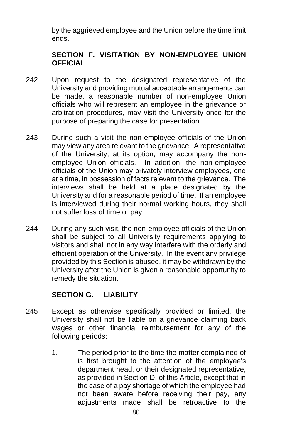by the aggrieved employee and the Union before the time limit ends.

## **SECTION F. VISITATION BY NON-EMPLOYEE UNION OFFICIAL**

- 242 Upon request to the designated representative of the University and providing mutual acceptable arrangements can be made, a reasonable number of non-employee Union officials who will represent an employee in the grievance or arbitration procedures, may visit the University once for the purpose of preparing the case for presentation.
- 243 During such a visit the non-employee officials of the Union may view any area relevant to the grievance. A representative of the University, at its option, may accompany the nonemployee Union officials. In addition, the non-employee officials of the Union may privately interview employees, one at a time, in possession of facts relevant to the grievance. The interviews shall be held at a place designated by the University and for a reasonable period of time. If an employee is interviewed during their normal working hours, they shall not suffer loss of time or pay.
- 244 During any such visit, the non-employee officials of the Union shall be subject to all University requirements applying to visitors and shall not in any way interfere with the orderly and efficient operation of the University. In the event any privilege provided by this Section is abused, it may be withdrawn by the University after the Union is given a reasonable opportunity to remedy the situation.

#### **SECTION G. LIABILITY**

- 245 Except as otherwise specifically provided or limited, the University shall not be liable on a grievance claiming back wages or other financial reimbursement for any of the following periods:
	- 1. The period prior to the time the matter complained of is first brought to the attention of the employee's department head, or their designated representative, as provided in Section D. of this Article, except that in the case of a pay shortage of which the employee had not been aware before receiving their pay, any adjustments made shall be retroactive to the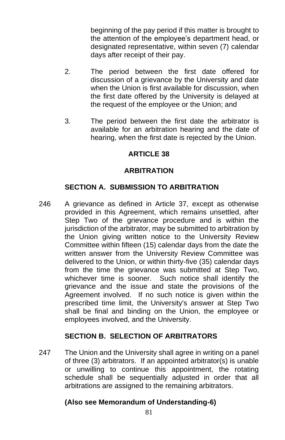beginning of the pay period if this matter is brought to the attention of the employee's department head, or designated representative, within seven (7) calendar days after receipt of their pay.

- 2. The period between the first date offered for discussion of a grievance by the University and date when the Union is first available for discussion, when the first date offered by the University is delayed at the request of the employee or the Union; and
- 3. The period between the first date the arbitrator is available for an arbitration hearing and the date of hearing, when the first date is rejected by the Union.

## **ARTICLE 38**

### **ARBITRATION**

### **SECTION A. SUBMISSION TO ARBITRATION**

246 A grievance as defined in Article 37, except as otherwise provided in this Agreement, which remains unsettled, after Step Two of the grievance procedure and is within the jurisdiction of the arbitrator, may be submitted to arbitration by the Union giving written notice to the University Review Committee within fifteen (15) calendar days from the date the written answer from the University Review Committee was delivered to the Union, or within thirty-five (35) calendar days from the time the grievance was submitted at Step Two, whichever time is sooner. Such notice shall identify the grievance and the issue and state the provisions of the Agreement involved. If no such notice is given within the prescribed time limit, the University's answer at Step Two shall be final and binding on the Union, the employee or employees involved, and the University.

#### **SECTION B. SELECTION OF ARBITRATORS**

247 The Union and the University shall agree in writing on a panel of three (3) arbitrators. If an appointed arbitrator(s) is unable or unwilling to continue this appointment, the rotating schedule shall be sequentially adjusted in order that all arbitrations are assigned to the remaining arbitrators.

## **(Also see Memorandum of Understanding-6)**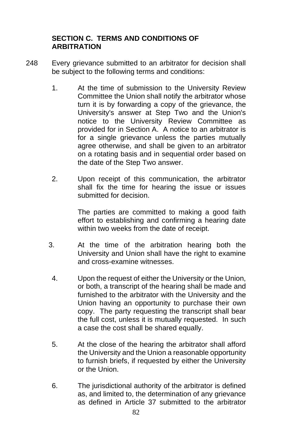#### **SECTION C. TERMS AND CONDITIONS OF ARBITRATION**

- 248 Every grievance submitted to an arbitrator for decision shall be subject to the following terms and conditions:
	- 1. At the time of submission to the University Review Committee the Union shall notify the arbitrator whose turn it is by forwarding a copy of the grievance, the University's answer at Step Two and the Union's notice to the University Review Committee as provided for in Section A. A notice to an arbitrator is for a single grievance unless the parties mutually agree otherwise, and shall be given to an arbitrator on a rotating basis and in sequential order based on the date of the Step Two answer.
	- 2. Upon receipt of this communication, the arbitrator shall fix the time for hearing the issue or issues submitted for decision

The parties are committed to making a good faith effort to establishing and confirming a hearing date within two weeks from the date of receipt.

- 3. At the time of the arbitration hearing both the University and Union shall have the right to examine and cross-examine witnesses.
- 4. Upon the request of either the University or the Union, or both, a transcript of the hearing shall be made and furnished to the arbitrator with the University and the Union having an opportunity to purchase their own copy. The party requesting the transcript shall bear the full cost, unless it is mutually requested. In such a case the cost shall be shared equally.
- 5. At the close of the hearing the arbitrator shall afford the University and the Union a reasonable opportunity to furnish briefs, if requested by either the University or the Union.
- 6. The jurisdictional authority of the arbitrator is defined as, and limited to, the determination of any grievance as defined in Article 37 submitted to the arbitrator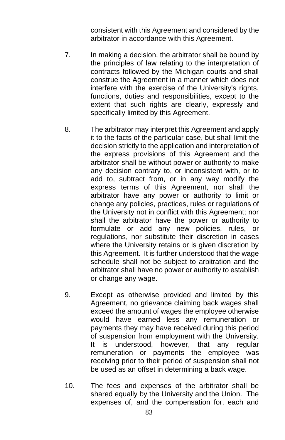consistent with this Agreement and considered by the arbitrator in accordance with this Agreement.

- 7. In making a decision, the arbitrator shall be bound by the principles of law relating to the interpretation of contracts followed by the Michigan courts and shall construe the Agreement in a manner which does not interfere with the exercise of the University's rights, functions, duties and responsibilities, except to the extent that such rights are clearly, expressly and specifically limited by this Agreement.
- 8. The arbitrator may interpret this Agreement and apply it to the facts of the particular case, but shall limit the decision strictly to the application and interpretation of the express provisions of this Agreement and the arbitrator shall be without power or authority to make any decision contrary to, or inconsistent with, or to add to, subtract from, or in any way modify the express terms of this Agreement, nor shall the arbitrator have any power or authority to limit or change any policies, practices, rules or regulations of the University not in conflict with this Agreement; nor shall the arbitrator have the power or authority to formulate or add any new policies, rules, or regulations, nor substitute their discretion in cases where the University retains or is given discretion by this Agreement. It is further understood that the wage schedule shall not be subject to arbitration and the arbitrator shall have no power or authority to establish or change any wage.
- 9. Except as otherwise provided and limited by this Agreement, no grievance claiming back wages shall exceed the amount of wages the employee otherwise would have earned less any remuneration or payments they may have received during this period of suspension from employment with the University. It is understood, however, that any regular remuneration or payments the employee was receiving prior to their period of suspension shall not be used as an offset in determining a back wage.
- 10. The fees and expenses of the arbitrator shall be shared equally by the University and the Union. The expenses of, and the compensation for, each and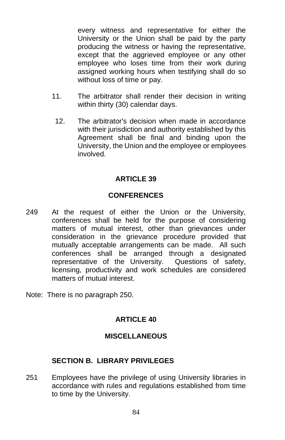every witness and representative for either the University or the Union shall be paid by the party producing the witness or having the representative, except that the aggrieved employee or any other employee who loses time from their work during assigned working hours when testifying shall do so without loss of time or pay.

- 11. The arbitrator shall render their decision in writing within thirty (30) calendar days.
	- 12. The arbitrator's decision when made in accordance with their jurisdiction and authority established by this Agreement shall be final and binding upon the University, the Union and the employee or employees involved.

### **ARTICLE 39**

### **CONFERENCES**

- 249 At the request of either the Union or the University, conferences shall be held for the purpose of considering matters of mutual interest, other than grievances under consideration in the grievance procedure provided that mutually acceptable arrangements can be made. All such conferences shall be arranged through a designated representative of the University. Questions of safety, licensing, productivity and work schedules are considered matters of mutual interest.
- Note: There is no paragraph 250.

## **ARTICLE 40**

#### **MISCELLANEOUS**

#### **SECTION B. LIBRARY PRIVILEGES**

251 Employees have the privilege of using University libraries in accordance with rules and regulations established from time to time by the University.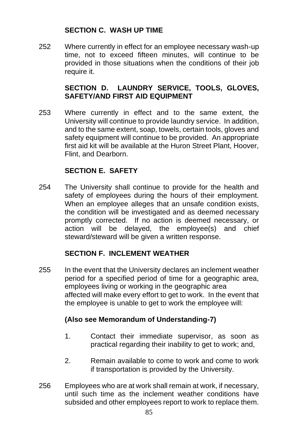## **SECTION C. WASH UP TIME**

252 Where currently in effect for an employee necessary wash-up time, not to exceed fifteen minutes, will continue to be provided in those situations when the conditions of their job require it.

#### **SECTION D. LAUNDRY SERVICE, TOOLS, GLOVES, SAFETY/AND FIRST AID EQUIPMENT**

253 Where currently in effect and to the same extent, the University will continue to provide laundry service. In addition, and to the same extent, soap, towels, certain tools, gloves and safety equipment will continue to be provided. An appropriate first aid kit will be available at the Huron Street Plant, Hoover, Flint, and Dearborn.

## **SECTION E. SAFETY**

254 The University shall continue to provide for the health and safety of employees during the hours of their employment. When an employee alleges that an unsafe condition exists, the condition will be investigated and as deemed necessary promptly corrected. If no action is deemed necessary, or action will be delayed, the employee(s) and chief steward/steward will be given a written response.

## **SECTION F. INCLEMENT WEATHER**

255 In the event that the University declares an inclement weather period for a specified period of time for a geographic area, employees living or working in the geographic area affected will make every effort to get to work. In the event that the employee is unable to get to work the employee will:

#### **(Also see Memorandum of Understanding-7)**

- 1. Contact their immediate supervisor, as soon as practical regarding their inability to get to work; and,
- 2. Remain available to come to work and come to work if transportation is provided by the University.
- 256 Employees who are at work shall remain at work, if necessary, until such time as the inclement weather conditions have subsided and other employees report to work to replace them.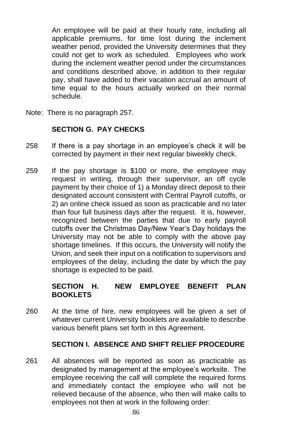An employee will be paid at their hourly rate, including all applicable premiums, for time lost during the inclement weather period, provided the University determines that they could not get to work as scheduled. Employees who work during the inclement weather period under the circumstances and conditions described above, in addition to their regular pay, shall have added to their vacation accrual an amount of time equal to the hours actually worked on their normal schedule.

Note: There is no paragraph 257.

#### **SECTION G. PAY CHECKS**

- 258 If there is a pay shortage in an employee's check it will be corrected by payment in their next regular biweekly check.
- 259 If the pay shortage is \$100 or more, the employee may request in writing, through their supervisor, an off cycle payment by their choice of 1) a Monday direct deposit to their designated account consistent with Central Payroll cutoffs, or 2) an online check issued as soon as practicable and no later than four full business days after the request. It is, however, recognized between the parties that due to early payroll cutoffs over the Christmas Day/New Year's Day holidays the University may not be able to comply with the above pay shortage timelines. If this occurs, the University will notify the Union, and seek their input on a notification to supervisors and employees of the delay, including the date by which the pay shortage is expected to be paid.

### **SECTION H. NEW EMPLOYEE BENEFIT PLAN BOOKLETS**

260 At the time of hire, new employees will be given a set of whatever current University booklets are available to describe various benefit plans set forth in this Agreement.

#### **SECTION I. ABSENCE AND SHIFT RELIEF PROCEDURE**

261 All absences will be reported as soon as practicable as designated by management at the employee's worksite. The employee receiving the call will complete the required forms and immediately contact the employee who will not be relieved because of the absence, who then will make calls to employees not then at work in the following order: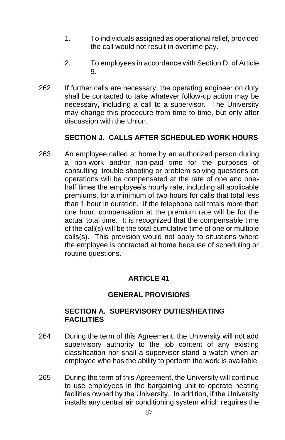- 1. To individuals assigned as operational relief, provided the call would not result in overtime pay.
- 2. To employees in accordance with Section D. of Article 9.
- 262 If further calls are necessary, the operating engineer on duty shall be contacted to take whatever follow-up action may be necessary, including a call to a supervisor. The University may change this procedure from time to time, but only after discussion with the Union.

## **SECTION J. CALLS AFTER SCHEDULED WORK HOURS**

263 An employee called at home by an authorized person during a non-work and/or non-paid time for the purposes of consulting, trouble shooting or problem solving questions on operations will be compensated at the rate of one and onehalf times the employee's hourly rate, including all applicable premiums, for a minimum of two hours for calls that total less than 1 hour in duration. If the telephone call totals more than one hour, compensation at the premium rate will be for the actual total time. It is recognized that the compensable time of the call(s) will be the total cumulative time of one or multiple calls(s). This provision would not apply to situations where the employee is contacted at home because of scheduling or routine questions.

## **ARTICLE 41**

#### **GENERAL PROVISIONS**

#### **SECTION A. SUPERVISORY DUTIES/HEATING FACILITIES**

- 264 During the term of this Agreement, the University will not add supervisory authority to the job content of any existing classification nor shall a supervisor stand a watch when an employee who has the ability to perform the work is available.
- 265 During the term of this Agreement, the University will continue to use employees in the bargaining unit to operate heating facilities owned by the University. In addition, if the University installs any central air conditioning system which requires the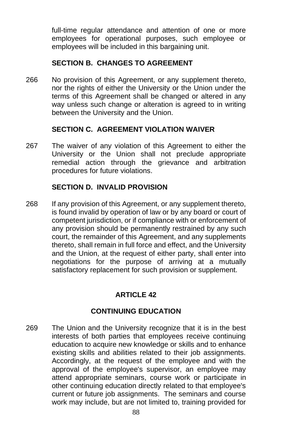full-time regular attendance and attention of one or more employees for operational purposes, such employee or employees will be included in this bargaining unit.

## **SECTION B. CHANGES TO AGREEMENT**

266 No provision of this Agreement, or any supplement thereto, nor the rights of either the University or the Union under the terms of this Agreement shall be changed or altered in any way unless such change or alteration is agreed to in writing between the University and the Union.

#### **SECTION C. AGREEMENT VIOLATION WAIVER**

267 The waiver of any violation of this Agreement to either the University or the Union shall not preclude appropriate remedial action through the grievance and arbitration procedures for future violations.

### **SECTION D. INVALID PROVISION**

268 If any provision of this Agreement, or any supplement thereto, is found invalid by operation of law or by any board or court of competent jurisdiction, or if compliance with or enforcement of any provision should be permanently restrained by any such court, the remainder of this Agreement, and any supplements thereto, shall remain in full force and effect, and the University and the Union, at the request of either party, shall enter into negotiations for the purpose of arriving at a mutually satisfactory replacement for such provision or supplement.

## **ARTICLE 42**

## **CONTINUING EDUCATION**

269 The Union and the University recognize that it is in the best interests of both parties that employees receive continuing education to acquire new knowledge or skills and to enhance existing skills and abilities related to their job assignments. Accordingly, at the request of the employee and with the approval of the employee's supervisor, an employee may attend appropriate seminars, course work or participate in other continuing education directly related to that employee's current or future job assignments. The seminars and course work may include, but are not limited to, training provided for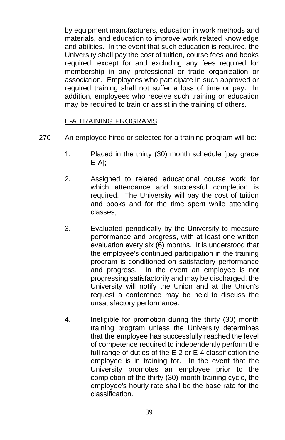by equipment manufacturers, education in work methods and materials, and education to improve work related knowledge and abilities. In the event that such education is required, the University shall pay the cost of tuition, course fees and books required, except for and excluding any fees required for membership in any professional or trade organization or association. Employees who participate in such approved or required training shall not suffer a loss of time or pay. In addition, employees who receive such training or education may be required to train or assist in the training of others.

#### E-A TRAINING PROGRAMS

- 270 An employee hired or selected for a training program will be:
	- 1. Placed in the thirty (30) month schedule [pay grade E-A];
	- 2. Assigned to related educational course work for which attendance and successful completion is required. The University will pay the cost of tuition and books and for the time spent while attending classes;
	- 3. Evaluated periodically by the University to measure performance and progress, with at least one written evaluation every six (6) months. It is understood that the employee's continued participation in the training program is conditioned on satisfactory performance and progress. In the event an employee is not progressing satisfactorily and may be discharged, the University will notify the Union and at the Union's request a conference may be held to discuss the unsatisfactory performance.
	- 4. Ineligible for promotion during the thirty (30) month training program unless the University determines that the employee has successfully reached the level of competence required to independently perform the full range of duties of the E-2 or E-4 classification the employee is in training for. In the event that the University promotes an employee prior to the completion of the thirty (30) month training cycle, the employee's hourly rate shall be the base rate for the classification.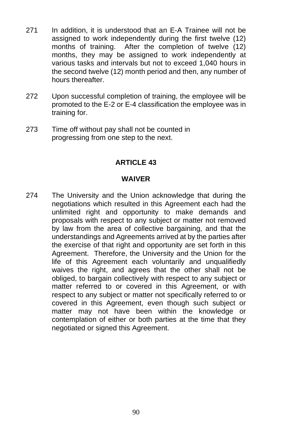- 271 In addition, it is understood that an E-A Trainee will not be assigned to work independently during the first twelve (12) months of training. After the completion of twelve (12) months, they may be assigned to work independently at various tasks and intervals but not to exceed 1,040 hours in the second twelve (12) month period and then, any number of hours thereafter.
- 272 Upon successful completion of training, the employee will be promoted to the E-2 or E-4 classification the employee was in training for.
- 273 Time off without pay shall not be counted in progressing from one step to the next.

#### **ARTICLE 43**

#### **WAIVER**

274 The University and the Union acknowledge that during the negotiations which resulted in this Agreement each had the unlimited right and opportunity to make demands and proposals with respect to any subject or matter not removed by law from the area of collective bargaining, and that the understandings and Agreements arrived at by the parties after the exercise of that right and opportunity are set forth in this Agreement. Therefore, the University and the Union for the life of this Agreement each voluntarily and unqualifiedly waives the right, and agrees that the other shall not be obliged, to bargain collectively with respect to any subject or matter referred to or covered in this Agreement, or with respect to any subject or matter not specifically referred to or covered in this Agreement, even though such subject or matter may not have been within the knowledge or contemplation of either or both parties at the time that they negotiated or signed this Agreement.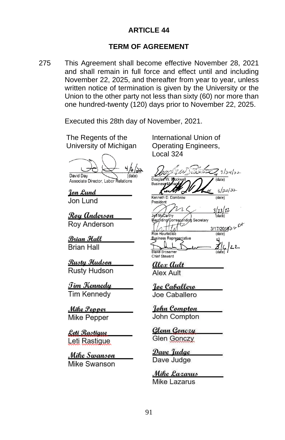#### **ARTICLE 44**

#### **TERM OF AGREEMENT**

275 This Agreement shall become effective November 28, 2021 and shall remain in full force and effect until and including November 22, 2025, and thereafter from year to year, unless written notice of termination is given by the University or the Union to the other party not less than sixty (60) nor more than one hundred-twenty (120) days prior to November 22, 2025.

Executed this 28th day of November, 2021.

The Regents of the University of Michigan

David Day

Associate Director, Labor Relations

Ion Lund Jon Lund

Roy Anderson Rov Anderson

Brian Hall **Brian Hall** 

<u>Rusty Hudson</u> Rusty Hudson

<u> Tim Kennedy</u> **Tim Kennedv** 

Mike Pepper Mike Pepper

<u>Leti Rastique</u> Leti Rastigue

Mike Swanson Mike Swanson

International Union of Operating Engineers, Local 324

 $3/24/32$  $\frac{1}{\text{(date)}}$ Douglas

 $3/24/22$ 

 $(data)$ 

(date)

Busine Kenneth D. Dombrov President

/23/22 onding Secretary 3/17/201822<sup>11</sup>

Ron Heurtebise

**Business Representative Rrosame** Chief Steward

Alex Ault **Alex Ault** 

Joe Caballero Joe Caballero

John Compton John Compton

Glenn Gonczy **Glen Gonczy** 

Dave Judge Dave Judge

Mike Lazarus Mike Lazarus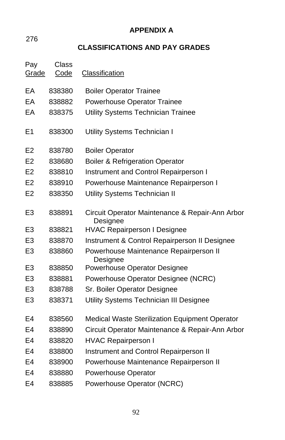**APPENDIX A**

276

# **CLASSIFICATIONS AND PAY GRADES**

| Pay<br>Grade   | Class<br>Code | Classification                                              |
|----------------|---------------|-------------------------------------------------------------|
| EА             | 838380        | <b>Boiler Operator Trainee</b>                              |
| EA             | 838882        | Powerhouse Operator Trainee                                 |
| EА             | 838375        | Utility Systems Technician Trainee                          |
| E <sub>1</sub> | 838300        | Utility Systems Technician I                                |
| E <sub>2</sub> | 838780        | <b>Boiler Operator</b>                                      |
| E <sub>2</sub> | 838680        | <b>Boiler &amp; Refrigeration Operator</b>                  |
| E2             | 838810        | Instrument and Control Repairperson I                       |
| E <sub>2</sub> | 838910        | Powerhouse Maintenance Repairperson I                       |
| E <sub>2</sub> | 838350        | <b>Utility Systems Technician II</b>                        |
| E <sub>3</sub> | 838891        | Circuit Operator Maintenance & Repair-Ann Arbor<br>Designee |
| E <sub>3</sub> | 838821        | <b>HVAC Repairperson I Designee</b>                         |
| E <sub>3</sub> | 838870        | Instrument & Control Repairperson II Designee               |
| E <sub>3</sub> | 838860        | Powerhouse Maintenance Repairperson II<br>Designee          |
| E3             | 838850        | Powerhouse Operator Designee                                |
| E <sub>3</sub> | 838881        | Powerhouse Operator Designee (NCRC)                         |
| E <sub>3</sub> | 838788        | Sr. Boiler Operator Designee                                |
| E <sub>3</sub> | 838371        | Utility Systems Technician III Designee                     |
| E4             | 838560        | <b>Medical Waste Sterilization Equipment Operator</b>       |
| E4             | 838890        | Circuit Operator Maintenance & Repair-Ann Arbor             |
| E4             | 838820        | <b>HVAC Repairperson I</b>                                  |
| E4             | 838800        | Instrument and Control Repairperson II                      |
| E4             | 838900        | Powerhouse Maintenance Repairperson II                      |
| E4             | 838880        | <b>Powerhouse Operator</b>                                  |
| E4             | 838885        | Powerhouse Operator (NCRC)                                  |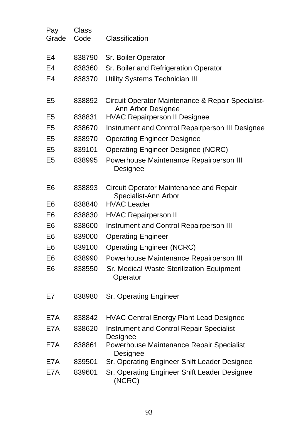| Pay<br>Grade   | Class<br>Code | Classification                                                          |
|----------------|---------------|-------------------------------------------------------------------------|
| E4             | 838790        | Sr. Boiler Operator                                                     |
| E4             | 838360        | Sr. Boiler and Refrigeration Operator                                   |
| E4             | 838370        | Utility Systems Technician III                                          |
| E5             | 838892        | Circuit Operator Maintenance & Repair Specialist-<br>Ann Arbor Designee |
| E5             | 838831        | <b>HVAC Repairperson II Designee</b>                                    |
| E5             | 838670        | Instrument and Control Repairperson III Designee                        |
| E5             | 838970        | <b>Operating Engineer Designee</b>                                      |
| E5             | 839101        | <b>Operating Engineer Designee (NCRC)</b>                               |
| E5             | 838995        | Powerhouse Maintenance Repairperson III<br>Designee                     |
| E6             | 838893        | Circuit Operator Maintenance and Repair<br>Specialist-Ann Arbor         |
| E6             | 838840        | <b>HVAC Leader</b>                                                      |
| E <sub>6</sub> | 838830        | <b>HVAC Repairperson II</b>                                             |
| E6             | 838600        | Instrument and Control Repairperson III                                 |
| E6             | 839000        | <b>Operating Engineer</b>                                               |
| E6             | 839100        | <b>Operating Engineer (NCRC)</b>                                        |
| E6             | 838990        | Powerhouse Maintenance Repairperson III                                 |
| E6             | 838550        | Sr. Medical Waste Sterilization Equipment<br>Operator                   |
| E7             | 838980        | Sr. Operating Engineer                                                  |
| E7A            | 838842        | <b>HVAC Central Energy Plant Lead Designee</b>                          |
| E7A            | 838620        | <b>Instrument and Control Repair Specialist</b><br>Designee             |
| E7A            | 838861        | Powerhouse Maintenance Repair Specialist<br>Designee                    |
| E7A            | 839501        | Sr. Operating Engineer Shift Leader Designee                            |
| E7A            | 839601        | Sr. Operating Engineer Shift Leader Designee<br>(NCRC)                  |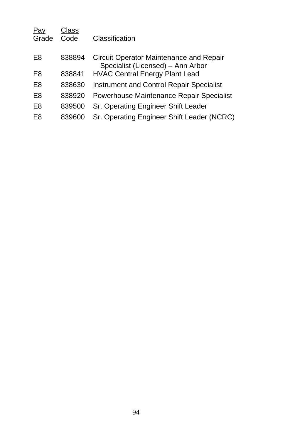| Pay<br>Grade | Class<br>Code | Classification                                                               |
|--------------|---------------|------------------------------------------------------------------------------|
| E8           | 838894        | Circuit Operator Maintenance and Repair<br>Specialist (Licensed) - Ann Arbor |
| E8           | 838841        | <b>HVAC Central Energy Plant Lead</b>                                        |
| E8           | 838630        | <b>Instrument and Control Repair Specialist</b>                              |
| E8           | 838920        | Powerhouse Maintenance Repair Specialist                                     |
| E8           | 839500        | Sr. Operating Engineer Shift Leader                                          |
| E8           | 839600        | Sr. Operating Engineer Shift Leader (NCRC)                                   |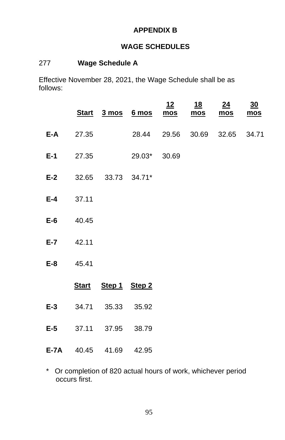## **APPENDIX B**

## **WAGE SCHEDULES**

## 277 **Wage Schedule A**

Effective November 28, 2021, the Wage Schedule shall be as follows:

|               |                               | Start 3 mos 6 mos mos mos     | 12 | <u>18</u> | 24<br><u>mos</u> | 30<br>mos |
|---------------|-------------------------------|-------------------------------|----|-----------|------------------|-----------|
| $E-A$ 27.35   |                               | 28.44 29.56 30.69 32.65 34.71 |    |           |                  |           |
|               |                               | <b>E-1</b> 27.35 29.03* 30.69 |    |           |                  |           |
|               | E-2 32.65 33.73 34.71*        |                               |    |           |                  |           |
| $E-4$ 37.11   |                               |                               |    |           |                  |           |
| $E-6$ 40.45   |                               |                               |    |           |                  |           |
| $E - 7$ 42.11 |                               |                               |    |           |                  |           |
| E-8 45.41     |                               |                               |    |           |                  |           |
|               | Start Step 1 Step 2           |                               |    |           |                  |           |
|               | E-3 34.71 35.33 35.92         |                               |    |           |                  |           |
|               | E-5 37.11 37.95 38.79         |                               |    |           |                  |           |
|               | <b>E-7A</b> 40.45 41.69 42.95 |                               |    |           |                  |           |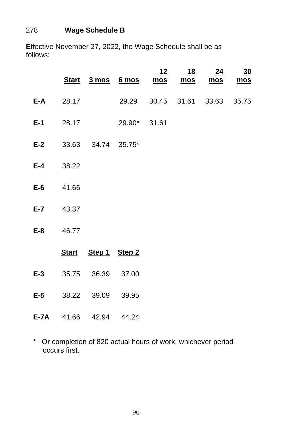## 278 **Wage Schedule B**

**E**ffective November 27, 2022, the Wage Schedule shall be as follows:

|       |                  |                        | Start 3 mos 6 mos mos         | <u> 12</u> | <u>18</u><br>mos | 24<br>$mos$ | $\underline{30}$<br>mos |
|-------|------------------|------------------------|-------------------------------|------------|------------------|-------------|-------------------------|
|       | $E-A$ 28.17      |                        | 29.29 30.45 31.61 33.63 35.75 |            |                  |             |                         |
|       |                  |                        | <b>E-1</b> 28.17 29.90* 31.61 |            |                  |             |                         |
|       |                  | E-2 33.63 34.74 35.75* |                               |            |                  |             |                         |
|       | $E-4$ 38.22      |                        |                               |            |                  |             |                         |
|       | E-6 41.66        |                        |                               |            |                  |             |                         |
|       | <b>E-7</b> 43.37 |                        |                               |            |                  |             |                         |
|       | E-8 46.77        |                        |                               |            |                  |             |                         |
|       |                  | Start Step 1 Step 2    |                               |            |                  |             |                         |
| $E-3$ |                  | 35.75 36.39 37.00      |                               |            |                  |             |                         |
|       |                  | E-5 38.22 39.09 39.95  |                               |            |                  |             |                         |
|       |                  | E-7A 41.66 42.94 44.24 |                               |            |                  |             |                         |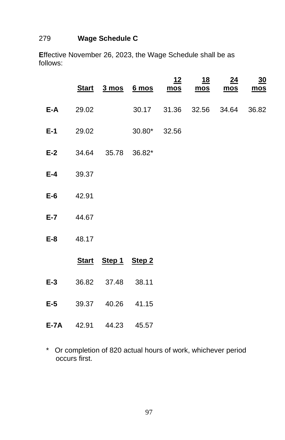## 279 **Wage Schedule C**

**E**ffective November 26, 2023, the Wage Schedule shall be as follows:

|       |                  |                               | <u>Start 3 mos 6 mos mos</u> | $12 \,$ | <u>18</u><br>mos | 24<br>mos | $\frac{30}{2}$<br>mos |
|-------|------------------|-------------------------------|------------------------------|---------|------------------|-----------|-----------------------|
| E-A   | 29.02            |                               | 30.17 31.36 32.56 34.64      |         |                  |           | 36.82                 |
|       | $E-1$ 29.02      |                               | $30.80^*$ 32.56              |         |                  |           |                       |
|       |                  | <b>E-2</b> 34.64 35.78 36.82* |                              |         |                  |           |                       |
|       | <b>E-4</b> 39.37 |                               |                              |         |                  |           |                       |
|       | $E-6$ 42.91      |                               |                              |         |                  |           |                       |
|       | E-7 44.67        |                               |                              |         |                  |           |                       |
|       | E-8 48.17        |                               |                              |         |                  |           |                       |
|       |                  | Start Step 1 Step 2           |                              |         |                  |           |                       |
| $E-3$ |                  | 36.82 37.48 38.11             |                              |         |                  |           |                       |
|       |                  | E-5 39.37 40.26 41.15         |                              |         |                  |           |                       |
|       |                  | <b>E-7A</b> 42.91 44.23 45.57 |                              |         |                  |           |                       |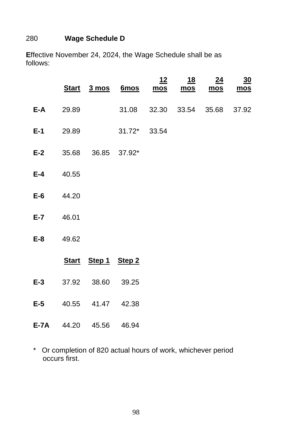## 280 **Wage Schedule D**

**E**ffective November 24, 2024, the Wage Schedule shall be as follows:

|                  |                  |                               | Start 3 mos 6mos mos mos mos mos | <u>12</u> | <u>18</u> | 24 | 30    |
|------------------|------------------|-------------------------------|----------------------------------|-----------|-----------|----|-------|
|                  | <b>E-A</b> 29.89 |                               | 31.08 32.30 33.54 35.68          |           |           |    | 37.92 |
|                  |                  |                               | <b>E-1</b> 29.89 31.72* 33.54    |           |           |    |       |
|                  |                  | E-2 35.68 36.85 37.92*        |                                  |           |           |    |       |
| $E-4$ 40.55      |                  |                               |                                  |           |           |    |       |
| $E-6$ 44.20      |                  |                               |                                  |           |           |    |       |
| E-7 46.01        |                  |                               |                                  |           |           |    |       |
| <b>E-8</b> 49.62 |                  |                               |                                  |           |           |    |       |
|                  |                  | Start Step 1 Step 2           |                                  |           |           |    |       |
| $E-3$            |                  | 37.92 38.60 39.25             |                                  |           |           |    |       |
|                  |                  | E-5 40.55 41.47 42.38         |                                  |           |           |    |       |
|                  |                  | <b>E-7A</b> 44.20 45.56 46.94 |                                  |           |           |    |       |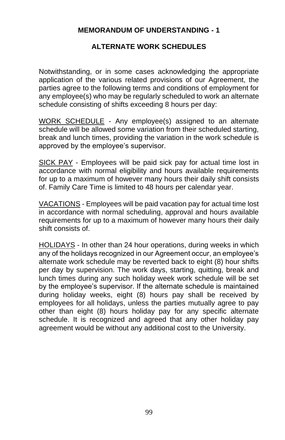#### **MEMORANDUM OF UNDERSTANDING - 1**

#### **ALTERNATE WORK SCHEDULES**

Notwithstanding, or in some cases acknowledging the appropriate application of the various related provisions of our Agreement, the parties agree to the following terms and conditions of employment for any employee(s) who may be regularly scheduled to work an alternate schedule consisting of shifts exceeding 8 hours per day:

WORK SCHEDULE - Any employee(s) assigned to an alternate schedule will be allowed some variation from their scheduled starting, break and lunch times, providing the variation in the work schedule is approved by the employee's supervisor.

SICK PAY - Employees will be paid sick pay for actual time lost in accordance with normal eligibility and hours available requirements for up to a maximum of however many hours their daily shift consists of. Family Care Time is limited to 48 hours per calendar year.

VACATIONS - Employees will be paid vacation pay for actual time lost in accordance with normal scheduling, approval and hours available requirements for up to a maximum of however many hours their daily shift consists of.

HOLIDAYS - In other than 24 hour operations, during weeks in which any of the holidays recognized in our Agreement occur, an employee's alternate work schedule may be reverted back to eight (8) hour shifts per day by supervision. The work days, starting, quitting, break and lunch times during any such holiday week work schedule will be set by the employee's supervisor. If the alternate schedule is maintained during holiday weeks, eight (8) hours pay shall be received by employees for all holidays, unless the parties mutually agree to pay other than eight (8) hours holiday pay for any specific alternate schedule. It is recognized and agreed that any other holiday pay agreement would be without any additional cost to the University.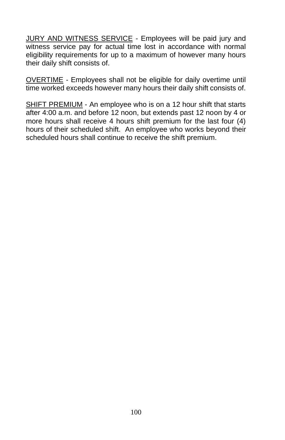JURY AND WITNESS SERVICE - Employees will be paid jury and witness service pay for actual time lost in accordance with normal eligibility requirements for up to a maximum of however many hours their daily shift consists of.

OVERTIME - Employees shall not be eligible for daily overtime until time worked exceeds however many hours their daily shift consists of.

SHIFT PREMIUM - An employee who is on a 12 hour shift that starts after 4:00 a.m. and before 12 noon, but extends past 12 noon by 4 or more hours shall receive 4 hours shift premium for the last four (4) hours of their scheduled shift. An employee who works beyond their scheduled hours shall continue to receive the shift premium.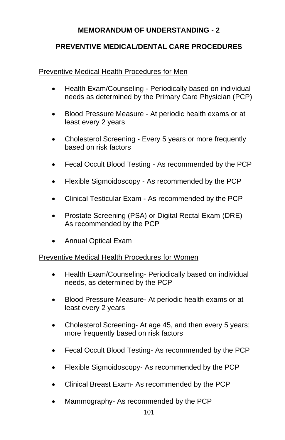## **MEMORANDUM OF UNDERSTANDING - 2**

### **PREVENTIVE MEDICAL/DENTAL CARE PROCEDURES**

#### Preventive Medical Health Procedures for Men

- Health Exam/Counseling Periodically based on individual needs as determined by the Primary Care Physician (PCP)
- Blood Pressure Measure At periodic health exams or at least every 2 years
- Cholesterol Screening Every 5 years or more frequently based on risk factors
- Fecal Occult Blood Testing As recommended by the PCP
- Flexible Sigmoidoscopy As recommended by the PCP
- Clinical Testicular Exam As recommended by the PCP
- Prostate Screening (PSA) or Digital Rectal Exam (DRE) As recommended by the PCP
- Annual Optical Exam

Preventive Medical Health Procedures for Women

- Health Exam/Counseling- Periodically based on individual needs, as determined by the PCP
- Blood Pressure Measure- At periodic health exams or at least every 2 years
- Cholesterol Screening- At age 45, and then every 5 years; more frequently based on risk factors
- Fecal Occult Blood Testing- As recommended by the PCP
- Flexible Sigmoidoscopy- As recommended by the PCP
- Clinical Breast Exam- As recommended by the PCP
- Mammography- As recommended by the PCP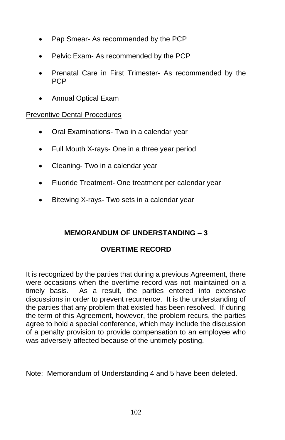- Pap Smear- As recommended by the PCP
- Pelvic Exam- As recommended by the PCP
- Prenatal Care in First Trimester- As recommended by the PCP
- Annual Optical Exam

### Preventive Dental Procedures

- Oral Examinations- Two in a calendar year
- Full Mouth X-rays- One in a three year period
- Cleaning- Two in a calendar year
- Fluoride Treatment- One treatment per calendar year
- Bitewing X-rays- Two sets in a calendar year

## **MEMORANDUM OF UNDERSTANDING – 3**

## **OVERTIME RECORD**

It is recognized by the parties that during a previous Agreement, there were occasions when the overtime record was not maintained on a timely basis. As a result, the parties entered into extensive discussions in order to prevent recurrence. It is the understanding of the parties that any problem that existed has been resolved. If during the term of this Agreement, however, the problem recurs, the parties agree to hold a special conference, which may include the discussion of a penalty provision to provide compensation to an employee who was adversely affected because of the untimely posting.

Note: Memorandum of Understanding 4 and 5 have been deleted.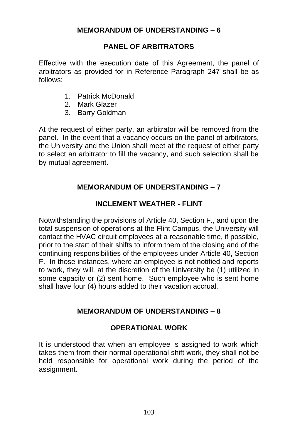# **PANEL OF ARBITRATORS**

Effective with the execution date of this Agreement, the panel of arbitrators as provided for in Reference Paragraph 247 shall be as follows:

- 1. Patrick McDonald
- 2. Mark Glazer
- 3. Barry Goldman

At the request of either party, an arbitrator will be removed from the panel. In the event that a vacancy occurs on the panel of arbitrators, the University and the Union shall meet at the request of either party to select an arbitrator to fill the vacancy, and such selection shall be by mutual agreement.

# **MEMORANDUM OF UNDERSTANDING – 7**

# **INCLEMENT WEATHER - FLINT**

Notwithstanding the provisions of Article 40, Section F., and upon the total suspension of operations at the Flint Campus, the University will contact the HVAC circuit employees at a reasonable time, if possible, prior to the start of their shifts to inform them of the closing and of the continuing responsibilities of the employees under Article 40, Section F. In those instances, where an employee is not notified and reports to work, they will, at the discretion of the University be (1) utilized in some capacity or (2) sent home. Such employee who is sent home shall have four (4) hours added to their vacation accrual.

# **MEMORANDUM OF UNDERSTANDING – 8**

### **OPERATIONAL WORK**

It is understood that when an employee is assigned to work which takes them from their normal operational shift work, they shall not be held responsible for operational work during the period of the assignment.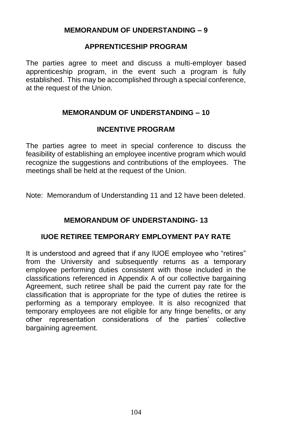### **MEMORANDUM OF UNDERSTANDING – 9**

### **APPRENTICESHIP PROGRAM**

The parties agree to meet and discuss a multi-employer based apprenticeship program, in the event such a program is fully established. This may be accomplished through a special conference, at the request of the Union.

## **MEMORANDUM OF UNDERSTANDING – 10**

### **INCENTIVE PROGRAM**

The parties agree to meet in special conference to discuss the feasibility of establishing an employee incentive program which would recognize the suggestions and contributions of the employees. The meetings shall be held at the request of the Union.

Note: Memorandum of Understanding 11 and 12 have been deleted.

# **MEMORANDUM OF UNDERSTANDING- 13**

### **IUOE RETIREE TEMPORARY EMPLOYMENT PAY RATE**

It is understood and agreed that if any IUOE employee who "retires" from the University and subsequently returns as a temporary employee performing duties consistent with those included in the classifications referenced in Appendix A of our collective bargaining Agreement, such retiree shall be paid the current pay rate for the classification that is appropriate for the type of duties the retiree is performing as a temporary employee. It is also recognized that temporary employees are not eligible for any fringe benefits, or any other representation considerations of the parties' collective bargaining agreement.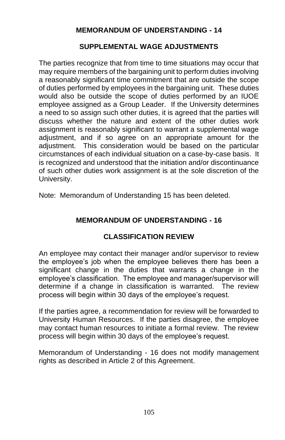# **MEMORANDUM OF UNDERSTANDING - 14**

### **SUPPLEMENTAL WAGE ADJUSTMENTS**

The parties recognize that from time to time situations may occur that may require members of the bargaining unit to perform duties involving a reasonably significant time commitment that are outside the scope of duties performed by employees in the bargaining unit. These duties would also be outside the scope of duties performed by an IUOE employee assigned as a Group Leader. If the University determines a need to so assign such other duties, it is agreed that the parties will discuss whether the nature and extent of the other duties work assignment is reasonably significant to warrant a supplemental wage adjustment, and if so agree on an appropriate amount for the adjustment. This consideration would be based on the particular circumstances of each individual situation on a case-by-case basis. It is recognized and understood that the initiation and/or discontinuance of such other duties work assignment is at the sole discretion of the University.

Note: Memorandum of Understanding 15 has been deleted.

# **MEMORANDUM OF UNDERSTANDING - 16**

### **CLASSIFICATION REVIEW**

An employee may contact their manager and/or supervisor to review the employee's job when the employee believes there has been a significant change in the duties that warrants a change in the employee's classification. The employee and manager/supervisor will determine if a change in classification is warranted. The review process will begin within 30 days of the employee's request.

If the parties agree, a recommendation for review will be forwarded to University Human Resources. If the parties disagree, the employee may contact human resources to initiate a formal review. The review process will begin within 30 days of the employee's request.

Memorandum of Understanding - 16 does not modify management rights as described in Article 2 of this Agreement.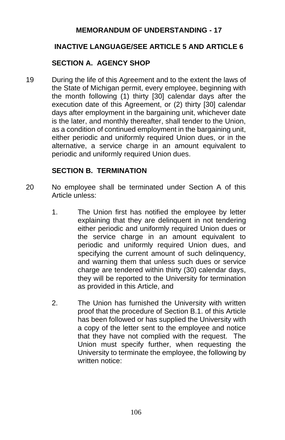## **MEMORANDUM OF UNDERSTANDING - 17**

## **INACTIVE LANGUAGE/SEE ARTICLE 5 AND ARTICLE 6**

## **SECTION A. AGENCY SHOP**

19 During the life of this Agreement and to the extent the laws of the State of Michigan permit, every employee, beginning with the month following (1) thirty [30] calendar days after the execution date of this Agreement, or (2) thirty [30] calendar days after employment in the bargaining unit, whichever date is the later, and monthly thereafter, shall tender to the Union, as a condition of continued employment in the bargaining unit, either periodic and uniformly required Union dues, or in the alternative, a service charge in an amount equivalent to periodic and uniformly required Union dues.

#### **SECTION B. TERMINATION**

- 20 No employee shall be terminated under Section A of this Article unless:
	- 1. The Union first has notified the employee by letter explaining that they are delinquent in not tendering either periodic and uniformly required Union dues or the service charge in an amount equivalent to periodic and uniformly required Union dues, and specifying the current amount of such delinquency, and warning them that unless such dues or service charge are tendered within thirty (30) calendar days, they will be reported to the University for termination as provided in this Article, and
	- 2. The Union has furnished the University with written proof that the procedure of Section B.1. of this Article has been followed or has supplied the University with a copy of the letter sent to the employee and notice that they have not complied with the request. The Union must specify further, when requesting the University to terminate the employee, the following by written notice: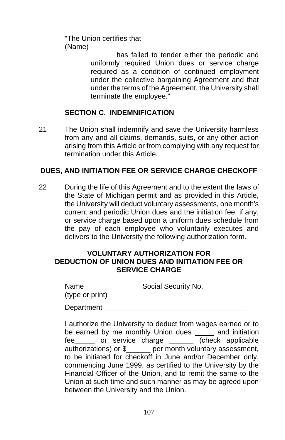"The Union certifies that (Name)

> has failed to tender either the periodic and uniformly required Union dues or service charge required as a condition of continued employment under the collective bargaining Agreement and that under the terms of the Agreement, the University shall terminate the employee."

## **SECTION C. INDEMNIFICATION**

21 The Union shall indemnify and save the University harmless from any and all claims, demands, suits, or any other action arising from this Article or from complying with any request for termination under this Article.

#### **DUES, AND INITIATION FEE OR SERVICE CHARGE CHECKOFF**

22 During the life of this Agreement and to the extent the laws of the State of Michigan permit and as provided in this Article, the University will deduct voluntary assessments, one month's current and periodic Union dues and the initiation fee, if any, or service charge based upon a uniform dues schedule from the pay of each employee who voluntarily executes and delivers to the University the following authorization form.

#### **VOLUNTARY AUTHORIZATION FOR DEDUCTION OF UNION DUES AND INITIATION FEE OR SERVICE CHARGE**

| Name            | Social Security No. |
|-----------------|---------------------|
| (type or print) |                     |

Department

I authorize the University to deduct from wages earned or to be earned by me monthly Union dues \_\_\_\_ and initiation fee or service charge **that** (check applicable authorizations) or \$\_\_\_\_\_\_ per month voluntary assessment, to be initiated for checkoff in June and/or December only, commencing June 1999, as certified to the University by the Financial Officer of the Union, and to remit the same to the Union at such time and such manner as may be agreed upon between the University and the Union.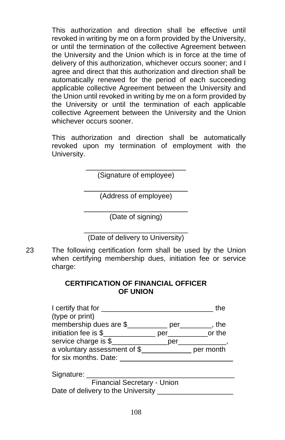This authorization and direction shall be effective until revoked in writing by me on a form provided by the University, or until the termination of the collective Agreement between the University and the Union which is in force at the time of delivery of this authorization, whichever occurs sooner; and I agree and direct that this authorization and direction shall be automatically renewed for the period of each succeeding applicable collective Agreement between the University and the Union until revoked in writing by me on a form provided by the University or until the termination of each applicable collective Agreement between the University and the Union whichever occurs sooner.

This authorization and direction shall be automatically revoked upon my termination of employment with the University.

> $\frac{1}{2}$  ,  $\frac{1}{2}$  ,  $\frac{1}{2}$  ,  $\frac{1}{2}$  ,  $\frac{1}{2}$  ,  $\frac{1}{2}$  ,  $\frac{1}{2}$  ,  $\frac{1}{2}$  ,  $\frac{1}{2}$  ,  $\frac{1}{2}$  ,  $\frac{1}{2}$  ,  $\frac{1}{2}$  ,  $\frac{1}{2}$  ,  $\frac{1}{2}$  ,  $\frac{1}{2}$  ,  $\frac{1}{2}$  ,  $\frac{1}{2}$  ,  $\frac{1}{2}$  ,  $\frac{1$ (Signature of employee)

\_\_\_\_\_\_\_\_\_\_\_\_\_\_\_\_\_\_\_\_\_\_\_\_\_\_ (Address of employee)

\_\_\_\_\_\_\_\_\_\_\_\_\_\_\_\_\_\_\_\_\_\_\_\_\_\_ (Date of signing)

\_\_\_\_\_\_\_\_\_\_\_\_\_\_\_\_\_\_\_\_\_\_\_\_\_\_ (Date of delivery to University)

23 The following certification form shall be used by the Union when certifying membership dues, initiation fee or service charge:

### **CERTIFICATION OF FINANCIAL OFFICER OF UNION**

| I certify that for ___                           |     | the        |
|--------------------------------------------------|-----|------------|
| (type or print)                                  |     |            |
| membership dues are \$__________ per_______, the |     |            |
| initiation fee is \$                             |     | per or the |
| service charge is \$                             | per |            |
| a voluntary assessment of \$                     |     | per month  |
| for six months. Date:                            |     |            |
|                                                  |     |            |
| Signature:                                       |     |            |

| Financial Secretary - Union        |  |
|------------------------------------|--|
| Date of delivery to the University |  |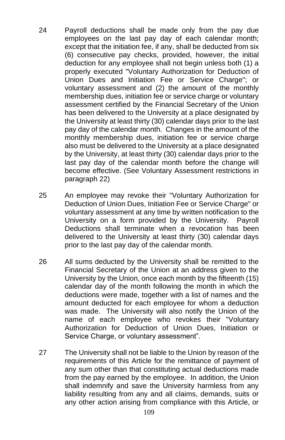- 24 Payroll deductions shall be made only from the pay due employees on the last pay day of each calendar month; except that the initiation fee, if any, shall be deducted from six (6) consecutive pay checks, provided, however, the initial deduction for any employee shall not begin unless both (1) a properly executed "Voluntary Authorization for Deduction of Union Dues and Initiation Fee or Service Charge"; or voluntary assessment and (2) the amount of the monthly membership dues, initiation fee or service charge or voluntary assessment certified by the Financial Secretary of the Union has been delivered to the University at a place designated by the University at least thirty (30) calendar days prior to the last pay day of the calendar month. Changes in the amount of the monthly membership dues, initiation fee or service charge also must be delivered to the University at a place designated by the University, at least thirty (30) calendar days prior to the last pay day of the calendar month before the change will become effective. (See Voluntary Assessment restrictions in paragraph 22)
- 25 An employee may revoke their "Voluntary Authorization for Deduction of Union Dues, Initiation Fee or Service Charge" or voluntary assessment at any time by written notification to the University on a form provided by the University. Payroll Deductions shall terminate when a revocation has been delivered to the University at least thirty (30) calendar days prior to the last pay day of the calendar month.
- 26 All sums deducted by the University shall be remitted to the Financial Secretary of the Union at an address given to the University by the Union, once each month by the fifteenth (15) calendar day of the month following the month in which the deductions were made, together with a list of names and the amount deducted for each employee for whom a deduction was made. The University will also notify the Union of the name of each employee who revokes their "Voluntary Authorization for Deduction of Union Dues, Initiation or Service Charge, or voluntary assessment".
- 27 The University shall not be liable to the Union by reason of the requirements of this Article for the remittance of payment of any sum other than that constituting actual deductions made from the pay earned by the employee. In addition, the Union shall indemnify and save the University harmless from any liability resulting from any and all claims, demands, suits or any other action arising from compliance with this Article, or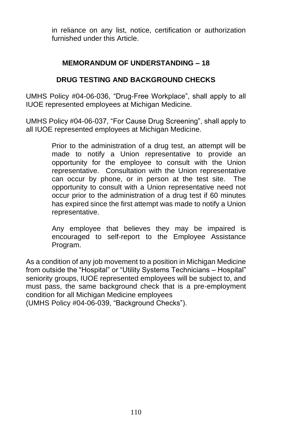in reliance on any list, notice, certification or authorization furnished under this Article.

## **MEMORANDUM OF UNDERSTANDING – 18**

## **DRUG TESTING AND BACKGROUND CHECKS**

UMHS Policy #04-06-036, "Drug-Free Workplace", shall apply to all IUOE represented employees at Michigan Medicine.

UMHS Policy #04-06-037, "For Cause Drug Screening", shall apply to all IUOE represented employees at Michigan Medicine.

> Prior to the administration of a drug test, an attempt will be made to notify a Union representative to provide an opportunity for the employee to consult with the Union representative. Consultation with the Union representative can occur by phone, or in person at the test site. The opportunity to consult with a Union representative need not occur prior to the administration of a drug test if 60 minutes has expired since the first attempt was made to notify a Union representative.

> Any employee that believes they may be impaired is encouraged to self-report to the Employee Assistance Program.

As a condition of any job movement to a position in Michigan Medicine from outside the "Hospital" or "Utility Systems Technicians – Hospital" seniority groups, IUOE represented employees will be subject to, and must pass, the same background check that is a pre-employment condition for all Michigan Medicine employees

(UMHS Policy #04-06-039, "Background Checks").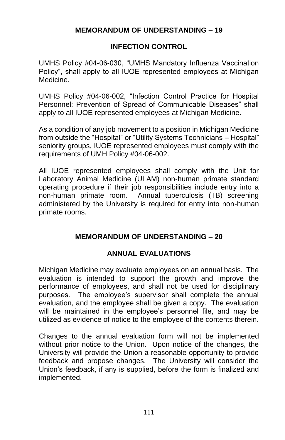## **MEMORANDUM OF UNDERSTANDING – 19**

### **INFECTION CONTROL**

UMHS Policy #04-06-030, "UMHS Mandatory Influenza Vaccination Policy", shall apply to all IUOE represented employees at Michigan Medicine.

UMHS Policy #04-06-002, "Infection Control Practice for Hospital Personnel: Prevention of Spread of Communicable Diseases" shall apply to all IUOE represented employees at Michigan Medicine.

As a condition of any job movement to a position in Michigan Medicine from outside the "Hospital" or "Utility Systems Technicians – Hospital" seniority groups, IUOE represented employees must comply with the requirements of UMH Policy #04-06-002.

All IUOE represented employees shall comply with the Unit for Laboratory Animal Medicine (ULAM) non-human primate standard operating procedure if their job responsibilities include entry into a non-human primate room. Annual tuberculosis (TB) screening administered by the University is required for entry into non-human primate rooms.

# **MEMORANDUM OF UNDERSTANDING – 20**

### **ANNUAL EVALUATIONS**

Michigan Medicine may evaluate employees on an annual basis. The evaluation is intended to support the growth and improve the performance of employees, and shall not be used for disciplinary purposes. The employee's supervisor shall complete the annual evaluation, and the employee shall be given a copy. The evaluation will be maintained in the employee's personnel file, and may be utilized as evidence of notice to the employee of the contents therein.

Changes to the annual evaluation form will not be implemented without prior notice to the Union. Upon notice of the changes, the University will provide the Union a reasonable opportunity to provide feedback and propose changes. The University will consider the Union's feedback, if any is supplied, before the form is finalized and implemented.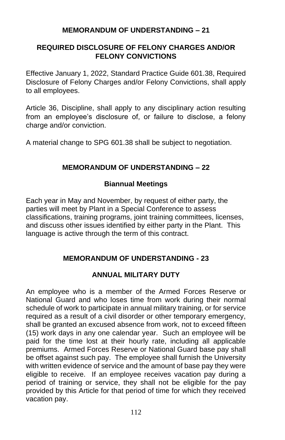#### **MEMORANDUM OF UNDERSTANDING – 21**

## **REQUIRED DISCLOSURE OF FELONY CHARGES AND/OR FELONY CONVICTIONS**

Effective January 1, 2022, Standard Practice Guide 601.38, Required Disclosure of Felony Charges and/or Felony Convictions, shall apply to all employees.

Article 36, Discipline, shall apply to any disciplinary action resulting from an employee's disclosure of, or failure to disclose, a felony charge and/or conviction.

A material change to SPG 601.38 shall be subject to negotiation.

### **MEMORANDUM OF UNDERSTANDING – 22**

#### **Biannual Meetings**

Each year in May and November, by request of either party, the parties will meet by Plant in a Special Conference to assess classifications, training programs, joint training committees, licenses, and discuss other issues identified by either party in the Plant. This language is active through the term of this contract.

### **MEMORANDUM OF UNDERSTANDING - 23**

### **ANNUAL MILITARY DUTY**

An employee who is a member of the Armed Forces Reserve or National Guard and who loses time from work during their normal schedule of work to participate in annual military training, or for service required as a result of a civil disorder or other temporary emergency, shall be granted an excused absence from work, not to exceed fifteen (15) work days in any one calendar year. Such an employee will be paid for the time lost at their hourly rate, including all applicable premiums. Armed Forces Reserve or National Guard base pay shall be offset against such pay. The employee shall furnish the University with written evidence of service and the amount of base pay they were eligible to receive. If an employee receives vacation pay during a period of training or service, they shall not be eligible for the pay provided by this Article for that period of time for which they received vacation pay.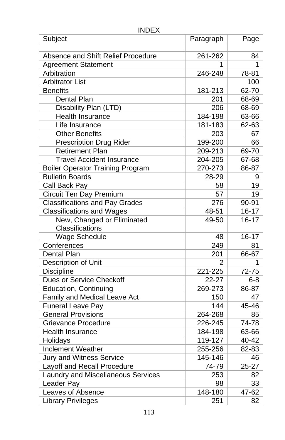### INDEX

| Subject                                 | Paragraph | Page      |
|-----------------------------------------|-----------|-----------|
|                                         |           |           |
| Absence and Shift Relief Procedure      | 261-262   | 84        |
| <b>Agreement Statement</b>              | 1         | 1         |
| Arbitration                             | 246-248   | 78-81     |
| <b>Arbitrator List</b>                  |           | 100       |
| <b>Benefits</b>                         | 181-213   | 62-70     |
| Dental Plan                             | 201       | 68-69     |
| Disability Plan (LTD)                   | 206       | 68-69     |
| Health Insurance                        | 184-198   | 63-66     |
| Life Insurance                          | 181-183   | 62-63     |
| <b>Other Benefits</b>                   | 203       | 67        |
| <b>Prescription Drug Rider</b>          | 199-200   | 66        |
| <b>Retirement Plan</b>                  | 209-213   | 69-70     |
| <b>Travel Accident Insurance</b>        | 204-205   | 67-68     |
| <b>Boiler Operator Training Program</b> | 270-273   | 86-87     |
| <b>Bulletin Boards</b>                  | 28-29     | 9         |
| Call Back Pay                           | 58        | 19        |
| Circuit Ten Day Premium                 | 57        | 19        |
| <b>Classifications and Pay Grades</b>   | 276       | 90-91     |
| <b>Classifications and Wages</b>        | 48-51     | $16 - 17$ |
| New, Changed or Eliminated              | 49-50     | $16 - 17$ |
| Classifications                         |           |           |
| <b>Wage Schedule</b>                    | 48        | $16 - 17$ |
| Conferences                             | 249       | 81        |
| Dental Plan                             | 201       | 66-67     |
| Description of Unit                     | 2         | 1         |
| <b>Discipline</b>                       | 221-225   | 72-75     |
| Dues or Service Checkoff                | 22-27     | 6-8       |
| <b>Education, Continuing</b>            | 269-273   | 86-87     |
| Family and Medical Leave Act            | 150       | 47        |
| <b>Funeral Leave Pay</b>                | 144       | 45-46     |
| <b>General Provisions</b>               | 264-268   | 85        |
| <b>Grievance Procedure</b>              | 226-245   | 74-78     |
| <b>Health Insurance</b>                 | 184-198   | 63-66     |
| Holidays                                | 119-127   | 40-42     |
| <b>Inclement Weather</b>                | 255-256   | 82-83     |
| <b>Jury and Witness Service</b>         | 145-146   | 46        |
| Layoff and Recall Procedure             | 74-79     | 25-27     |
| Laundry and Miscellaneous Services      | 253       | 82        |
| Leader Pay                              | 98        | 33        |
| Leaves of Absence                       | 148-180   | 47-62     |
| <b>Library Privileges</b>               | 251       | 82        |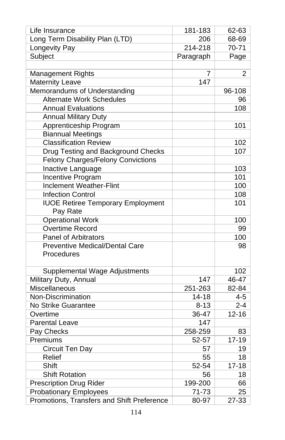| Life Insurance                             | 181-183   | 62-63          |
|--------------------------------------------|-----------|----------------|
| Long Term Disability Plan (LTD)            | 206       | 68-69          |
| Longevity Pay                              | 214-218   | 70-71          |
| Subject                                    | Paragraph | Page           |
|                                            |           |                |
| <b>Management Rights</b>                   | 7         | $\overline{2}$ |
| <b>Maternity Leave</b>                     | 147       |                |
| Memorandums of Understanding               |           | 96-108         |
| <b>Alternate Work Schedules</b>            |           | 96             |
| <b>Annual Evaluations</b>                  |           | 108            |
| <b>Annual Military Duty</b>                |           |                |
| Apprenticeship Program                     |           | 101            |
| <b>Biannual Meetings</b>                   |           |                |
| <b>Classification Review</b>               |           | 102            |
| Drug Testing and Background Checks         |           | 107            |
| <b>Felony Charges/Felony Convictions</b>   |           |                |
| Inactive Language                          |           | 103            |
| Incentive Program                          |           | 101            |
| <b>Inclement Weather-Flint</b>             |           | 100            |
| <b>Infection Control</b>                   |           | 108            |
| <b>IUOE Retiree Temporary Employment</b>   |           | 101            |
| Pay Rate                                   |           |                |
| <b>Operational Work</b>                    |           | 100            |
| Overtime Record                            |           | 99             |
| <b>Panel of Arbitrators</b>                |           | 100            |
| <b>Preventive Medical/Dental Care</b>      |           | 98             |
| Procedures                                 |           |                |
|                                            |           |                |
| Supplemental Wage Adjustments              |           | 102            |
| Military Duty, Annual                      | 147       | 46-47          |
| Miscellaneous                              | 251-263   | 82-84          |
| Non-Discrimination                         | $14 - 18$ | $4 - 5$        |
| No Strike Guarantee                        | $8 - 13$  | $2 - 4$        |
| Overtime                                   | 36-47     | $12 - 16$      |
| <b>Parental Leave</b>                      | 147       |                |
| Pay Checks                                 | 258-259   | 83             |
| Premiums                                   | 52-57     | $17 - 19$      |
| Circuit Ten Day                            | 57        | 19             |
| Relief                                     | 55        | 18             |
| Shift                                      | 52-54     | $17 - 18$      |
| <b>Shift Rotation</b>                      | 56        | 18             |
| <b>Prescription Drug Rider</b>             | 199-200   | 66             |
| <b>Probationary Employees</b>              | 71-73     | 25             |
| Promotions, Transfers and Shift Preference | 80-97     | 27-33          |